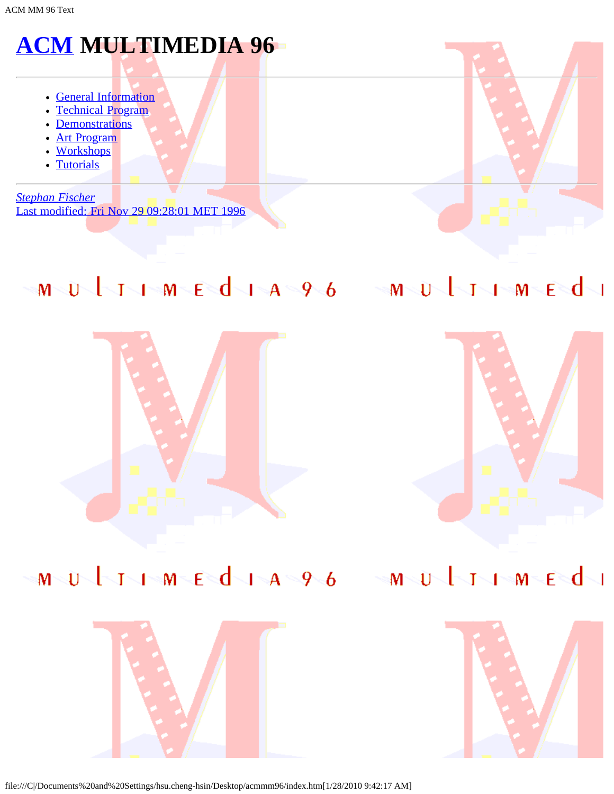# **[ACM](javascript:if(confirm() MULTIMEDIA 96**

- [General Information](#page-1-0)
- [Technical Program](#page-44-0)
- [Demonstrations](#page-52-0)
- [Art Program](#page-53-0)
- [Workshops](#page-57-0)
- [Tutorials](#page-58-0)

*[Stephan Fischer](javascript:if(confirm()* [Last modified: Fri Nov 29 09:28:01 MET 1996](javascript:if(confirm()

# MULINMEdia96 MULINMEdi





# MULIMEdia96 MULIMEdi





file:///C|/Documents%20and%20Settings/hsu.cheng-hsin/Desktop/acmmm96/index.htm[1/28/2010 9:42:17 AM]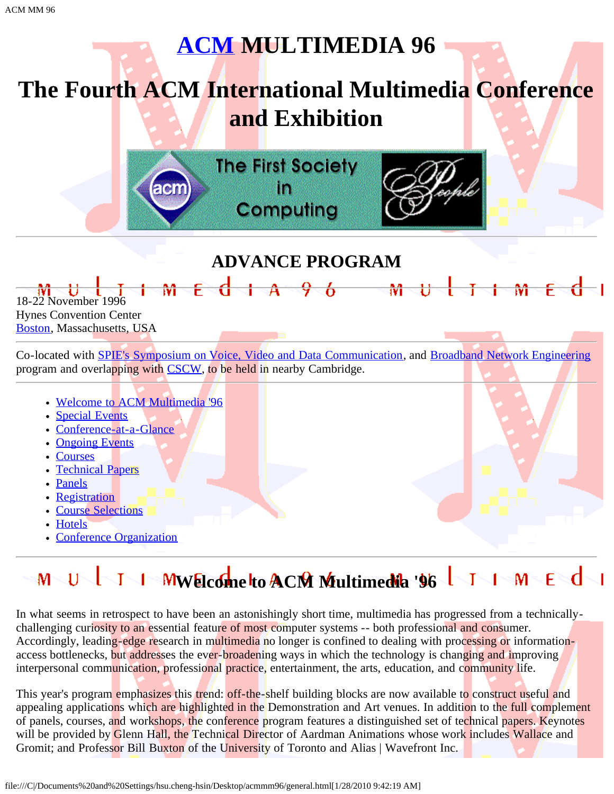# **[ACM](javascript:if(confirm() MULTIMEDIA 96**

# <span id="page-1-0"></span>**The Fourth ACM International Multimedia Conference and Exhibition**

**The First Society** m Computing

 $E$  d a  $A$   $A$   $C$ 



 $\mathbf{M}$ 

# **ADVANCE PROGRAM**

18-22 November 1996 Hynes Convention Center [Boston,](javascript:if(confirm() Massachusetts, USA

Co-located with **SPIE's Symposium on Voice, Video and Data Communication**, and [Broadband Network Engineering](javascript:if(confirm() program and overlapping with [CSCW,](javascript:if(confirm() to be held in nearby Cambridge.

Welcome to ACM Multimedia '96

acn

- Special Events
- Conference-at-a-Glance
- Ongoing Events
- Courses
- Technical Papers
- Panels
- Registration
- Course Selections
- Hotels
- Conference Organization

### **WELCOME TO ACM Multimedia '96 TO MEGO**  $M \setminus U$

In what seems in retrospect to have been an astonishingly short time, multimedia has progressed from a technicallychallenging curiosity to an essential feature of most computer systems -- both professional and consumer. Accordingly, leading-edge research in multimedia no longer is confined to dealing with processing or informationaccess bottlenecks, but addresses the ever-broadening ways in which the technology is changing and improving interpersonal communication, professional practice, entertainment, the arts, education, and community life.

This year's program emphasizes this trend: off-the-shelf building blocks are now available to construct useful and appealing applications which are highlighted in the Demonstration and Art venues. In addition to the full complement of panels, courses, and workshops, the conference program features a distinguished set of technical papers. Keynotes will be provided by Glenn Hall, the Technical Director of Aardman Animations whose work includes Wallace and Gromit; and Professor Bill Buxton of the University of Toronto and Alias | Wavefront Inc.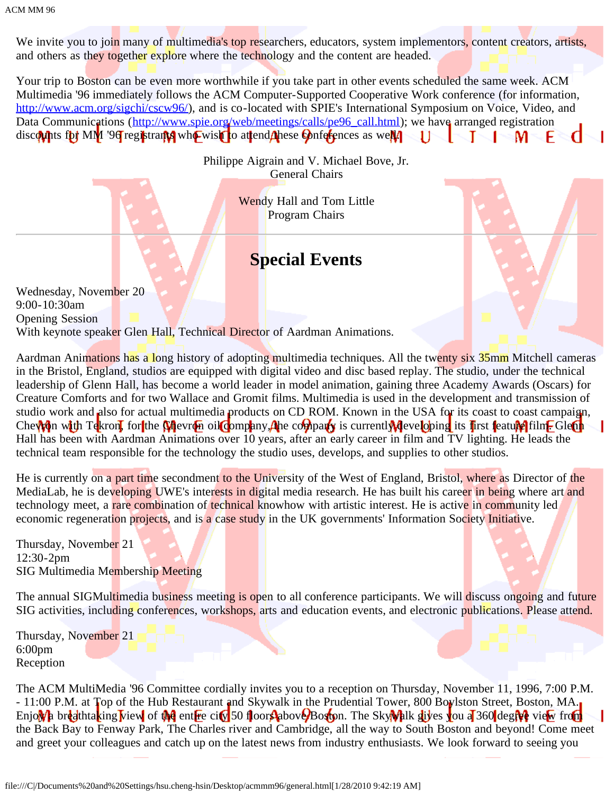We invite you to join many of multimedia's top researchers, educators, system implementors, content creators, artists, and others as they together explore where the technology and the content are headed.

Your trip to Boston can be even more worthwhile if you take part in other events scheduled the same week. ACM Multimedia '96 immediately follows the ACM Computer-Supported Cooperative Work conference (for information, [http://www.acm.org/sigchi/cscw96/\)](javascript:if(confirm(), and is co-located with SPIE's International Symposium on Voice, Video, and Data Communications ([http://www.spie.org/web/meetings/calls/pe96\\_call.html](javascript:if(confirm()); we have arranged registration discounts for MM '96 registrants who wish to attend these conferences as well.  $\lnot$  T  $1 - M$ F

> Philippe Aigrain and V. Michael Bove, Jr. General Chairs

> > Wendy Hall and Tom Little Program Chairs

## **Special Events**

Wednesday, November 20 9:00-10:30am Opening Session With keynote speaker Glen Hall, Technical Director of Aardman Animations.

Aardman Animations has a long history of adopting multimedia techniques. All the twenty six 35mm Mitchell cameras in the Bristol, England, studios are equipped with digital video and disc based replay. The studio, under the technical leadership of Glenn Hall, has become a world leader in model animation, gaining three Academy Awards (Oscars) for Creature Comforts and for two Wallace and Gromit films. Multimedia is used in the development and transmission of studio work and also for actual multimedia products on CD ROM. Known in the USA for its coast to coast campaign, Chevron with Tekron, for the Chevron oil company, the company is currently developing its first feature film. Glenn Hall has been with Aardman Animations over 10 years, after an early career in film and TV lighting. He leads the technical team responsible for the technology the studio uses, develops, and supplies to other studios.

He is currently on a part time secondment to the University of the West of England, Bristol, where as Director of the MediaLab, he is developing UWE's interests in digital media research. He has built his career in being where art and technology meet, a rare combination of technical knowhow with artistic interest. He is active in community led economic regeneration projects, and is a case study in the UK governments' Information Society Initiative.

Thursday, November 21 12:30-2pm SIG Multimedia Membership Meeting

The annual SIGMultimedia business meeting is open to all conference participants. We will discuss ongoing and future SIG activities, including conferences, workshops, arts and education events, and electronic publications. Please attend.

Thursday, November 21 6:00pm Reception

The ACM MultiMedia '96 Committee cordially invites you to a reception on Thursday, November 11, 1996, 7:00 P.M. - 11:00 P.M. at Top of the Hub Restaurant and Skywalk in the Prudential Tower, 800 Boylston Street, Boston, MA. Enjowh breathtaking view of the entire city 50 floors above Boston. The Skywhik gives you a 360 degree view from the Back Bay to Fenway Park, The Charles river and Cambridge, all the way to South Boston and beyond! Come meet and greet your colleagues and catch up on the latest news from industry enthusiasts. We look forward to seeing you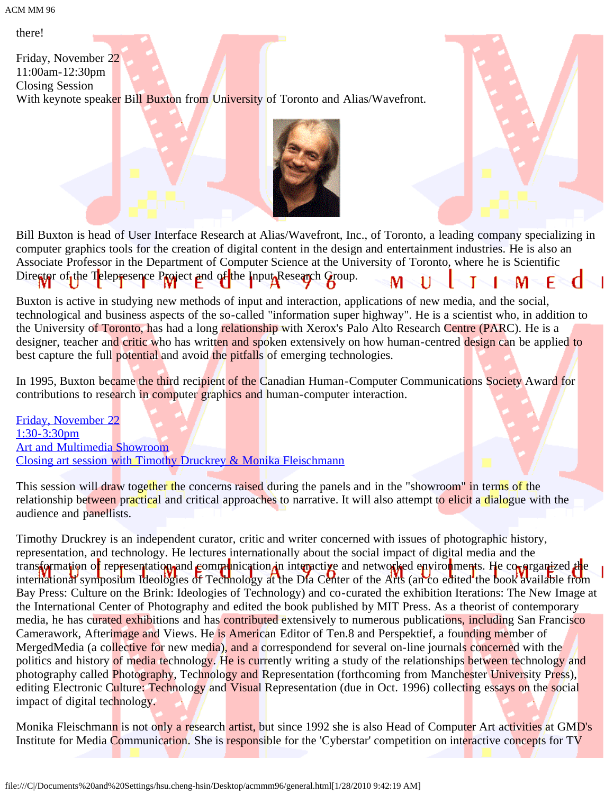there!

Friday, November 22 11:00am-12:30pm Closing Session With keynote speaker Bill Buxton from University of Toronto and Alias/Wavefront.





Bill Buxton is head of User Interface Research at Alias/Wavefront, Inc., of Toronto, a leading company specializing in computer graphics tools for the creation of digital content in the design and entertainment industries. He is also an Associate Professor in the Department of Computer Science at the University of Toronto, where he is Scientific Director of the Telepresence Project and of the Input Research Group.

Buxton is active in studying new methods of input and interaction, applications of new media, and the social, technological and business aspects of the so-called "information super highway". He is a scientist who, in addition to the University of Toronto, has had a long relationship with Xerox's Palo Alto Research Centre (PARC). He is a designer, teacher and critic who has written and spoken extensively on how human-centred design can be applied to best capture the full potential and avoid the pitfalls of emerging technologies.

In 1995, Buxton became the third recipient of the Canadian Human-Computer Communications Society Award for contributions to research in computer graphics and human-computer interaction.

[Friday, November 22](#page-66-0) [1:30-3:30pm](#page-66-0) [Art and Multimedia Showroom](#page-66-0) [Closing art session with Timothy Druckrey & Monika Fleischmann](#page-66-0)

This session will draw together the concerns raised during the panels and in the "showroom" in terms of the relationship between practical and critical approaches to narrative. It will also attempt to elicit a dialogue with the audience and panellists.

Timothy Druckrey is an independent curator, critic and writer concerned with issues of photographic history, representation, and technology. He lectures internationally about the social impact of digital media and the transformation of representation and communication in interactive and networked envirouments. He compresentized the international symposium Ideologies of Technology at the Dia Center of the Arts (an co edited the book available from Bay Press: Culture on the Brink: Ideologies of Technology) and co-curated the exhibition Iterations: The New Image at the International Center of Photography and edited the book published by MIT Press. As a theorist of contemporary media, he has curated exhibitions and has contributed extensively to numerous publications, including San Francisco Camerawork, Afterimage and Views. He is American Editor of Ten.8 and Perspektief, a founding member of MergedMedia (a collective for new media), and a correspondend for several on-line journals concerned with the politics and history of media technology. He is currently writing a study of the relationships between technology and photography called Photography, Technology and Representation (forthcoming from Manchester University Press), editing Electronic Culture: Technology and Visual Representation (due in Oct. 1996) collecting essays on the social impact of digital technology.

Monika Fleischmann is not only a research artist, but since 1992 she is also Head of Computer Art activities at GMD's Institute for Media Communication. She is responsible for the 'Cyberstar' competition on interactive concepts for TV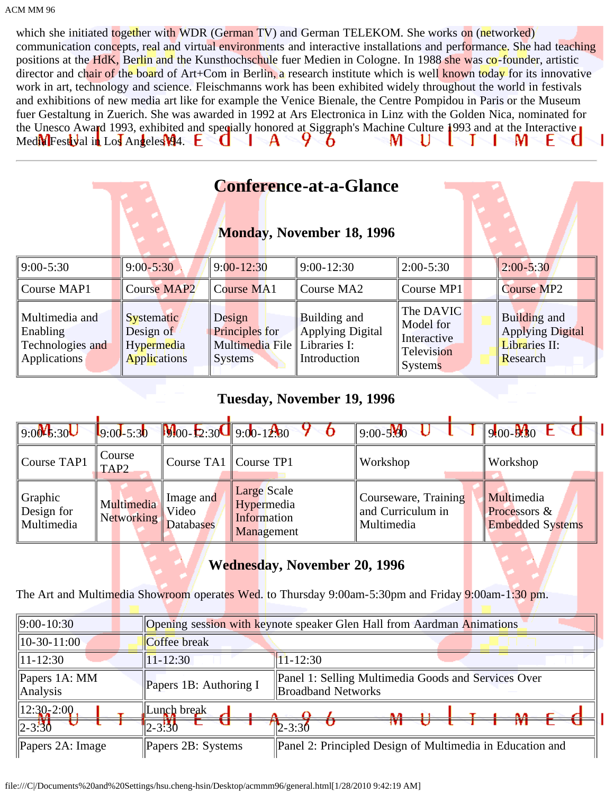which she initiated together with WDR (German TV) and German TELEKOM. She works on (networked) communication concepts, real and virtual environments and interactive installations and performance. She had teaching positions at the HdK, Berlin and the Kunsthochschule fuer Medien in Cologne. In 1988 she was co-founder, artistic director and chair of the board of Art+Com in Berlin, a research institute which is well known today for its innovative work in art, technology and science. Fleischmanns work has been exhibited widely throughout the world in festivals and exhibitions of new media art like for example the Venice Bienale, the Centre Pompidou in Paris or the Museum fuer Gestaltung in Zuerich. She was awarded in 1992 at Ars Electronica in Linz with the Golden Nica, nominated for the Unesco Award 1993, exhibited and specially honored at Siggraph's Machine Culture 1993 and at the Interactive Medix Festival in Los Angeles 194. **L** А ຯ M U M U л Ô ŀ.

|                                                                |                                                                     |                                                                            | <b>Conference-at-a-Glance</b><br><b>Monday, November 18, 1996</b> |                                                                       |                                                                      |
|----------------------------------------------------------------|---------------------------------------------------------------------|----------------------------------------------------------------------------|-------------------------------------------------------------------|-----------------------------------------------------------------------|----------------------------------------------------------------------|
| $9:00-5:30$                                                    | $9:00 - 5:30$                                                       | $9:00 - 12:30$                                                             | $9:00 - 12:30$                                                    | $2:00-5:30$                                                           | $2:00 - 5:30$                                                        |
| Course MAP1                                                    | <b>Course MAP2</b>                                                  | Course MA1                                                                 | Course MA2                                                        | Course MP1                                                            | <b>Course MP2</b>                                                    |
| Multimedia and<br>Enabling<br>Technologies and<br>Applications | <b>Systematic</b><br>Design of<br>Hypermedia<br><b>Applications</b> | Design<br>Principles for<br>Multimedia File Libraries I:<br><b>Systems</b> | Building and<br><b>Applying Digital</b><br>Introduction           | The DAVIC<br>Model for<br>Interactive<br>Television<br><b>Systems</b> | Building and<br><b>Applying Digital</b><br>Libraries II:<br>Research |

### **Tuesday, November 19, 1996**

| $9.00$ <sup>V</sup> <sub>5</sub> :30U | $9:00 - 5:30$              | $\frac{1}{2}$ :30 9:00-12:30           |                                                        | $9:00 - 5.80$                                           | $900 - 5$ 30 L                                        |
|---------------------------------------|----------------------------|----------------------------------------|--------------------------------------------------------|---------------------------------------------------------|-------------------------------------------------------|
| Course TAP1                           | Course<br>TAP <sub>2</sub> | Course TA1   Course TP1                |                                                        | Workshop                                                | Workshop                                              |
| Graphic<br>Design for<br>Multimedia   | Multimedia<br>INetworking  | Image and<br>Video<br><b>Databases</b> | Large Scale<br>Hypermedia<br>Information<br>Management | Courseware, Training<br>and Curriculum in<br>Multimedia | Multimedia<br>Processors &<br><b>Embedded Systems</b> |

### **Wednesday, November 20, 1996**

The Art and Multimedia Showroom operates Wed. to Thursday 9:00am-5:30pm and Friday 9:00am-1:30 pm.

| $  9:00-10:30  $                   |                                 | <b>Opening session with keynote speaker Glen Hall from Aardman Animations</b>    |
|------------------------------------|---------------------------------|----------------------------------------------------------------------------------|
| $\parallel$ 10-30-11:00            | Coffee break                    |                                                                                  |
| $\ 11 - 12:30\ $                   | $11 - 12:30$                    | $11 - 12:30$                                                                     |
| $\Delta$ Papers 1A: MM<br>Analysis | Papers 1B: Authoring I          | Panel 1: Selling Multimedia Goods and Services Over<br><b>Broadband Networks</b> |
| $12:30-2:00$<br>$\sqrt{2-3.30}$    | Lunch break<br>$2 - 3 \cdot 30$ | $2 - 3:30$                                                                       |
| Papers $2A$ : Image                | Papers 2B: Systems              | Panel 2: Principled Design of Multimedia in Education and                        |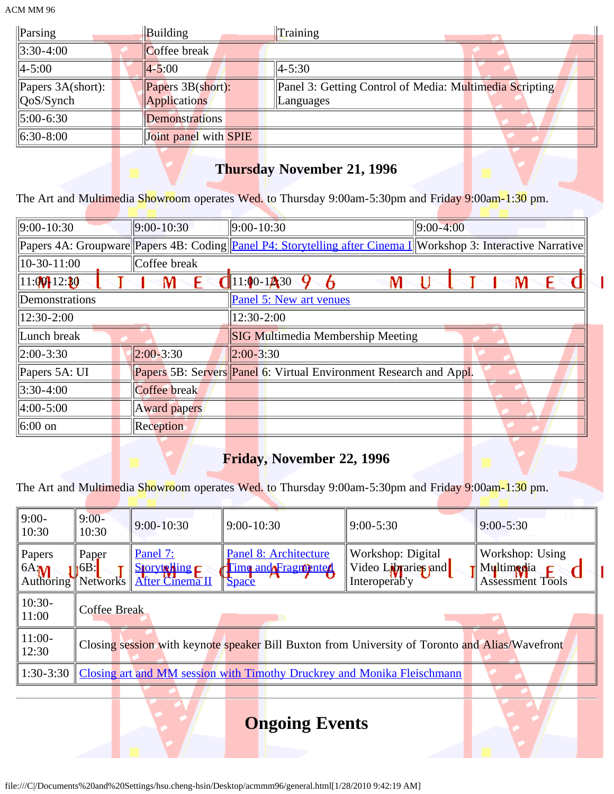| $\ $ Parsing                        | Building               | Training                                                |
|-------------------------------------|------------------------|---------------------------------------------------------|
| $\parallel$ 3:30-4:00               | Coffee break           |                                                         |
| $\ 4 - 5:00\ $                      | $\vert 4 - 5:00 \vert$ | $ 4 - 5:30 $                                            |
| $\mathbb{P}$ Papers 3A(short):      | Papers 3B(short):      | Panel 3: Getting Control of Media: Multimedia Scripting |
| $\left\vert \right\vert Q$ oS/Synch | Applications           | Languages                                               |
| $\parallel$ 5:00-6:30               | Demonstrations         |                                                         |
| $\  6:30-8:00 \ $                   | Joint panel with SPIE  |                                                         |

### **Thursday November 21, 1996**

The Art and Multimedia Showroom operates Wed. to Thursday 9:00am-5:30pm and Friday 9:00am-1:30 pm.

| $ 9:00-10:30 $      | $ 9:00 - 10:30 $    | $ 9:00-10:30 $                                                                                                 | $ 9:00-4:00$ |  |  |
|---------------------|---------------------|----------------------------------------------------------------------------------------------------------------|--------------|--|--|
|                     |                     | Papers 4A: Groupware Papers 4B: Coding Panel P4: Storytelling after Cinema I Workshop 3: Interactive Narrative |              |  |  |
| $ 10-30-11:00$      | Coffee break        |                                                                                                                |              |  |  |
| 11:00112:30         |                     | $11:00 - 1230$<br>١V                                                                                           |              |  |  |
| Demonstrations      |                     | Panel 5: New art venues                                                                                        |              |  |  |
| 12:30-2:00          |                     | 12:30-2:00                                                                                                     |              |  |  |
| Lunch break         |                     | <b>SIG Multimedia Membership Meeting</b>                                                                       |              |  |  |
| $ 2:00-3:30 $       | $ 2:00 - 3:30 $     | $ 2:00 - 3:30$                                                                                                 |              |  |  |
| Papers 5A: UI       |                     | Papers 5B: Servers Panel 6: Virtual Environment Research and Appl.                                             |              |  |  |
| $3:30-4:00$         | Coffee break        |                                                                                                                |              |  |  |
| $4:00 - 5:00$       | <b>Award papers</b> |                                                                                                                |              |  |  |
| $ 6:00 \text{ on }$ | <b>Reception</b>    |                                                                                                                |              |  |  |
|                     |                     |                                                                                                                |              |  |  |

ı

## **Friday, November 22, 1996**

The Art and Multimedia Showroom operates Wed. to Thursday 9:00am-5:30pm and Friday 9:00am-1:30 pm.

| $9:00-$<br>10:30            | $9:00-$<br>10:30          | $9:00 - 10:30$                                          | $9:00 - 10:30$                                                                    | $9:00 - 5:30$                                                                                   | $9:00 - 5:30$                                            |
|-----------------------------|---------------------------|---------------------------------------------------------|-----------------------------------------------------------------------------------|-------------------------------------------------------------------------------------------------|----------------------------------------------------------|
| Papers<br>6A:M<br>Authoring | Paper<br>16B:<br>Networks | Panel 7:<br>Storytoning F<br>After Cinema <sub>II</sub> | Panel 8: Architecture<br>Time and Fragmente<br><b>Space</b>                       | Workshop: Digital<br>Video Libraries and<br>Interoperab'y                                       | Workshop: Using<br>Multimadia<br><b>Assessment Tools</b> |
| $10:30-$<br>11:00           | Coffee Break              |                                                         |                                                                                   |                                                                                                 |                                                          |
| $11:00-$<br>12:30           |                           |                                                         |                                                                                   | Closing session with keynote speaker Bill Buxton from University of Toronto and Alias/Wavefront |                                                          |
|                             |                           |                                                         | 1:30-3:30 Closing art and MM session with Timothy Druckrey and Monika Fleischmann |                                                                                                 |                                                          |
|                             |                           |                                                         |                                                                                   |                                                                                                 |                                                          |

# **Ongoing Events**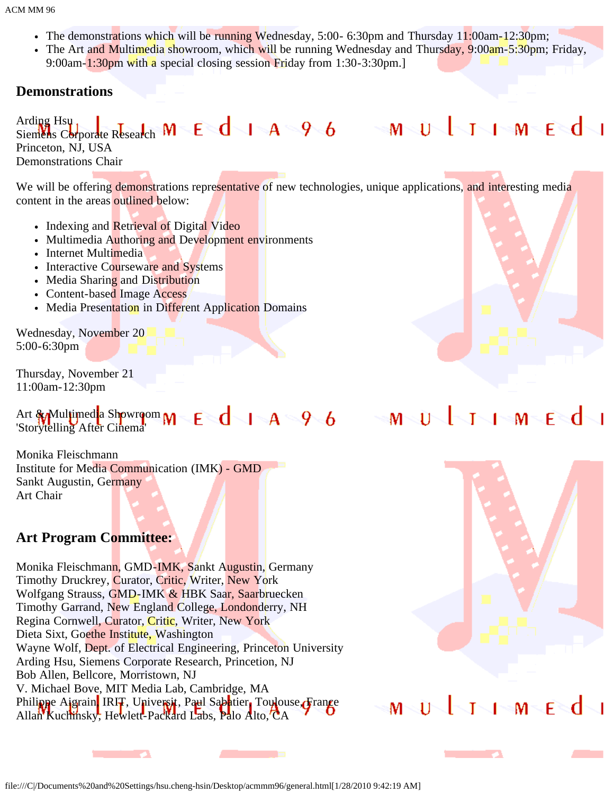- The demonstrations which will be running Wednesday, 5:00- 6:30pm and Thursday 11:00am-12:30pm;
- The Art and Multimedia showroom, which will be running Wednesday and Thursday, 9:00am-5:30pm; Friday, 9:00am-1:30pm with a special closing session Friday from 1:30-3:30pm.]

### **Demonstrations**

Arding Hsu Siemens Corporate Research Princeton, NJ, USA Demonstrations Chair

We will be offering demonstrations representative of new technologies, unique applications, and interesting media content in the areas outlined below:

- Indexing and Retrieval of Digital Video
- Multimedia Authoring and Development environments
- Internet Multimedia
- Interactive Courseware and Systems
- Media Sharing and Distribution
- Content-based Image Access
- Media Presentation in Different Application Domains

Wednesday, November 20 5:00-6:30pm

Thursday, November 21 11:00am-12:30pm

### Art  $^*$ Multimedia Showroom M E d | A 9 6 'Storytelling After Cinema'

Monika Fleischmann Institute for Media Communication (IMK) - GMD Sankt Augustin, Germany Art Chair

**The Contract of State** 

### **Art Program Committee:**

Monika Fleischmann, GMD-IMK, Sankt Augustin, Germany Timothy Druckrey, Curator, Critic, Writer, New York Wolfgang Strauss, GMD-IMK & HBK Saar, Saarbruecken Timothy Garrand, New England College, Londonderry, NH Regina Cornwell, Curator, Critic, Writer, New York Dieta Sixt, Goethe Institute, Washington Wayne Wolf, Dept. of Electrical Engineering, Princeton University Arding Hsu, Siemens Corporate Research, Princetion, NJ Bob Allen, Bellcore, Morristown, NJ V. Michael Bove, MIT Media Lab, Cambridge, MA Philippe Aigrain, IRI<del>T</del>, Universit, Paul Sabatier, Toulouse, France Allan Kuchinsky, Hewlett-Packard Labs, Palo Alto, CA

#### $M \cup V$  $1-M-F$  $\mathbf{I}\mathbf{\leq} \mathbf{I}$



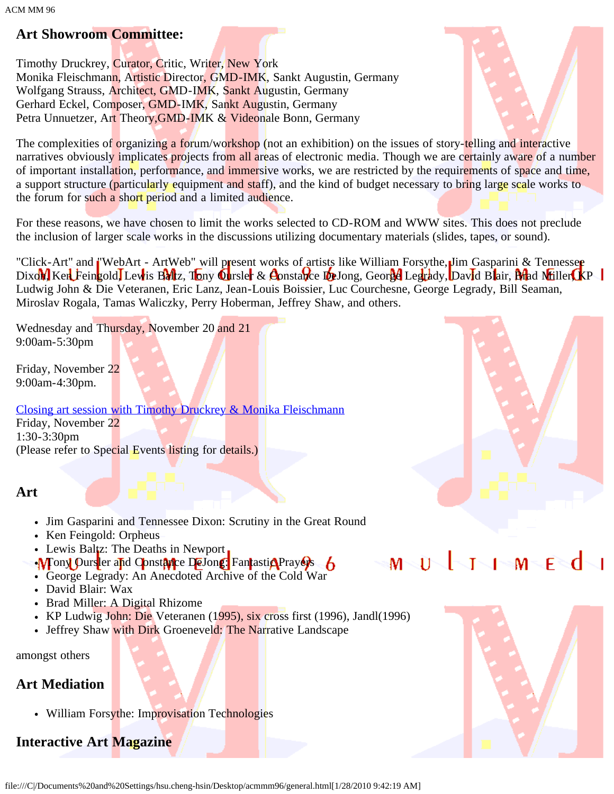### **Art Showroom Committee:**

Timothy Druckrey, Curator, Critic, Writer, New York Monika Fleischmann, Artistic Director, GMD-IMK, Sankt Augustin, Germany Wolfgang Strauss, Architect, GMD-IMK, Sankt Augustin, Germany Gerhard Eckel, Composer, GMD-IMK, Sankt Augustin, Germany Petra Unnuetzer, Art Theory, GMD-IMK & Videonale Bonn, Germany



The complexities of organizing a forum/workshop (not an exhibition) on the issues of story-telling and interactive narratives obviously implicates projects from all areas of electronic media. Though we are certainly aware of a number of important installation, performance, and immersive works, we are restricted by the requirements of space and time, a support structure (particularly equipment and staff), and the kind of budget necessary to bring large scale works to the forum for such a short period and a limited audience.

For these reasons, we have chosen to limit the works selected to CD-ROM and WWW sites. This does not preclude the inclusion of larger scale works in the discussions utilizing documentary materials (slides, tapes, or sound).

"Click-Art" and "WebArt - ArtWeb" will present works of artists like William Forsythe, Jim Gasparini & Tennesser Dixon, Ken Feingold, Lewis Baltz, Tony Oursler & Constance DeJong, George Legrady, David Blair, Briad Miller, KP Ludwig John & Die Veteranen, Eric Lanz, Jean-Louis Boissier, Luc Courchesne, George Legrady, Bill Seaman, Miroslav Rogala, Tamas Waliczky, Perry Hoberman, Jeffrey Shaw, and others.

Wednesday and Thursday, November 20 and 21 9:00am-5:30pm

Friday, November 22 9:00am-4:30pm.

[Closing art session with Timothy Druckrey & Monika Fleischmann](#page-66-0) Friday, November 22 1:30-3:30pm (Please refer to Special Events listing for details.)

### **Art**

- Jim Gasparini and Tennessee Dixon: Scrutiny in the Great Round
- Ken Feingold: Orpheus
- Lewis Baltz: The Deaths in Newport
- •M ony Oursler and Constance DeJong: Fantastic Prayers 6
- George Legrady: An Anecdoted Archive of the Cold War
- David Blair: Wax
- Brad Miller: A Digital Rhizome
- KP Ludwig John: Die Veteranen (1995), six cross first (1996), Jandl(1996)
- Jeffrey Shaw with Dirk Groeneveld: The Narrative Landscape

amongst others

### **Art Mediation**

• William Forsythe: Improvisation Technologies

## **Interactive Art Magazine**



#### $1 - M -$ F <d  $\overline{1}$ T м

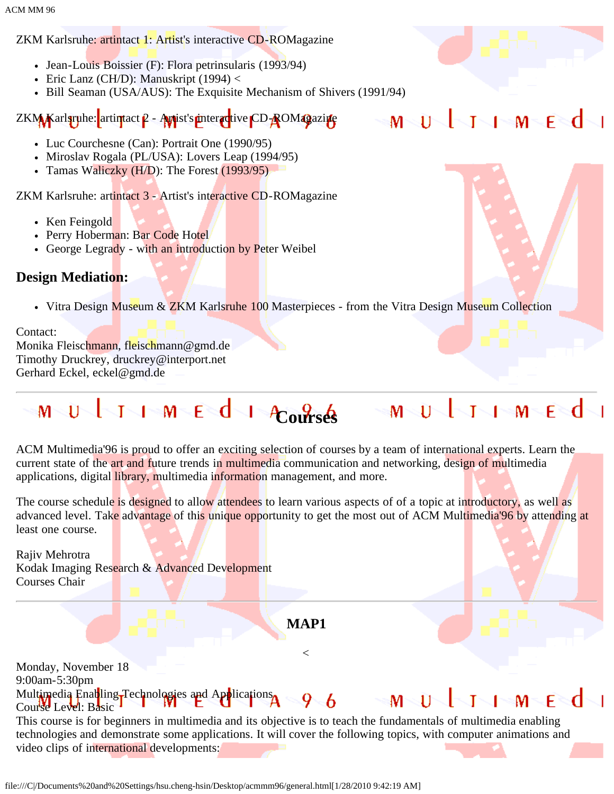ZKM Karlsruhe: artintact 1: Artist's interactive CD-ROMagazine

- Jean-Louis Boissier (F): Flora petrinsularis (1993/94)
- Eric Lanz (CH/D): Manuskript  $(1994)$  <
- Bill Seaman (USA/AUS): The Exquisite Mechanism of Shivers (1991/94)

ZKM Karlsruhe: artintact  $\rho$  - Autist's interactive CD-ROMagazine

- Luc Courchesne (Can): Portrait One (1990/95)
- Miroslav Rogala (PL/USA): Lovers Leap (1994/95)
- Tamas Waliczky  $(H/D)$ : The Forest  $(1993/95)$

ZKM Karlsruhe: artintact 3 - Artist's interactive CD-ROMagazine

- Ken Feingold
- Perry Hoberman: Bar Code Hotel
- George Legrady with an introduction by Peter Weibel

### **Design Mediation:**

• Vitra Design Museum & ZKM Karlsruhe 100 Masterpieces - from the Vitra Design Museum Collection

Contact: Monika Fleischmann, fleischmann@gmd.de Timothy Druckrey, druckrey@interport.net Gerhard Eckel, eckel@gmd.de

#### $I \rightarrow M \rightarrow E \rightarrow d$ **Courses** MUJIMEd

ACM Multimedia'96 is proud to offer an exciting selection of courses by a team of international experts. Learn the current state of the art and future trends in multimedia communication and networking, design of multimedia applications, digital *library*, multimedia information management, and more.

The course schedule is designed to allow attendees to learn various aspects of of a topic at introductory, as well as advanced level. Take advantage of this unique opportunity to get the most out of ACM Multimedia<sup>'96</sup> by attending at least one course.

Rajiv Mehrotra Kodak Imaging Research & Advanced Development Courses Chair

**MAP1**

 $\lt$ 

Monday, November 18 9:00am-5:30pm Multimedia Enatling Technologies and Applications 9 6 M Course Level: Basic

This course is for beginners in multimedia and its objective is to teach the fundamentals of multimedia enabling technologies and demonstrate some applications. It will cover the following topics, with computer animations and video clips of international developments:



 $M$  F

M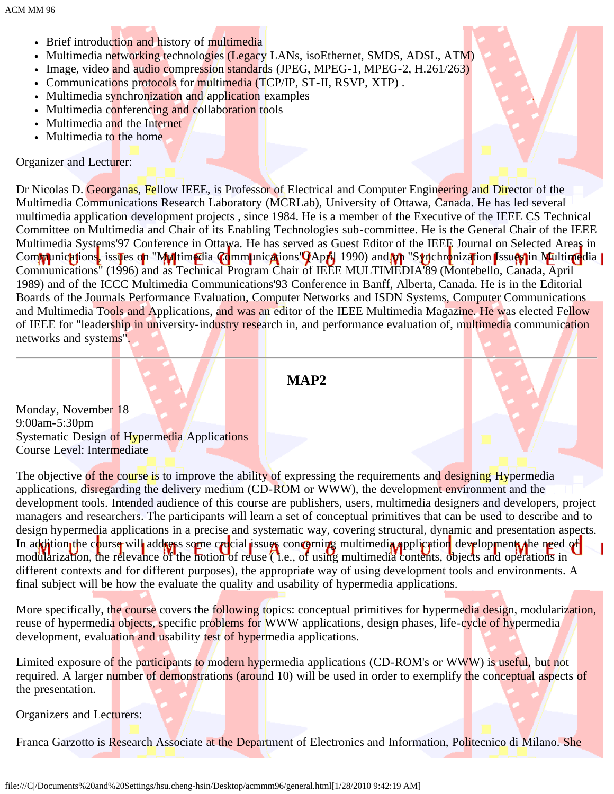- Brief introduction and history of multimedia
- Multimedia networking technologies (Legacy LANs, isoEthernet, SMDS, ADSL, ATM)
- Image, video and audio compression standards (JPEG, MPEG-1, MPEG-2, H.261/263)
- Communications protocols for multimedia (TCP/IP, ST-II, RSVP, XTP).
- Multimedia synchronization and application examples
- Multimedia conferencing and collaboration tools
- Multimedia and the Internet
- Multimedia to the home

### Organizer and Lecturer:

Dr Nicolas D. Georganas, Fellow IEEE, is Professor of Electrical and Computer Engineering and Director of the Multimedia Communications Research Laboratory (MCRLab), University of Ottawa, Canada. He has led several multimedia application development projects , since 1984. He is a member of the Executive of the IEEE CS Technical Committee on Multimedia and Chair of its Enabling Technologies sub-committee. He is the General Chair of the IEEE Multimedia Systems'97 Conference in Ottawa. He has served as Guest Editor of the IEEE Journal on Selected Areas in Com**mu**nications, issues on "Multimedia Communications" (April 1990) and on "Synchronization Issues in Multimedia | Communications" (1996) and as Technical Program Chair of IEEE MULTIMEDIA'89 (Montebello, Canada, April 1989) and of the ICCC Multimedia Communications'93 Conference in Banff, Alberta, Canada. He is in the Editorial Boards of the Journals Performance Evaluation, Computer Networks and ISDN Systems, Computer Communications and Multimedia Tools and Applications, and was an editor of the IEEE Multimedia Magazine. He was elected Fellow of IEEE for "leadership in university-industry research in, and performance evaluation of, multimedia communication networks and systems".

**MAP2**

Monday, November 18 9:00am-5:30pm Systematic Design of Hypermedia Applications Course Level: Intermediate

The objective of the course is to improve the ability of expressing the requirements and designing Hypermedia applications, disregarding the delivery medium (CD-ROM or WWW), the development environment and the development tools. Intended audience of this course are publishers, users, multimedia designers and developers, project managers and researchers. The participants will learn a set of conceptual primitives that can be used to describe and to design hypermedia applications in a precise and systematic way, covering structural, dynamic and presentation aspects. In addition the course will address some crucial issues concerning multimedia application development, the need of modularization, the relevance of the notion of reuse ( i.e., of using multimedia contents, objects and operations in different contexts and for different purposes), the appropriate way of using development tools and environments. A final subject will be how the evaluate the quality and usability of hypermedia applications.

More specifically, the course covers the following topics: conceptual primitives for hypermedia design, modularization, reuse of hypermedia objects, specific problems for WWW applications, design phases, life-cycle of hypermedia development, evaluation and usability test of hypermedia applications.

Limited exposure of the participants to modern hypermedia applications (CD-ROM's or WWW) is useful, but not required. A larger number of demonstrations (around 10) will be used in order to exemplify the conceptual aspects of the presentation.

Organizers and Lecturers:

Franca Garzotto is Research Associate at the Department of Electronics and Information, Politecnico di Milano. She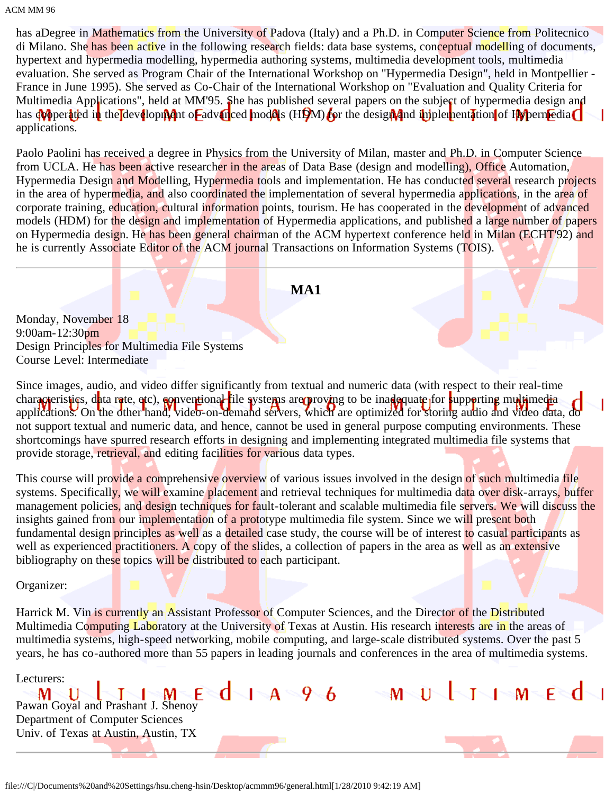has aDegree in Mathematics from the University of Padova (Italy) and a Ph.D. in Computer Science from Politecnico di Milano. She has been active in the following research fields: data base systems, conceptual modelling of documents, hypertext and hypermedia modelling, hypermedia authoring systems, multimedia development tools, multimedia evaluation. She served as Program Chair of the International Workshop on "Hypermedia Design", held in Montpellier - France in June 1995). She served as Co-Chair of the International Workshop on "Evaluation and Quality Criteria for Multimedia Applications", held at MM'95. She has published several papers on the subject of hypermedia design and has cooperated in the development of advanced models (HDM) for the design and implementation of Hypermedia applications.

Paolo Paolini has received a degree in Physics from the University of Milan, master and Ph.D. in Computer Science from UCLA. He has been active researcher in the areas of Data Base (design and modelling), Office Automation, Hypermedia Design and Modelling, Hypermedia tools and implementation. He has conducted several research projects in the area of hypermedia, and also coordinated the implementation of several hypermedia applications, in the area of corporate training, education, cultural information points, tourism. He has cooperated in the development of advanced models (HDM) for the design and implementation of Hypermedia applications, and published a large number of papers on Hypermedia design. He has been general chairman of the ACM hypertext conference held in Milan (ECHT'92) and he is currently Associate Editor of the ACM journal Transactions on Information Systems (TOIS).

**MA1**

Monday, November 18 9:00am-12:30pm Design Principles for Multimedia File Systems Course Level: Intermediate

Since images, audio, and video differ significantly from textual and numeric data (with respect to their real-time characteristics, data rate, etc), conventional file systems are proving to be inadequate for supporting multimedia applications. On the other hand, video-on-demand servers, which are optimized for storing audio and video data, do not support textual and numeric data, and hence, cannot be used in general purpose computing environments. These shortcomings have spurred research efforts in designing and implementing integrated multimedia file systems that provide storage, retrieval, and editing facilities for various data types.

This course will provide a comprehensive overview of various issues involved in the design of such multimedia file systems. Specifically, we will examine placement and retrieval techniques for multimedia data over disk-arrays, buffer management policies, and design techniques for fault-tolerant and scalable multimedia file servers. We will discuss the insights gained from our implementation of a prototype multimedia file system. Since we will present both fundamental design principles as well as a detailed case study, the course will be of interest to casual participants as well as experienced practitioners. A copy of the slides, a collection of papers in the area as well as an extensive bibliography on these topics will be distributed to each participant.

Organizer:

Harrick M. Vin is currently an Assistant Professor of Computer Sciences, and the Director of the Distributed Multimedia Computing Laboratory at the University of Texas at Austin. His research interests are in the areas of multimedia systems, high-speed networking, mobile computing, and large-scale distributed systems. Over the past 5 years, he has co-authored more than 55 papers in leading journals and conferences in the area of multimedia systems.

 $1 M E$ 

44

 $\mathsf{M}^{\scriptscriptstyle\diagup}$ 

Lecturers:

 $d$  +  $A \leq 96$ Ū  $-M - F$ M  $\mathbf{T}^-$ Pawan Goyal and Prashant J. Shenoy

Department of Computer Sciences Univ. of Texas at Austin, Austin, TX

file:///C|/Documents%20and%20Settings/hsu.cheng-hsin/Desktop/acmmm96/general.html[1/28/2010 9:42:19 AM]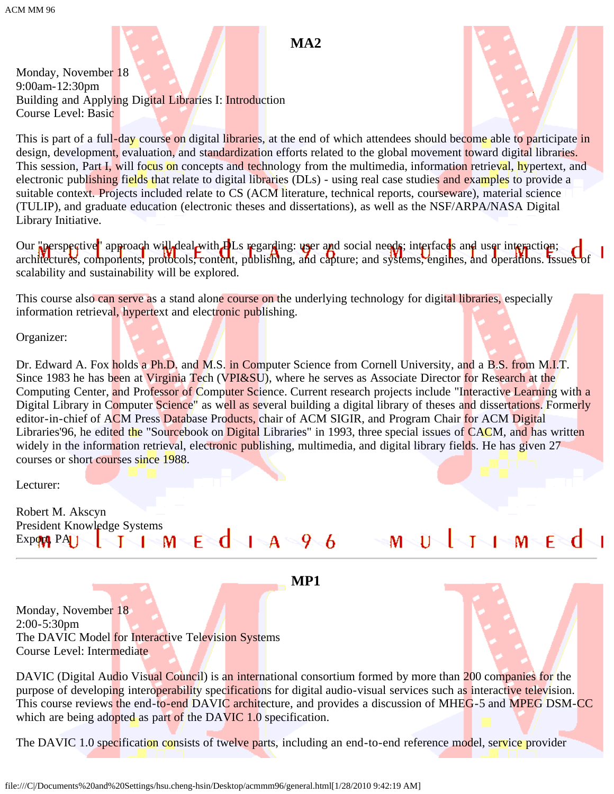Monday, November 18 9:00am-12:30pm Building and Applying Digital Libraries I: Introduction Course Level: Basic



This is part of a full-day course on digital libraries, at the end of which attendees should become able to participate in design, development, evaluation, and standardization efforts related to the global movement toward digital libraries. This session, Part I, will focus on concepts and technology from the multimedia, information retrieval, hypertext, and electronic publishing fields that relate to digital libraries (DLs) - using real case studies and examples to provide a suitable context. Projects included relate to CS (ACM literature, technical reports, courseware), material science (TULIP), and graduate education (electronic theses and dissertations), as well as the NSF/ARPA/NASA Digital Library Initiative.

Our "perspective" approach will deal with **D**Ls regarding: user and social needs; interfaces and user interaction; architectures, components, protocols; content, publishing, and capture; and systems, engines, and operations. Issues of scalability and sustainability will be explored.

This course also can serve as a stand alone course on the underlying technology for digital libraries, especially information retrieval, hypertext and electronic publishing.

Organizer:

Dr. Edward A. Fox holds a Ph.D. and M.S. in Computer Science from Cornell University, and a B.S. from M.I.T. Since 1983 he has been at Virginia Tech (VPI&SU), where he serves as Associate Director for Research at the Computing Center, and Professor of Computer Science. Current research projects include "Interactive Learning with a Digital Library in Computer Science" as well as several building a digital library of theses and dissertations. Formerly editor-in-chief of ACM Press Database Products, chair of ACM SIGIR, and Program Chair for ACM Digital Libraries'96, he edited the "Sourcebook on Digital Libraries" in 1993, three special issues of CACM, and has written widely in the information retrieval, electronic publishing, multimedia, and digital library fields. He has given 27 courses or short courses since 1988.

Lecturer:

Robert M. Akscyn President Knowledge Systems  $E \cdot d$   $A \cdot 9$   $6$   $M \cdot U \cdot 1$   $M \cdot E \cdot d$  $Expq$ **x**  $PA$   $\rightarrow$   $I \rightarrow M$ 

**MP1**

Monday, November 18 2:00-5:30pm The DAVIC Model for Interactive Television Systems Course Level: Intermediate

DAVIC (Digital Audio Visual Council) is an international consortium formed by more than 200 companies for the purpose of developing interoperability specifications for digital audio-visual services such as interactive television. This course reviews the end-to-end DAVIC architecture, and provides a discussion of MHEG-5 and MPEG DSM-CC which are being adopted as part of the DAVIC 1.0 specification.

The DAVIC 1.0 specification consists of twelve parts, including an end-to-end reference model, service provider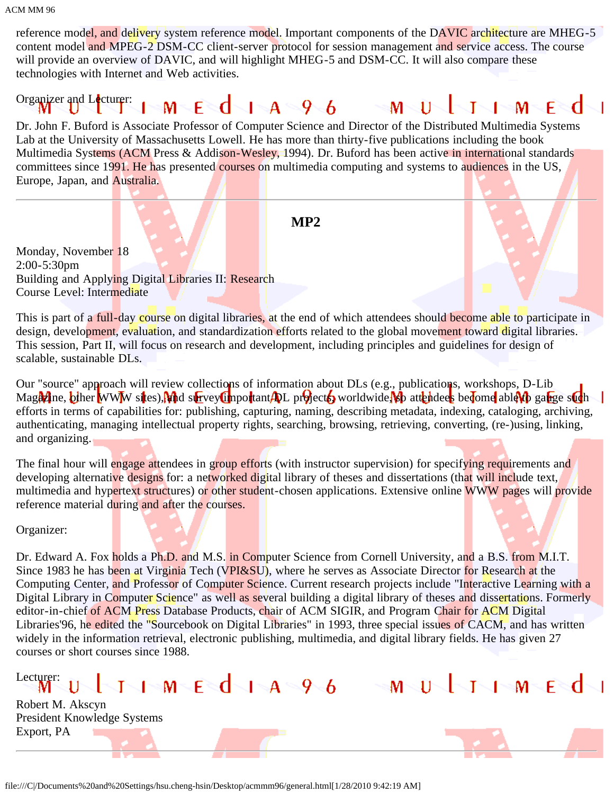reference model, and delivery system reference model. Important components of the DAVIC architecture are MHEG-5 content model and MPEG-2 DSM-CC client-server protocol for session management and service access. The course will provide an overview of DAVIC, and will highlight MHEG-5 and DSM-CC. It will also compare these technologies with Internet and Web activities.

#### Organizer and Lecturer:  $E \cdot d$   $A \cdot 9$  6  $M \setminus U$  $\sqrt{M}$ M – т

Dr. John F. Buford is Associate Professor of Computer Science and Director of the Distributed Multimedia Systems Lab at the University of Massachusetts Lowell. He has more than thirty-five publications including the book Multimedia Systems (ACM Press & Addison-Wesley, 1994). Dr. Buford has been active in international standards committees since 1991. He has presented courses on multimedia computing and systems to audiences in the US, Europe, Japan, and Australia.

**MP2**

Monday, November 18 2:00-5:30pm Building and Applying Digital Libraries II: Research Course Level: Intermediate

This is part of a full-day course on digital libraries, at the end of which attendees should become able to participate in design, development, evaluation, and standardization efforts related to the global movement toward digital libraries. This session, Part II, will focus on research and development, including principles and guidelines for design of scalable, sustainable DLs.

Our "source" approach will review collections of information about DLs (e.g., publications, workshops, D-Lib Magazine, other WWW sites), and survey timportant ADL projects worldwide, so attendees become able to gauge such efforts in terms of capabilities for: publishing, capturing, naming, describing metadata, indexing, cataloging, archiving, authenticating, managing intellectual property rights, searching, browsing, retrieving, converting, (re-)using, linking, and organizing.

The final hour will engage attendees in group efforts (with instructor supervision) for specifying requirements and developing alternative designs for: a networked digital library of theses and dissertations (that will include text, multimedia and hypertext structures) or other student-chosen applications. Extensive online WWW pages will provide reference material during and after the courses.

Organizer:

Dr. Edward A. Fox holds a Ph.D. and M.S. in Computer Science from Cornell University, and a B.S. from M.I.T. Since 1983 he has been at Virginia Tech (VPI&SU), where he serves as Associate Director for Research at the Computing Center, and Professor of Computer Science. Current research projects include "Interactive Learning with a Digital Library in Computer Science" as well as several building a digital library of theses and dissertations. Formerly editor-in-chief of ACM Press Database Products, chair of ACM SIGIR, and Program Chair for ACM Digital Libraries'96, he edited the "Sourcebook on Digital Libraries" in 1993, three special issues of CACM, and has written widely in the information retrieval, electronic publishing, multimedia, and digital library fields. He has given 27 courses or short courses since 1988.

### Lecturer:  $1 - 1 - M - E - 1 - A - 9 - 6$

Robert M. Akscyn President Knowledge Systems Export, PA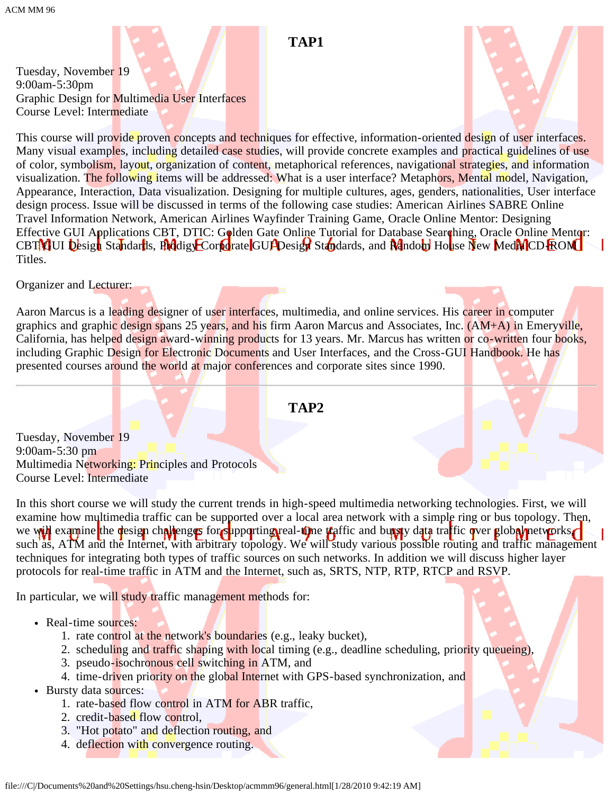### **TAP1**

Tuesday, November 19 9:00am-5:30pm Graphic Design for Multimedia User Interfaces Course Level: Intermediate

This course will provide proven concepts and techniques for effective, information-oriented design of user interfaces. Many visual examples, including detailed case studies, will provide concrete examples and practical guidelines of use of color, symbolism, layout, organization of content, metaphorical references, navigational strategies, and information visualization. The following items will be addressed: What is a user interface? Metaphors, Mental model, Navigation, Appearance, Interaction, Data visualization. Designing for multiple cultures, ages, genders, nationalities, User interface design process. Issue will be discussed in terms of the following case studies: American Airlines SABRE Online Travel Information Network, American Airlines Wayfinder Training Game, Oracle Online Mentor: Designing Effective GUI Applications CBT, DTIC: Golden Gate Online Tutorial for Database Searching, Oracle Online Mentor: CBT GUI Design Standards, Prodigy Corporate GUI Design Standards, and Random House New Media CD-ROM Titles.

Organizer and Lecturer:

Aaron Marcus is a leading designer of user interfaces, multimedia, and online services. His career in computer graphics and graphic design spans 25 years, and his firm Aaron Marcus and Associates, Inc. (AM+A) in Emeryville, California, has helped design award-winning products for 13 years. Mr. Marcus has written or co-written four books, including Graphic Design for Electronic Documents and User Interfaces, and the Cross-GUI Handbook. He has presented courses around the world at major conferences and corporate sites since 1990.

### **TAP2**

Tuesday, November 19 9:00am-5:30 pm Multimedia Networking: Principles and Protocols Course Level: Intermediate

In this short course we will study the current trends in high-speed multimedia networking technologies. First, we will examine how multimedia traffic can be supported over a local area network with a simple ring or bus topology. Then, we will examine the design challenges for supporting real-time traffic and bursty data traffic over global networks such as, ATM and the Internet, with arbitrary topology. We will study various possible routing and traffic management techniques for integrating both types of traffic sources on such networks. In addition we will discuss higher layer protocols for real-time traffic in ATM and the Internet, such as, SRTS, NTP, RTP, RTCP and RSVP.

In particular, we will study traffic management methods for:

- Real-time sources:
	- 1. rate control at the network's boundaries (e.g., leaky bucket),
	- 2. scheduling and traffic shaping with local timing (e.g., deadline scheduling, priority queueing),
	- 3. pseudo-isochronous cell switching in ATM, and
	- 4. time-driven priority on the global Internet with GPS-based synchronization, and
- Bursty data sources:
	- 1. rate-based flow control in ATM for ABR traffic,
	- 2. credit-based flow control,
	- 3. "Hot potato" and deflection routing, and
	- 4. deflection with convergence routing.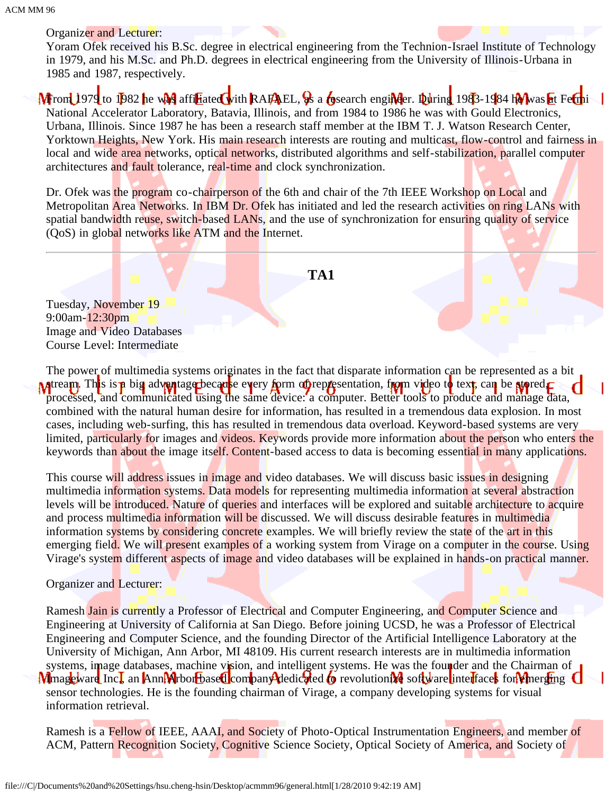### Organizer and Lecturer:

Yoram Ofek received his B.Sc. degree in electrical engineering from the Technion-Israel Institute of Technology in 1979, and his M.Sc. and Ph.D. degrees in electrical engineering from the University of Illinois-Urbana in 1985 and 1987, respectively.

MFrom 1979 to 1982 he was affiliated with RAFAEL, as a cosearch engineer. During 1983-1984 he was at Fermi National Accelerator Laboratory, Batavia, Illinois, and from 1984 to 1986 he was with Gould Electronics, Urbana, Illinois. Since 1987 he has been a research staff member at the IBM T. J. Watson Research Center, Yorktown Heights, New York. His main research interests are routing and multicast, flow-control and fairness in local and wide area networks, optical networks, distributed algorithms and self-stabilization, parallel computer architectures and fault tolerance, real-time and clock synchronization.

Dr. Ofek was the program co-chairperson of the 6th and chair of the 7th IEEE Workshop on Local and Metropolitan Area Networks. In IBM Dr. Ofek has initiated and led the research activities on ring LANs with spatial bandwidth reuse, switch-based LANs, and the use of synchronization for ensuring quality of service (QoS) in global networks like ATM and the Internet.



Tuesday, November 19 9:00am-12:30pm Image and Video Databases Course Level: Intermediate

The power of multimedia systems originates in the fact that disparate information can be represented as a bit **M** atream. This is **a** big advantage because every form of representation, from video to text, can be stored. processed, and communicated using the same device: a computer. Better tools to produce and manage data, combined with the natural human desire for information, has resulted in a tremendous data explosion. In most cases, including web-surfing, this has resulted in tremendous data overload. Keyword-based systems are very limited, particularly for images and videos. Keywords provide more information about the person who enters the keywords than about the image itself. Content-based access to data is becoming essential in many applications.

This course will address issues in image and video databases. We will discuss basic issues in designing multimedia information systems. Data models for representing multimedia information at several abstraction levels will be introduced. Nature of queries and interfaces will be explored and suitable architecture to acquire and process multimedia information will be discussed. We will discuss desirable features in multimedia information systems by considering concrete examples. We will briefly review the state of the art in this emerging field. We will present examples of a working system from Virage on a computer in the course. Using Virage's system different aspects of image and video databases will be explained in hands-on practical manner.

### Organizer and Lecturer:

Ramesh Jain is currently a Professor of Electrical and Computer Engineering, and Computer Science and Engineering at University of California at San Diego. Before joining UCSD, he was a Professor of Electrical Engineering and Computer Science, and the founding Director of the Artificial Intelligence Laboratory at the University of Michigan, Ann Arbor, MI 48109. His current research interests are in multimedia information systems, image databases, machine vision, and intelligent systems. He was the founder and the Chairman of Mmageware Inc., an Ann Arbor based company dedicated to revolutionize software interfaces for emerging sensor technologies. He is the founding chairman of Virage, a company developing systems for visual information retrieval.

Ramesh is a Fellow of IEEE, AAAI, and Society of Photo-Optical Instrumentation Engineers, and member of ACM, Pattern Recognition Society, Cognitive Science Society, Optical Society of America, and Society of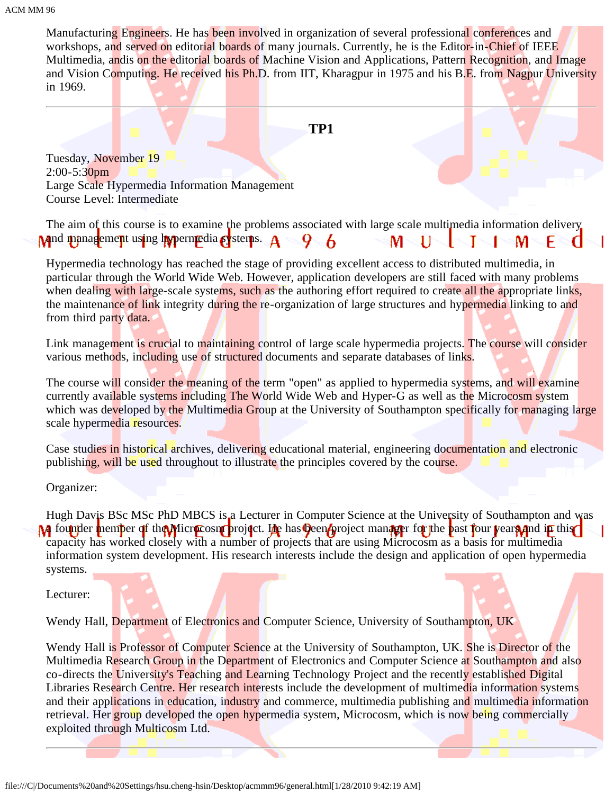Manufacturing Engineers. He has been involved in organization of several professional conferences and workshops, and served on editorial boards of many journals. Currently, he is the Editor-in-Chief of IEEE Multimedia, andis on the editorial boards of Machine Vision and Applications, Pattern Recognition, and Image and Vision Computing. He received his Ph.D. from IIT, Kharagpur in 1975 and his B.E. from Nagpur University in 1969.

### **TP1**

Tuesday, November 19 2:00-5:30pm Large Scale Hypermedia Information Management Course Level: Intermediate

The aim of this course is to examine the problems associated with large scale multimedia information delivery Mand management using hypermedia systems.  $A \leq Q \leq 6$  $M - 11$ м

Hypermedia technology has reached the stage of providing excellent access to distributed multimedia, in particular through the World Wide Web. However, application developers are still faced with many problems when dealing with large-scale systems, such as the authoring effort required to create all the appropriate links, the maintenance of link integrity during the re-organization of large structures and hypermedia linking to and from third party data.

Link management is crucial to maintaining control of large scale hypermedia projects. The course will consider various methods, including use of structured documents and separate databases of links.

The course will consider the meaning of the term "open" as applied to hypermedia systems, and will examine currently available systems including The World Wide Web and Hyper-G as well as the Microcosm system which was developed by the Multimedia Group at the University of Southampton specifically for managing large scale hypermedia resources.

Case studies in historical archives, delivering educational material, engineering documentation and electronic publishing, will be used throughout to illustrate the principles covered by the course.

Organizer:

Hugh Davis BSc MSc PhD MBCS is a Lecturer in Computer Science at the University of Southampton and was **A** founder member of the Microcosm project. He has been project manager for the past four vears and in this capacity has worked closely with a number of projects that are using Microcosm as a basis for multimedia information system development. His research interests include the design and application of open hypermedia systems.

Lecturer:

Wendy Hall, Department of Electronics and Computer Science, University of Southampton, UK

Wendy Hall is Professor of Computer Science at the University of Southampton, UK. She is Director of the Multimedia Research Group in the Department of Electronics and Computer Science at Southampton and also co-directs the University's Teaching and Learning Technology Project and the recently established Digital Libraries Research Centre. Her research interests include the development of multimedia information systems and their applications in education, industry and commerce, multimedia publishing and multimedia information retrieval. Her group developed the open hypermedia system, Microcosm, which is now being commercially exploited through Multicosm Ltd.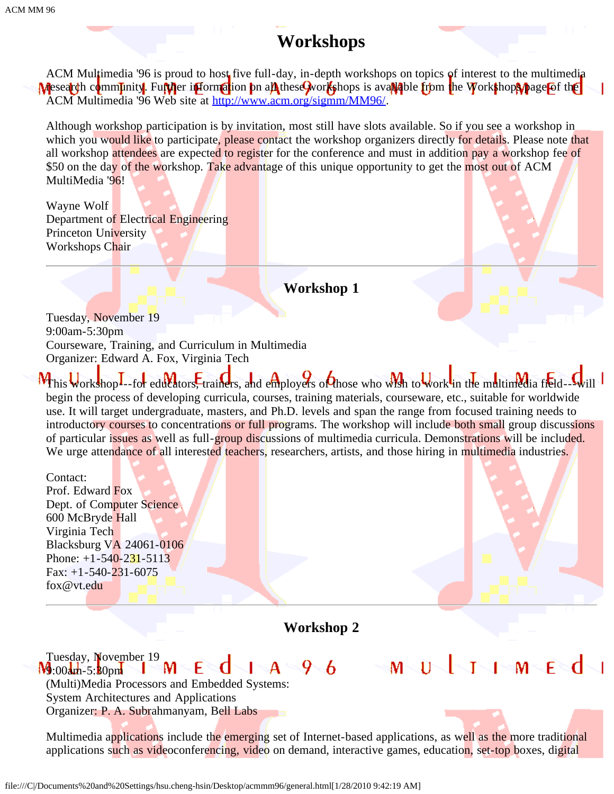## **Workshops**

ACM Multimedia '96 is proud to host five full-day, in-depth workshops on topics of interest to the multimedia Mesearch community. Further information on all these workshops is available from the Workshops page of the ACM Multimedia '96 Web site at [http://www.acm.org/sigmm/MM96/](javascript:if(confirm().

Although workshop participation is by invitation, most still have slots available. So if you see a workshop in which you would like to participate, please contact the workshop organizers directly for details. Please note that all workshop attendees are expected to register for the conference and must in addition pay a workshop fee of \$50 on the day of the workshop. Take advantage of this unique opportunity to get the most out of ACM MultiMedia '96!

Wayne Wolf Department of Electrical Engineering Princeton University Workshops Chair

**Workshop 1**

Tuesday, November 19 9:00am-5:30pm Courseware, Training, and Curriculum in Multimedia Organizer: Edward A. Fox, Virginia Tech

This workshop---for educators, trainers, and employers of those who wish to work in the multimedia fieldbegin the process of developing curricula, courses, training materials, courseware, etc., suitable for worldwide use. It will target undergraduate, masters, and Ph.D. levels and span the range from focused training needs to introductory courses to concentrations or full programs. The workshop will include both small group discussions of particular issues as well as full-group discussions of multimedia curricula. Demonstrations will be included. We urge attendance of all interested teachers, researchers, artists, and those hiring in multimedia industries.

Contact: Prof. Edward Fox Dept. of Computer Science. 600 McBryde Hall Virginia Tech Blacksburg VA 24061-0106 Phone:  $+1-540-231-5113$ Fax:  $+1-540-231-6075$ fox@vt.edu

**Workshop 2**

Tuesday, November 19<br>**4** 00am-5:80pm  $J \setminus I$  M  $\in$  d 96  $I \setminus A$  $\lhd$ F  $W_{\frac{1}{2}00}$  :00am-5:30pm (Multi)Media Processors and Embedded Systems: System Architectures and Applications Organizer: P. A. Subrahmanyam, Bell Labs

Multimedia applications include the emerging set of Internet-based applications, as well as the more traditional applications such as videoconferencing, video on demand, interactive games, education, set-top boxes, digital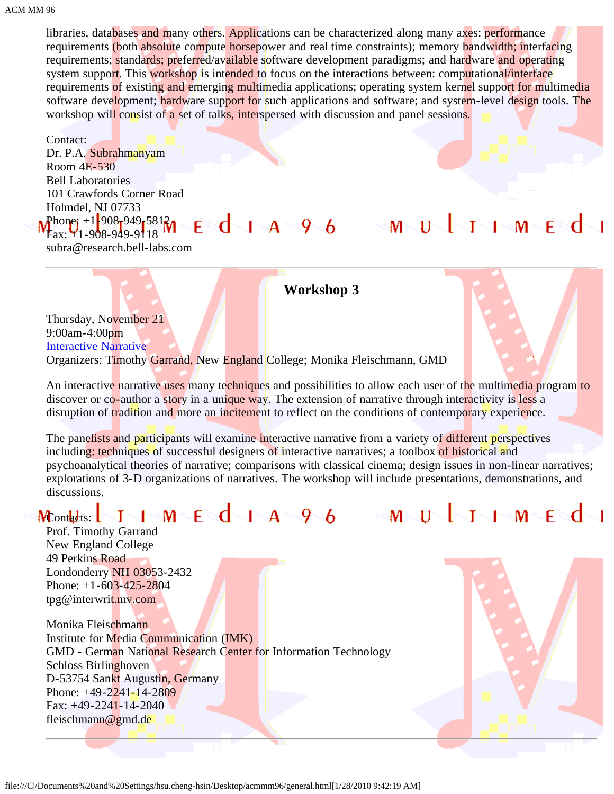libraries, databases and many others. Applications can be characterized along many axes: performance requirements (both absolute compute horsepower and real time constraints); memory bandwidth; interfacing requirements; standards; preferred/available software development paradigms; and hardware and operating system support. This workshop is intended to focus on the interactions between: computational/interface requirements of existing and emerging multimedia applications; operating system kernel support for multimedia software development; hardware support for such applications and software; and system-level design tools. The workshop will consist of a set of talks, interspersed with discussion and panel sessions.

Contact: Dr. P.A. Subrahmanyam Room 4E-530 Bell Laboratories 101 Crawfords Corner Road Holmdel, NJ 07733 Phone:  $+1\frac{1}{2}908\frac{1}{2}949\frac{1}{2}5812$ Fax: +1-908-949-9118

subra@research.bell-labs.com

### **Workshop 3**

 $M<$ 

 $\overline{1}$ 

T

Thursday, November 21 9:00am-4:00pm [Interactive Narrative](javascript:if(confirm() Organizers: Timothy Garrand, New England College; Monika Fleischmann, GMD

An interactive narrative uses many techniques and possibilities to allow each user of the multimedia program to discover or co-author a story in a unique way. The extension of narrative through interactivity is less a disruption of tradition and more an incitement to reflect on the conditions of contemporary experience.

The panelists and participants will examine interactive narrative from a variety of different perspectives including: techniques of successful designers of interactive narratives; a toolbox of historical and psychoanalytical theories of narrative; comparisons with classical cinema; design issues in non-linear narratives; explorations of 3-D organizations of narratives. The workshop will include presentations, demonstrations, and discussions.

## Moontacts:  $\begin{array}{|c|c|c|c|c|}\n\hline\nI & I & M & E & J & A & 9 & 6 & & M & U & \ \hline\n\end{array}$

Prof. Timothy Garrand New England College 49 Perkins Road Londonderry NH 03053-2432 Phone: +1-603-425-2804 tpg@interwrit.mv.com

Monika Fleischmann Institute for Media Communication (IMK) GMD - German National Research Center for Information Technology Schloss Birlinghoven D-53754 Sankt Augustin, Germany Phone: +49-2241-14-2809 Fax: +49-2241-14-2040 fleischmann@gmd.de



ऻ॒ऻॾॴॾख़

 $1-M-E^d$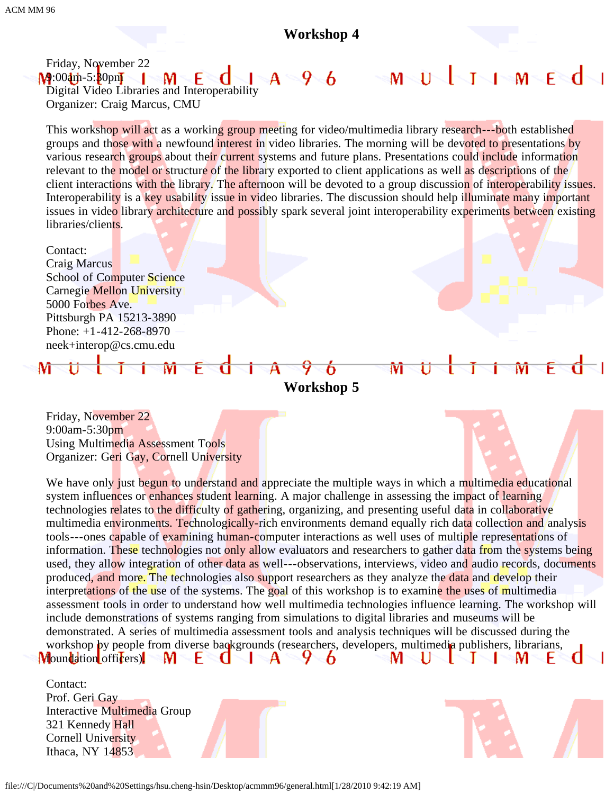### **Workshop 4**

MNUNINININIENdNI

M

Friday, November 22  $M:00$ am-5: $30$ pm  $^{\circ}$  M  $^{\circ}$ F Digital Video Libraries and Interoperability Organizer: Craig Marcus, CMU

This workshop will act as a working group meeting for video/multimedia library research---both established groups and those with a newfound interest in video libraries. The morning will be devoted to presentations by various research groups about their current systems and future plans. Presentations could include information relevant to the model or structure of the library exported to client applications as well as descriptions of the client interactions with the library. The afternoon will be devoted to a group discussion of interoperability issues. Interoperability is a key usability issue in video libraries. The discussion should help illuminate many important issues in video library architecture and possibly spark several joint interoperability experiments between existing libraries/clients.

Contact: Craig Marcus School of Computer Science Carnegie Mellon University 5000 Forbes Ave. Pittsburgh PA 15213-3890 Phone: +1-412-268-8970 neek+interop@cs.cmu.edu

**Workshop 5**

 $\overline{O}$ 

Friday, November 22 9:00am-5:30pm Using Multimedia Assessment Tools Organizer: Geri Gay, Cornell University

M

We have only just begun to understand and appreciate the multiple ways in which a multimedia educational system influences or enhances student learning. A major challenge in assessing the impact of learning technologies relates to the difficulty of gathering, organizing, and presenting useful data in collaborative multimedia environments. Technologically-rich environments demand equally rich data collection and analysis tools---ones capable of examining human-computer interactions as well uses of multiple representations of information. These technologies not only allow evaluators and researchers to gather data from the systems being used, they allow integration of other data as well---observations, interviews, video and audio records, documents produced, and more. The technologies also support researchers as they analyze the data and develop their interpretations of the use of the systems. The goal of this workshop is to examine the uses of multimedia assessment tools in order to understand how well multimedia technologies influence learning. The workshop will include demonstrations of systems ranging from simulations to digital libraries and museums will be demonstrated. A series of multimedia assessment tools and analysis techniques will be discussed during the workshop by people from diverse backgrounds (researchers, developers, multimedia publishers, librarians, M - C  $\mathbf{A}$ 9 6 U M **Moundation** officers) H. S. M J.

| Contact:<br>Prof. Geri Gay   |  |  |
|------------------------------|--|--|
|                              |  |  |
| Interactive Multimedia Group |  |  |
| 321 Kennedy Hall             |  |  |
| Cornell University           |  |  |
| Ithaca, NY $14853$           |  |  |
|                              |  |  |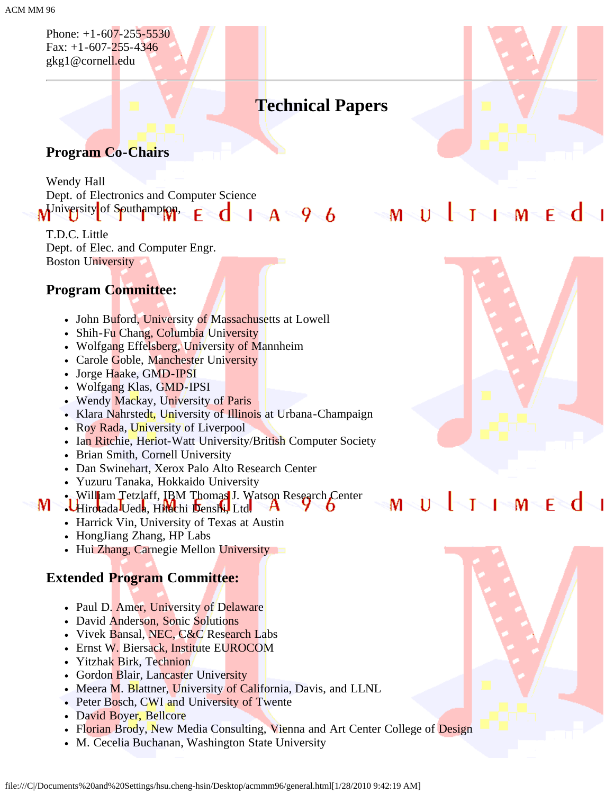Phone: +1-607-255-5530 Fax:  $+1-607-255-4346$ gkg1@cornell.edu

# **Technical Papers**

### **Program Co-Chairs**

Wendy Hall Dept. of Electronics and Computer Science Miversity of Southampton, đ F

T.D.C. Little Dept. of Elec. and Computer Engr. Boston University

### **Program Committee:**

- John Buford, University of Massachusetts at Lowell
- Shih-Fu Chang, Columbia University
- Wolfgang Effelsberg, University of Mannheim
- Carole Goble, Manchester University
- Jorge Haake, GMD-IPSI
- Wolfgang Klas, GMD-IPSI
- Wendy Mackay, University of Paris
- Klara Nahrstedt, University of Illinois at Urbana-Champaign
- Roy Rada, University of Liverpool
- Ian Ritchie, Heriot-Watt University/British Computer Society
- Brian Smith, Cornell University
- Dan Swinehart, Xerox Palo Alto Research Center
- Yuzuru Tanaka, Hokkaido University
- . William Tetzlaff, IBM Thomas J. Watson Research Center M Hirotada Ueda, Hitachi Denshi, Ltd.
	- Harrick Vin, University of Texas at Austin
	- HongJiang Zhang, HP Labs
	- Hui Zhang, Carnegie Mellon University

### **Extended Program Committee:**

- Paul D. Amer, University of Delaware
- David Anderson, Sonic Solutions
- Vivek Bansal, NEC, C&C Research Labs
- Ernst W. Biersack, Institute EUROCOM
- Yitzhak Birk, Technion
- Gordon Blair, Lancaster University
- Meera M. Blattner, University of California, Davis, and LLNL
- Peter Bosch, CWI and University of Twente
- David Boyer, Bellcore
- Florian Brody, New Media Consulting, Vienna and Art Center College of Design
- M. Cecelia Buchanan, Washington State University



# MUJJHMEd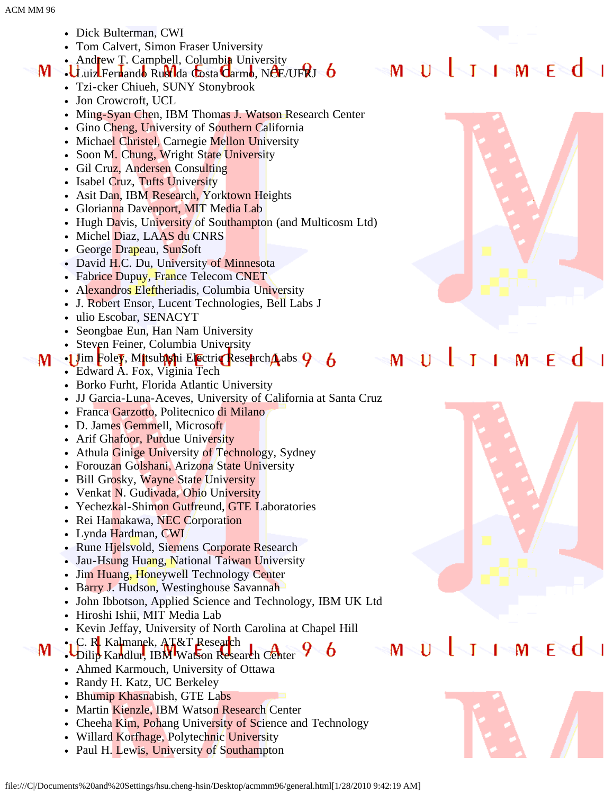- Dick Bulterman, CWI
- Tom Calvert, Simon Fraser University
- Andrew T. Campbell, Columbia University M.
	- $\cdot$ Luiz Fernando Rust da Costa Carmo, NCE/UFRJ 6
		- Tzi-cker Chiueh, SUNY Stonybrook
		- Jon Crowcroft, UCL
		- Ming-Syan Chen, IBM Thomas J. Watson Research Center
		- Gino Cheng, University of Southern California
		- Michael Christel, Carnegie Mellon University
		- Soon M. Chung, Wright State University
		- Gil Cruz, Andersen Consulting
		- Isabel Cruz, Tufts University
		- Asit Dan, IBM Research, Yorktown Heights
		- Glorianna Davenport, MIT Media Lab
		- Hugh Davis, University of Southampton (and Multicosm Ltd)
		- Michel Diaz, LAAS du CNRS
		- George Drapeau, SunSoft
		- David H.C. Du, University of Minnesota
		- Fabrice Dupuy, France Telecom CNET
		- Alexandros Eleftheriadis, Columbia University
		- J. Robert Ensor, Lucent Technologies, Bell Labs J
		- ulio Escobar, SENACYT
		- Seongbae Eun, Han Nam University
		- Steven Feiner, Columbia University
- $\cdot$ 1 Jim Foley, Mitsubishi Electric Research Labs  $9\,$  6 M
	- Edward A. Fox, Viginia Tech
	- Borko Furht, Florida Atlantic University
	- JJ Garcia-Luna-Aceves, University of California at Santa Cruz
	- Franca Garzotto, Politecnico di Milano
	- D. James Gemmell, Microsoft
	- Arif Ghafoor, Purdue University
	- Athula Ginige University of Technology, Sydney
	- Forouzan Golshani, Arizona State University
	- Bill Grosky, Wayne State University
	- Venkat N. Gudivada, Ohio University
	- Yechezkal-Shimon Gutfreund, GTE Laboratories
	- Rei Hamakawa, NEC Corporation
	- Lynda Hardman, CWI
	- Rune Hjelsvold, Siemens Corporate Research
	- Jau-Hsung Huang, National Taiwan University
	- Jim Huang, Honeywell Technology Center
	- Barry J. Hudson, Westinghouse Savannah
	- John Ibbotson, Applied Science and Technology, IBM UK Ltd
	- Hiroshi Ishii, MIT Media Lab
	- Kevin Jeffay, University of North Carolina at Chapel Hill
- •, C. R. Kalmanek, AT&T Research M . Dilip Kandlur, IBM Watson Research Center
	- Ahmed Karmouch, University of Ottawa
	- Randy H. Katz, UC Berkeley
	- Bhumip Khasnabish, GTE Labs
	- Martin Kienzle, IBM Watson Research Center
	- Cheeha Kim, Pohang University of Science and Technology
	- Willard Korfhage, Polytechnic University
	- Paul H. Lewis, University of Southampton

# MUJJIMEd



#### √l∿T∑l≫M∿ F ेत  $\mathsf{M}^ \Gamma$





 $\mathbf{M}$ 

M

6

11

F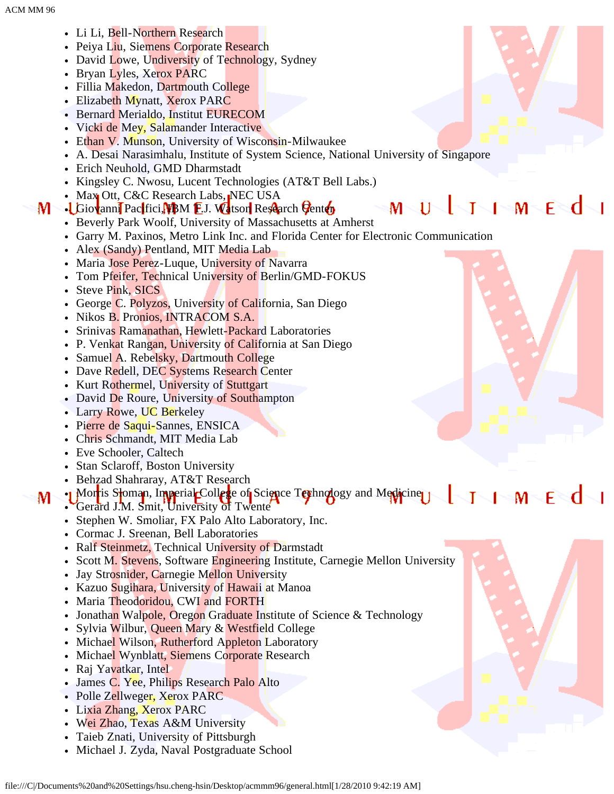- Li Li, Bell-Northern Research
- Peiya Liu, Siemens Corporate Research
- David Lowe, Undiversity of Technology, Sydney
- Bryan Lyles, Xerox PARC
- Fillia Makedon, Dartmouth College
- Elizabeth Mynatt, Xerox PARC
- Bernard Merialdo, Institut EURECOM
- Vicki de Mey, Salamander Interactive
- Ethan V. Munson, University of Wisconsin-Milwaukee
- A. Desai Narasimhalu, Institute of System Science, National University of Singapore
- Erich Neuhold, GMD Dharmstadt
- Kingsley C. Nwosu, Lucent Technologies (AT&T Bell Labs.)
- Max Ott, C&C Research Labs, NEC USA M-

### • Giovanni Pacifici, **IBM E.J. Watson Research Center**

- Beverly Park Woolf, University of Massachusetts at Amherst
- Garry M. Paxinos, Metro Link Inc. and Florida Center for Electronic Communication
- Alex (Sandy) Pentland, MIT Media Lab
- Maria Jose Perez-Luque, University of Navarra
- Tom Pfeifer, Technical University of Berlin/GMD-FOKUS
- Steve Pink, SICS
- George C. Polyzos, University of California, San Diego
- Nikos B. Pronios, INTRACOM S.A.
- Srinivas Ramanathan, Hewlett-Packard Laboratories
- P. Venkat Rangan, University of California at San Diego
- Samuel A. Rebelsky, Dartmouth College
- Dave Redell, DEC Systems Research Center
- Kurt Rothermel, University of Stuttgart
- David De Roure, University of Southampton
- Larry Rowe, UC Berkeley
- Pierre de Saqui-Sannes, ENSICA
- Chris Schmandt, MIT Media Lab
- Eve Schooler, Caltech

M

- Stan Sclaroff, Boston University
- Behzad Shahraray, AT&T Research
- Morris Stoman, Imperial College of Science Tophnology and Medicine  $1 - M -$ F <d

M

- Gerard J.M. Smit, University of Twente
	- Stephen W. Smoliar, FX Palo Alto Laboratory, Inc.
	- Cormac J. Sreenan, Bell Laboratories
	- Ralf Steinmetz, Technical University of Darmstadt
	- Scott M. Stevens, Software Engineering Institute, Carnegie Mellon University
- Jay Strosnider, Carnegie Mellon University
- Kazuo Sugihara, University of Hawaii at Manoa
- Maria Theodoridou, CWI and FORTH
- Jonathan Walpole, Oregon Graduate Institute of Science & Technology
- Sylvia Wilbur, Queen Mary & Westfield College
- Michael Wilson, Rutherford Appleton Laboratory
- Michael Wynblatt, Siemens Corporate Research
- Raj Yavatkar, Intel
- James C. Yee, Philips Research Palo Alto
- Polle Zellweger, Xerox PARC
- Lixia Zhang, Xerox PARC
- Wei Zhao, Texas A&M University
- Taieb Znati, University of Pittsburgh
- Michael J. Zyda, Naval Postgraduate School



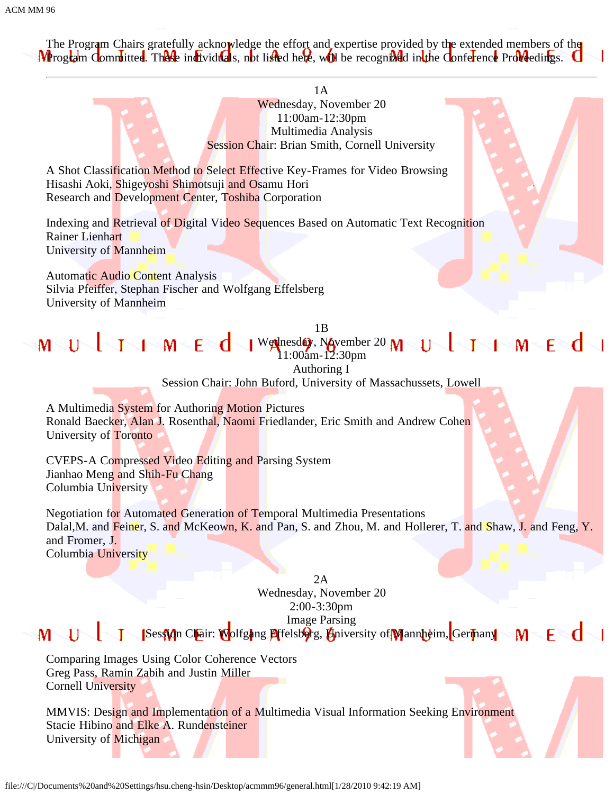The Program Chairs gratefully acknowledge the effort and expertise provided by the extended members of the **Program Committee.** These individuals, not listed here, will be recognized in the Conference Proveedings. G

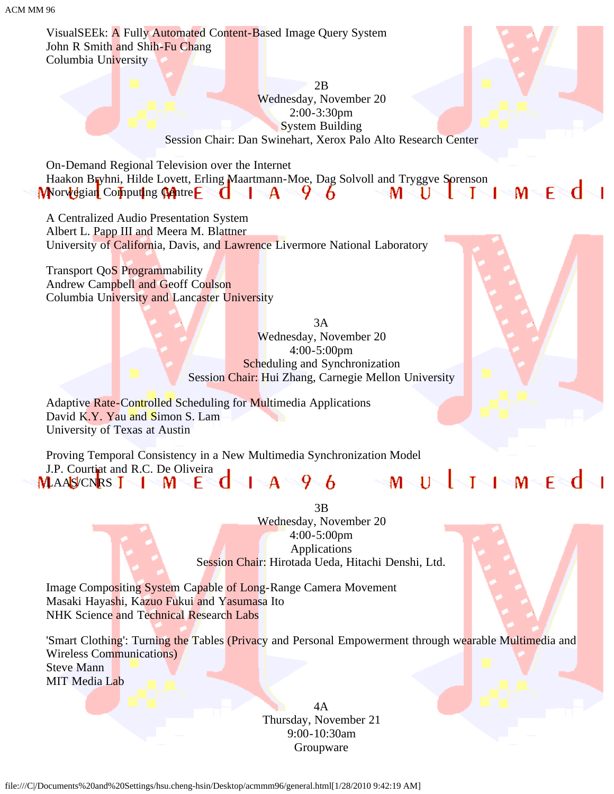VisualSEEk: A Fully Automated Content-Based Image Query System John R Smith and Shih-Fu Chang Columbia University

> 2B Wednesday, November 20 2:00-3:30pm System Building Session Chair: Dan Swinehart, Xerox Palo Alto Research Center

On-Demand Regional Television over the Internet Haakon Bryhni, Hilde Lovett, Erling Maartmann-Moe, Dag Solvoll and Tryggve Sorenson Morvegian Computing Matre E  $\mathbf{d}$  |  $\mathbf{A} \cdot \mathbf{9}$  &  $\mathbf{M} \cdot \mathbf{U}$  |  $\mathbf{I} \cdot \mathbf{I} \cdot \mathbf{M}$  E  $\mathbf{d}$  |

A Centralized Audio Presentation System Albert L. Papp III and Meera M. Blattner University of California, Davis, and Lawrence Livermore National Laboratory

Transport QoS Programmability Andrew Campbell and Geoff Coulson Columbia University and Lancaster University

> 3A Wednesday, November 20 4:00-5:00pm Scheduling and Synchronization Session Chair: Hui Zhang, Carnegie Mellon University

Adaptive Rate-Controlled Scheduling for Multimedia Applications David K.Y. Yau and Simon S. Lam University of Texas at Austin

Proving Temporal Consistency in a New Multimedia Synchronization Model J.P. Courtinat and R.C. De Oliveira **THMEd**  $\sqrt{4}$   $\sqrt{4}$   $\sqrt{6}$  $-M < 1$  $\sim$ MAAS/CNRS T IM EC

3B

Wednesday, November 20 4:00-5:00pm Applications Session Chair: Hirotada Ueda, Hitachi Denshi, Ltd.

Image Compositing System Capable of Long-Range Camera Movement Masaki Hayashi, Kazuo Fukui and Yasumasa Ito NHK Science and Technical Research Labs

'Smart Clothing': Turning the Tables (Privacy and Personal Empowerment through wearable Multimedia and Wireless Communications) Steve Mann MIT Media Lab

> 4A Thursday, November 21 9:00-10:30am Groupware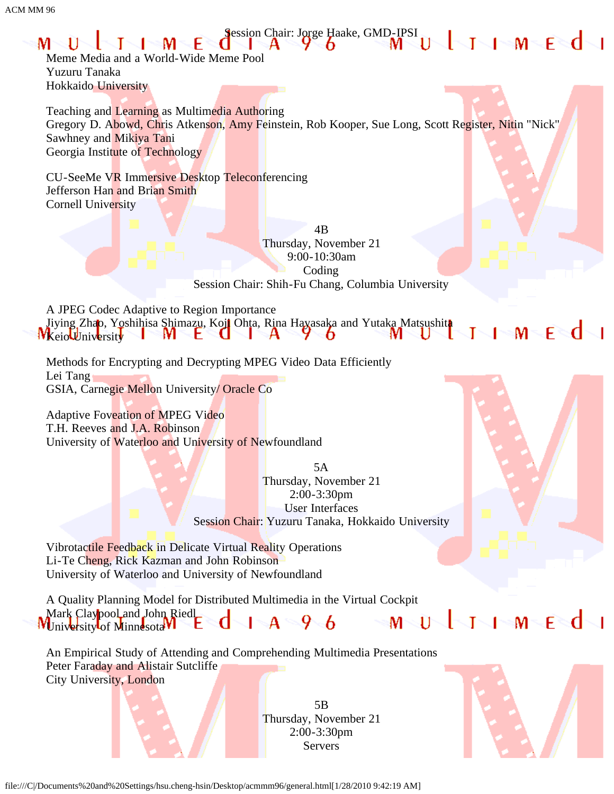

A Quality Planning Model for Distributed Multimedia in the Virtual Cockpit Mark Claypool and John Riedl<br>Iniversity of Minnesota M  $-M < 1$  $A \rightarrow 96$ WUniversity of Minnesotal VI

An Empirical Study of Attending and Comprehending Multimedia Presentations Peter Faraday and Alistair Sutcliffe City University, London

> 5B Thursday, November 21 2:00-3:30pm Servers



 $\Box$ 

file:///C|/Documents%20and%20Settings/hsu.cheng-hsin/Desktop/acmmm96/general.html[1/28/2010 9:42:19 AM]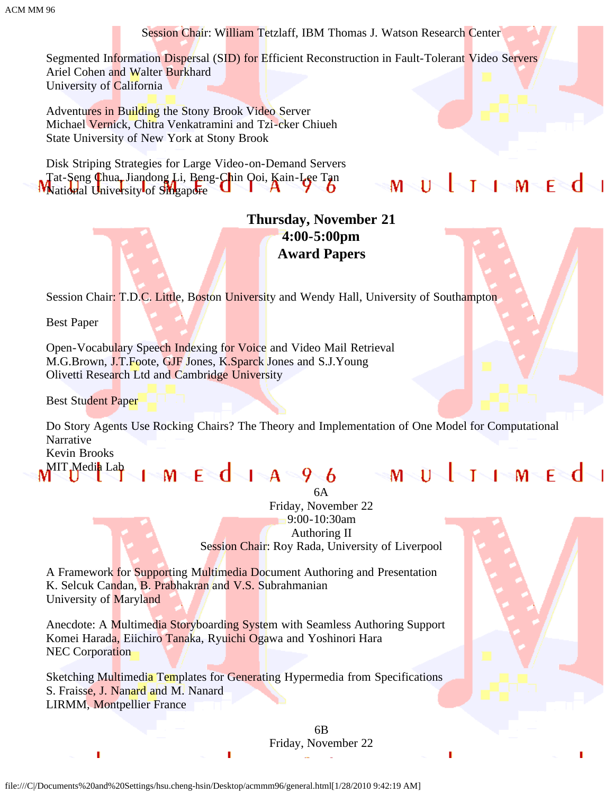Session Chair: William Tetzlaff, IBM Thomas J. Watson Research Center

Segmented Information Dispersal (SID) for Efficient Reconstruction in Fault-Tolerant Video Servers Ariel Cohen and Walter Burkhard University of California

Adventures in Building the Stony Brook Video Server Michael Vernick, Chitra Venkatramini and Tzi-cker Chiueh State University of New York at Stony Brook

Disk Striping Strategies for Large Video-on-Demand Servers Tat-Seng Chua, Jiandong Li, Beng-Chin Qoi, Kain-Lee Tan **W** Vational University of Singapore

# MNUNINININENdH

### **Thursday, November 21 4:00-5:00pm Award Papers**

Session Chair: T.D.C. Little, Boston University and Wendy Hall, University of Southampton

Best Paper

Open-Vocabulary Speech Indexing for Voice and Video Mail Retrieval M.G.Brown, J.T.Foote, GJF Jones, K.Sparck Jones and S.J.Young Olivetti Research Ltd and Cambridge University

Best Student Paper

Do Story Agents Use Rocking Chairs? The Theory and Implementation of One Model for Computational Narrative Kevin Brooks

MIT Media Lab

6A Friday, November 22 9:00-10:30am Authoring II Session Chair: Roy Rada, University of Liverpool

 $1$  M E  $d$  i a 96 M U  $1$  i m E  $d$  i

A Framework for Supporting Multimedia Document Authoring and Presentation K. Selcuk Candan, B. Prabhakran and V.S. Subrahmanian University of Maryland

Anecdote: A Multimedia Storyboarding System with Seamless Authoring Support Komei Harada, Eiichiro Tanaka, Ryuichi Ogawa and Yoshinori Hara NEC Corporation

Sketching Multimedia Templates for Generating Hypermedia from Specifications S. Fraisse, J. Nanard and M. Nanard LIRMM, Montpellier France

> 6B Friday, November 22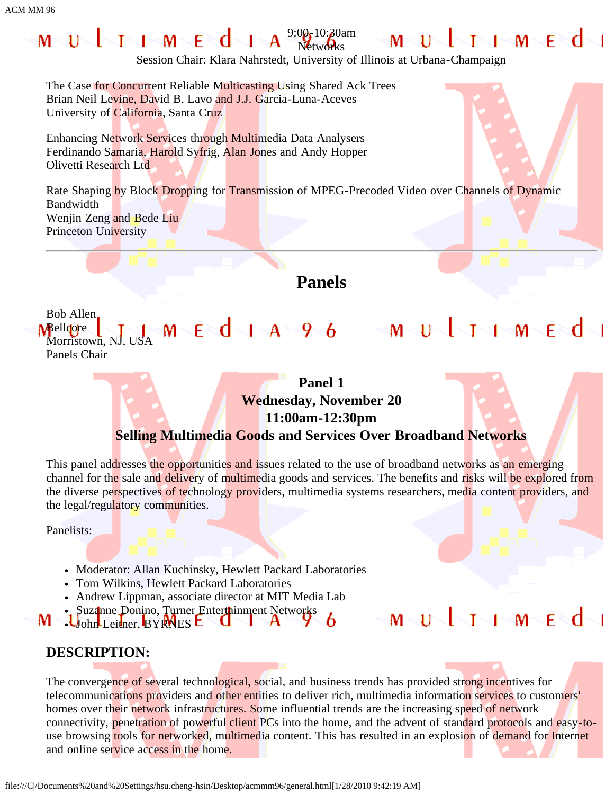#### 9:00<sub>1</sub> 10:20am MWUNNIMENI  $\Box$ M $\in$ d T **Networks**

 $M - E$   $d - 1$   $A - 9$   $6$ 

Session Chair: Klara Nahrstedt, University of Illinois at Urbana-Champaign

The Case for Concurrent Reliable Multicasting Using Shared Ack Trees Brian Neil Levine, David B. Lavo and J.J. Garcia-Luna-Aceves University of California, Santa Cruz

Enhancing Network Services through Multimedia Data Analysers Ferdinando Samaria, Harold Syfrig, Alan Jones and Andy Hopper Olivetti Research Ltd

Rate Shaping by Block Dropping for Transmission of MPEG-Precoded Video over Channels of Dynamic Bandwidth Wenjin Zeng and Bede Liu Princeton University

## **Panels**

Bob Allen Melloore  $1 - 1$ Morristown, NJ, USA Panels Chair

### **Panel 1 Wednesday, November 20 11:00am-12:30pm Selling Multimedia Goods and Services Over Broadband Networks**

This panel addresses the opportunities and issues related to the use of broadband networks as an emerging channel for the sale and delivery of multimedia goods and services. The benefits and risks will be explored from the diverse perspectives of technology providers, multimedia systems researchers, media content providers, and the legal/regulatory communities.

Panelists:

- Moderator: Allan Kuchinsky, Hewlett Packard Laboratories
- Tom Wilkins, Hewlett Packard Laboratories
- Andrew Lippman, associate director at MIT Media Lab
- Suzanne Donino, Turner Entertainment Networks M John Leitner, BYRNES L

 $\mathsf{L}$   $\mathsf{L}$   $\mathsf{L}$   $\mathsf{M}$   $\mathsf{L}$   $\mathsf{F}$   $\mathsf{M}$  $\Gamma$ M

 $\blacksquare$   $\blacksquare$   $\blacksquare$   $\blacksquare$   $\blacksquare$   $\blacksquare$   $\blacksquare$   $\blacksquare$   $\blacksquare$   $\blacksquare$   $\blacksquare$   $\blacksquare$   $\blacksquare$   $\blacksquare$   $\blacksquare$   $\blacksquare$   $\blacksquare$   $\blacksquare$   $\blacksquare$   $\blacksquare$   $\blacksquare$   $\blacksquare$   $\blacksquare$   $\blacksquare$   $\blacksquare$   $\blacksquare$   $\blacksquare$   $\blacksquare$   $\blacksquare$   $\blacksquare$   $\blacksquare$   $\blacks$ 

 $\mathsf{M}\backslash\mathsf{U}\backslash\mathsf{I}$   $\smallsetminus$ 

T

### **DESCRIPTION:**

The convergence of several technological, social, and business trends has provided strong incentives for telecommunications providers and other entities to deliver rich, multimedia information services to customers' homes over their network infrastructures. Some influential trends are the increasing speed of network connectivity, penetration of powerful client PCs into the home, and the advent of standard protocols and easy-touse browsing tools for networked, multimedia content. This has resulted in an explosion of demand for Internet and online service access in the home.

6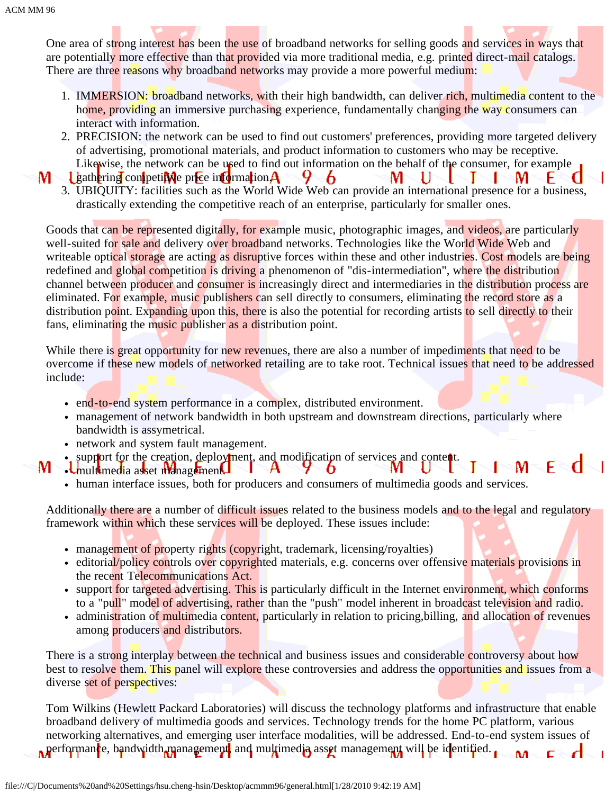One area of strong interest has been the use of broadband networks for selling goods and services in ways that are potentially more effective than that provided via more traditional media, e.g. printed direct-mail catalogs. There are three reasons why broadband networks may provide a more powerful medium:

- 1. IMMERSION: broadband networks, with their high bandwidth, can deliver rich, multimedia content to the home, providing an immersive purchasing experience, fundamentally changing the way consumers can interact with information.
- 2. PRECISION: the network can be used to find out customers' preferences, providing more targeted delivery of advertising, promotional materials, and product information to customers who may be receptive. Likewise, the network can be used to find out information on the behalf of the consumer, for example

-6

M

U

Т

M

н

d

- $\frac{1}{2}$  gathering competitive price information  $\bf{A}$ м
	- 3. UBIQUITY: facilities such as the World Wide Web can provide an international presence for a business, drastically extending the competitive reach of an enterprise, particularly for smaller ones.

9.

Goods that can be represented digitally, for example music, photographic images, and videos, are particularly well-suited for sale and delivery over broadband networks. Technologies like the World Wide Web and writeable optical storage are acting as disruptive forces within these and other industries. Cost models are being redefined and global competition is driving a phenomenon of "dis-intermediation", where the distribution channel between producer and consumer is increasingly direct and intermediaries in the distribution process are eliminated. For example, music publishers can sell directly to consumers, eliminating the record store as a distribution point. Expanding upon this, there is also the potential for recording artists to sell directly to their fans, eliminating the music publisher as a distribution point.

While there is great opportunity for new revenues, there are also a number of impediments that need to be overcome if these new models of networked retailing are to take root. Technical issues that need to be addressed include:

- end-to-end system performance in a complex, distributed environment.
- management of network bandwidth in both upstream and downstream directions, particularly where bandwidth is assymetrical.
- network and system fault management.
- support for the creation, deployment, and modification of services and content. M м
	- .Umultimedia asset management. F human interface issues, both for producers and consumers of multimedia goods and services.

Additionally there are a number of difficult issues related to the business models and to the legal and regulatory framework within which these services will be deployed. These issues include:

- management of property rights (copyright, trademark, licensing/royalties)
- editorial/policy controls over copyrighted materials, e.g. concerns over offensive materials provisions in the recent Telecommunications Act.
- support for targeted advertising. This is particularly difficult in the Internet environment, which conforms to a "pull" model of advertising, rather than the "push" model inherent in broadcast television and radio.
- administration of multimedia content, particularly in relation to pricing, billing, and allocation of revenues among producers and distributors.

There is a strong interplay between the technical and business issues and considerable controversy about how best to resolve them. This panel will explore these controversies and address the opportunities and issues from a diverse set of perspectives:

Tom Wilkins (Hewlett Packard Laboratories) will discuss the technology platforms and infrastructure that enable broadband delivery of multimedia goods and services. Technology trends for the home PC platform, various networking alternatives, and emerging user interface modalities, will be addressed. End-to-end system issues of **performance, bandwidth management**, and multimedia asset management will be identified. ٨A c÷ d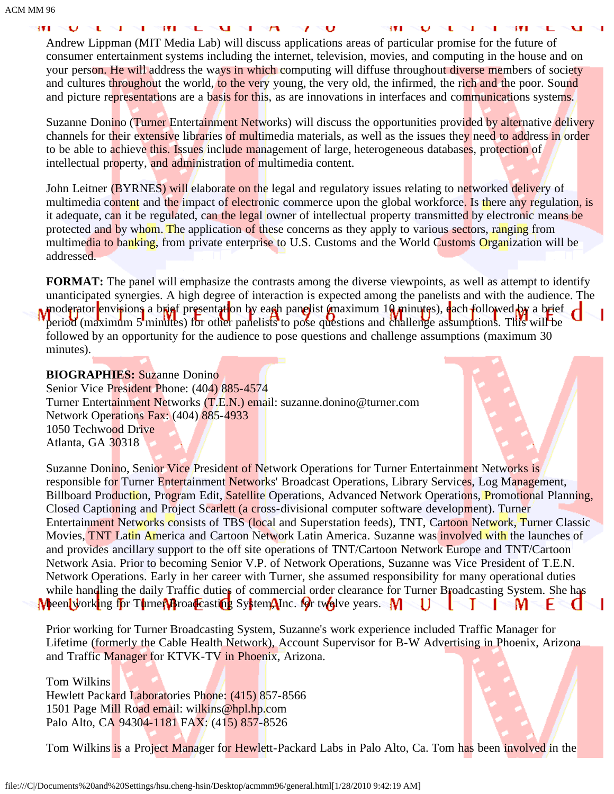39.8

Andrew Lippman (MIT Media Lab) will discuss applications areas of particular promise for the future of consumer entertainment systems including the internet, television, movies, and computing in the house and on your person. He will address the ways in which computing will diffuse throughout diverse members of society and cultures throughout the world, to the very young, the very old, the infirmed, the rich and the poor. Sound and picture representations are a basis for this, as are innovations in interfaces and communications systems.

Suzanne Donino (Turner Entertainment Networks) will discuss the opportunities provided by alternative delivery channels for their extensive libraries of multimedia materials, as well as the issues they need to address in order to be able to achieve this. Issues include management of large, heterogeneous databases, protection of intellectual property, and administration of multimedia content.

John Leitner (BYRNES) will elaborate on the legal and regulatory issues relating to networked delivery of multimedia content and the impact of electronic commerce upon the global workforce. Is there any regulation, is it adequate, can it be regulated, can the legal owner of intellectual property transmitted by electronic means be protected and by whom. The application of these concerns as they apply to various sectors, ranging from multimedia to banking, from private enterprise to U.S. Customs and the World Customs Organization will be addressed.

**FORMAT:** The panel will emphasize the contrasts among the diverse viewpoints, as well as attempt to identify unanticipated synergies. A high degree of interaction is expected among the panelists and with the audience. The moderator envisions a brief presentation by each panelist (maximum 10 minutes), each followed by a brief period (maximum 5 minutes) for other panelists to pose questions and challenge assumptions. This will be followed by an opportunity for the audience to pose questions and challenge assumptions (maximum 30 minutes).

### **BIOGRAPHIES:** Suzanne Donino

Senior Vice President Phone: (404) 885-4574 Turner Entertainment Networks (T.E.N.) email: suzanne.donino@turner.com Network Operations Fax: (404) 885-4933 1050 Techwood Drive Atlanta, GA 30318



Suzanne Donino, Senior Vice President of Network Operations for Turner Entertainment Networks is responsible for Turner Entertainment Networks' Broadcast Operations, Library Services, Log Management, Billboard Production, Program Edit, Satellite Operations, Advanced Network Operations, Promotional Planning, Closed Captioning and Project Scarlett (a cross-divisional computer software development). Turner Entertainment Networks consists of TBS (local and Superstation feeds), TNT, Cartoon Network, Turner Classic Movies, TNT Latin America and Cartoon Network Latin America. Suzanne was involved with the launches of and provides ancillary support to the off site operations of TNT/Cartoon Network Europe and TNT/Cartoon Network Asia. Prior to becoming Senior V.P. of Network Operations, Suzanne was Vice President of T.E.N. Network Operations. Early in her career with Turner, she assumed responsibility for many operational duties while handling the daily Traffic duties of commercial order clearance for Turner Broadcasting System. She has **M** been working for Turner Broadcasting System, Inc. for two lve years. M U т T. M н.

Prior working for Turner Broadcasting System, Suzanne's work experience included Traffic Manager for Lifetime (formerly the Cable Health Network), Account Supervisor for B-W Advertising in Phoenix, Arizona and Traffic Manager for KTVK-TV in Phoenix, Arizona.

Tom Wilkins Hewlett Packard Laboratories Phone: (415) 857-8566 1501 Page Mill Road email: wilkins@hpl.hp.com Palo Alto, CA 94304-1181 FAX: (415) 857-8526

Tom Wilkins is a Project Manager for Hewlett-Packard Labs in Palo Alto, Ca. Tom has been involved in the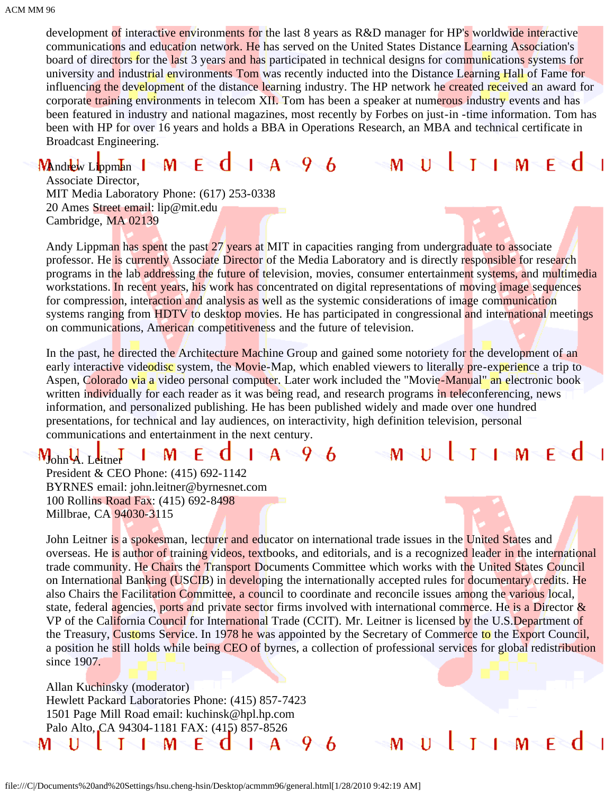development of interactive environments for the last 8 years as R&D manager for HP's worldwide interactive communications and education network. He has served on the United States Distance Learning Association's board of directors for the last 3 years and has participated in technical designs for communications systems for university and industrial environments Tom was recently inducted into the Distance Learning Hall of Fame for influencing the development of the distance learning industry. The HP network he created received an award for corporate training environments in telecom XII. Tom has been a speaker at numerous industry events and has been featured in industry and national magazines, most recently by Forbes on just-in -time information. Tom has been with HP for over 16 years and holds a BBA in Operations Research, an MBA and technical certificate in Broadcast Engineering.

#### $A = 96$ Mandrew Lippman | M F a

11  $\mathsf{I} = \mathsf{M}$ м Т

F

⊥⊸M≂F≋d

M

Associate Director, MIT Media Laboratory Phone: (617) 253-0338 20 Ames Street email: lip@mit.edu Cambridge, MA 02139

Andy Lippman has spent the past 27 years at MIT in capacities ranging from undergraduate to associate professor. He is currently Associate Director of the Media Laboratory and is directly responsible for research programs in the lab addressing the future of television, movies, consumer entertainment systems, and multimedia workstations. In recent years, his work has concentrated on digital representations of moving image sequences for compression, interaction and analysis as well as the systemic considerations of image communication systems ranging from HDTV to desktop movies. He has participated in congressional and international meetings on communications, American competitiveness and the future of television.

In the past, he directed the Architecture Machine Group and gained some notoriety for the development of an early interactive videodisc system, the Movie-Map, which enabled viewers to literally pre-experience a trip to Aspen, Colorado via a video personal computer. Later work included the "Movie-Manual" an electronic book written individually for each reader as it was being read, and research programs in teleconferencing, news information, and personalized publishing. He has been published widely and made over one hundred presentations, for technical and lay audiences, on interactivity, high definition television, personal communications and entertainment in the next century.

#### $1-A=9.6$ F м a Mohn A. Leitner

President & CEO Phone: (415) 692-1142 BYRNES email: john.leitner@byrnesnet.com 100 Rollins Road Fax: (415) 692-8498 Millbrae, CA 94030-3115

John Leitner is a spokesman, lecturer and educator on international trade issues in the United States and overseas. He is author of training videos, textbooks, and editorials, and is a recognized leader in the international trade community. He Chairs the Transport Documents Committee which works with the United States Council on International Banking (USCIB) in developing the internationally accepted rules for documentary credits. He also Chairs the Facilitation Committee, a council to coordinate and reconcile issues among the various local, state, federal agencies, ports and private sector firms involved with international commerce. He is a Director & VP of the California Council for International Trade (CCIT). Mr. Leitner is licensed by the U.S. Department of the Treasury, Customs Service. In 1978 he was appointed by the Secretary of Commerce to the Export Council, a position he still holds while being CEO of byrnes, a collection of professional services for global redistribution since 1907.

6

Allan Kuchinsky (moderator) Hewlett Packard Laboratories Phone: (415) 857-7423 1501 Page Mill Road email: kuchinsk@hpl.hp.com Palo Alto, CA 94304-1181 FAX: (415) 857-8526м 11 M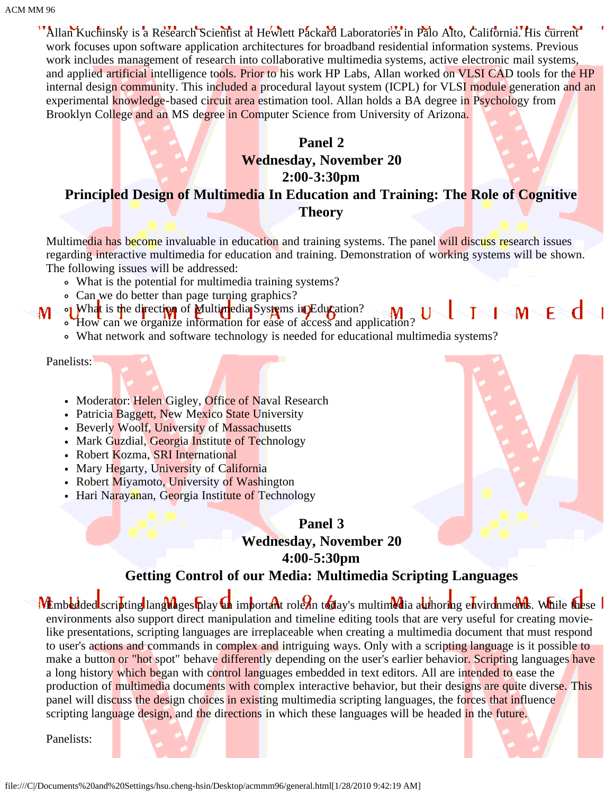Allan Kuchinsky is a Research Scientist at Hewlett Packard Laboratories in Palo Alto, California. His current work focuses upon software application architectures for broadband residential information systems. Previous work includes management of research into collaborative multimedia systems, active electronic mail systems, and applied artificial intelligence tools. Prior to his work HP Labs, Allan worked on VLSI CAD tools for the HP internal design community. This included a procedural layout system (ICPL) for VLSI module generation and an experimental knowledge-based circuit area estimation tool. Allan holds a BA degree in Psychology from Brooklyn College and an MS degree in Computer Science from University of Arizona.

### **Panel 2**

## **Wednesday, November 20 2:00-3:30pm Principled Design of Multimedia In Education and Training: The Role of Cognitive Theory**

Multimedia has become invaluable in education and training systems. The panel will discuss research issues regarding interactive multimedia for education and training. Demonstration of working systems will be shown. The following issues will be addressed:

- What is the potential for multimedia training systems?
- Can we do better than page turning graphics?
- $M \in \mathbb{C}$ of What is the direction of Multimedia Systems in Education? How can we organize information for ease of access and application?
	- What network and software technology is needed for educational multimedia systems?

Panelists:

M

- Moderator: Helen Gigley, Office of Naval Research
- Patricia Baggett, New Mexico State University
- Beverly Woolf, University of Massachusetts
- Mark Guzdial, Georgia Institute of Technology
- Robert Kozma, SRI International
- Mary Hegarty, University of California
- Robert Miyamoto, University of Washington
- Hari Narayanan, Georgia Institute of Technology

### **Panel 3**

### **Wednesday, November 20**

**4:00-5:30pm**

### **Getting Control of our Media: Multimedia Scripting Languages**

Membedded scripting languages play an important role in today's multimedia authoring environments. While these environments also support direct manipulation and timeline editing tools that are very useful for creating movielike presentations, scripting languages are irreplaceable when creating a multimedia document that must respond to user's actions and commands in complex and intriguing ways. Only with a scripting language is it possible to make a button or "hot spot" behave differently depending on the user's earlier behavior. Scripting languages have a long history which began with control languages embedded in text editors. All are intended to ease the production of multimedia documents with complex interactive behavior, but their designs are quite diverse. This panel will discuss the design choices in existing multimedia scripting languages, the forces that influence scripting language design, and the directions in which these languages will be headed in the future.

Panelists:

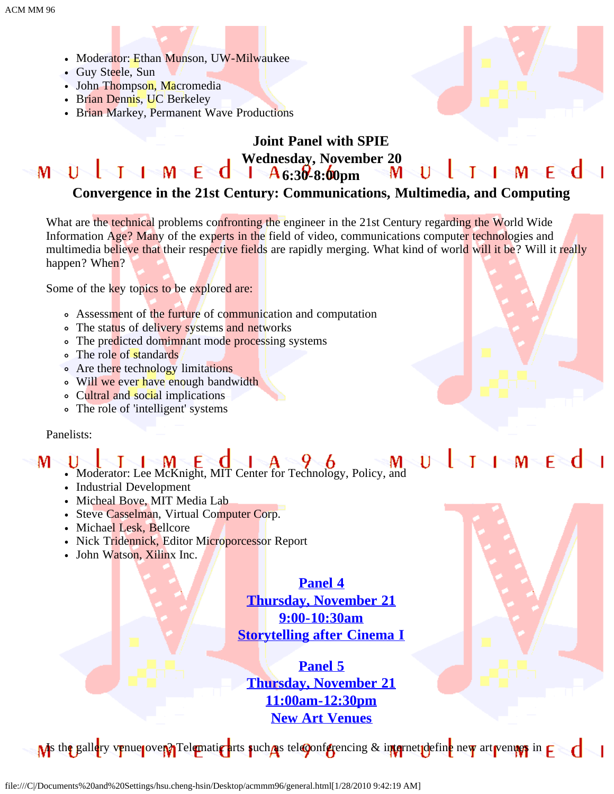- Moderator: Ethan Munson, UW-Milwaukee
- Guy Steele, Sun
- John Thompson, Macromedia
- Brian Dennis, UC Berkeley
- Brian Markey, Permanent Wave Productions



#### **Joint Panel with SPIE Wednesday, November 20**<br>**A** 6.30 8.00pm M U J J M E **d** J A6:30-8:00pm  $1 \leq M \leq F$ Т Ħ

### **Convergence in the 21st Century: Communications, Multimedia, and Computing**

What are the technical problems confronting the engineer in the 21st Century regarding the World Wide Information Age? Many of the experts in the field of video, communications computer technologies and multimedia believe that their respective fields are rapidly merging. What kind of world will it be? Will it really happen? When?

Some of the key topics to be explored are:

- Assessment of the furture of communication and computation
- The status of delivery systems and networks
- The predicted domimnant mode processing systems
- The role of standards
- Are there technology limitations
- Will we ever have enough bandwidth
- Cultral and social implications
- The role of 'intelligent' systems

### Panelists:

#### $\bigcup_{\text{Noderator: Lee McKnight, MIT Center for Technology, Policy, and} \bigcup_{\text{Noderator: Lee McKnight, MIT Center for Technology, Policy, and}\bigcup_{\text{Noderator: Theorem}} \bigcup_{\text{Noderator: Theorem}} \bigcup_{\text{Noderator: Theorem}} \bigcup_{\text{Noderator: Theorem}} \bigcup_{\text{Noderator: Theorem}} \bigcup_{\text{Noderator: Theorem}} \bigcup_{\text{Noderator: Theorem}} \bigcup_{\text{Noderator: Theorem}} \bigcup_{\text{Noderator: Theorem}} \bigcup_{\text{Noderator: Theorem}} \bigcup_{\text{Noderator: Theorem}} \bigcup_{\text{Noderator: Theorem}} \bigcup$  $1$ M

- Industrial Development
- Micheal Bove, MIT Media Lab
- Steve Casselman, Virtual Computer Corp.
- Michael Lesk, Bellcore
- Nick Tridennick, Editor Microporcessor Report
- John Watson, Xilinx Inc.

### **[Panel 4](#page-69-0) [Thursday, November 21](#page-69-0) [9:00-10:30am](#page-69-0) [Storytelling after Cinema I](#page-69-0)**

**[Panel 5](#page-69-0) [Thursday, November 21](#page-69-0) [11:00am-12:30pm](#page-69-0) [New Art Venues](#page-69-0)**

 $\bf{M}$ s the gallery venue pover? Telematic arts such as teleconferencing & internet define new art venues in  $\bf{F}$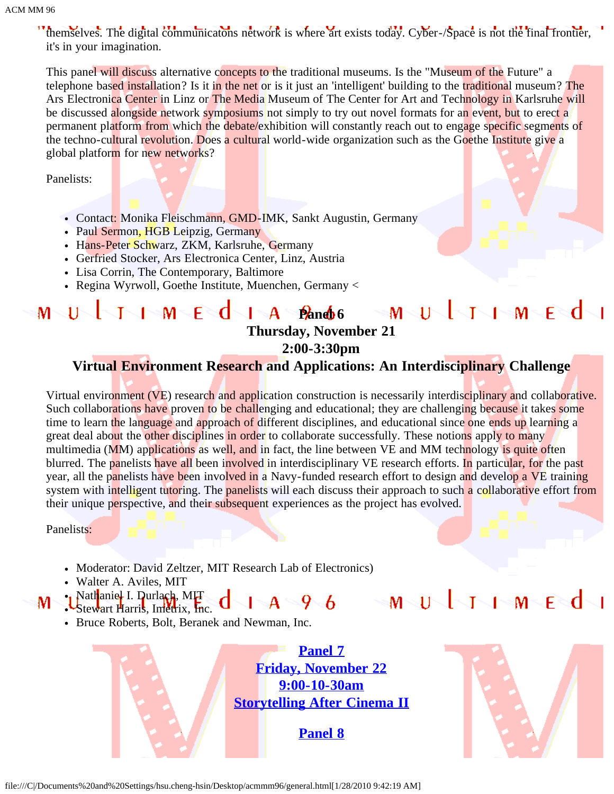themselves. The digital communicatons network is where art exists today. Cyber-/Space is not the final frontier, it's in your imagination.

This panel will discuss alternative concepts to the traditional museums. Is the "Museum of the Future" a telephone based installation? Is it in the net or is it just an 'intelligent' building to the traditional museum? The Ars Electronica Center in Linz or The Media Museum of The Center for Art and Technology in Karlsruhe will be discussed alongside network symposiums not simply to try out novel formats for an event, but to erect a permanent platform from which the debate/exhibition will constantly reach out to engage specific segments of the techno-cultural revolution. Does a cultural world-wide organization such as the Goethe Institute give a global platform for new networks?

Panelists:

- Contact: Monika Fleischmann, GMD-IMK, Sankt Augustin, Germany
- Paul Sermon, HGB Leipzig, Germany
- Hans-Peter Schwarz, ZKM, Karlsruhe, Germany
- Gerfried Stocker, Ars Electronica Center, Linz, Austria
- Lisa Corrin, The Contemporary, Baltimore
- Regina Wyrwoll, Goethe Institute, Muenchen, Germany <

### $\blacksquare$  **Panel 6 Panel 6 Panel 6**  $M \setminus U$ MULIIMEd **Thursday, November 21 2:00-3:30pm**

### **Virtual Environment Research and Applications: An Interdisciplinary Challenge**

Virtual environment (VE) research and application construction is necessarily interdisciplinary and collaborative. Such collaborations have proven to be challenging and educational; they are challenging because it takes some time to learn the language and approach of different disciplines, and educational since one ends up learning a great deal about the other disciplines in order to collaborate successfully. These notions apply to many multimedia (MM) applications as well, and in fact, the line between VE and MM technology is quite often blurred. The panelists have all been involved in interdisciplinary VE research efforts. In particular, for the past year, all the panelists have been involved in a Navy-funded research effort to design and develop a VE training system with intelligent tutoring. The panelists will each discuss their approach to such a collaborative effort from their unique perspective, and their subsequent experiences as the project has evolved.

Panelists:

м

- Moderator: David Zeltzer, MIT Research Lab of Electronics)
- Walter A. Aviles, MIT
- Nath<mark>aniel I. Durlach, MI<del>T</del></mark>

 $1-A = 9.6$  MULIMEd

Stewart Harris, Imetrix, Inc. Bruce Roberts, Bolt, Beranek and Newman, Inc.

> **[Panel 7](#page-78-0) [Friday, November 22](#page-78-0) [9:00-10-30am](#page-78-0) [Storytelling After Cinema II](#page-78-0)**

> > **[Panel 8](#page-83-0)**

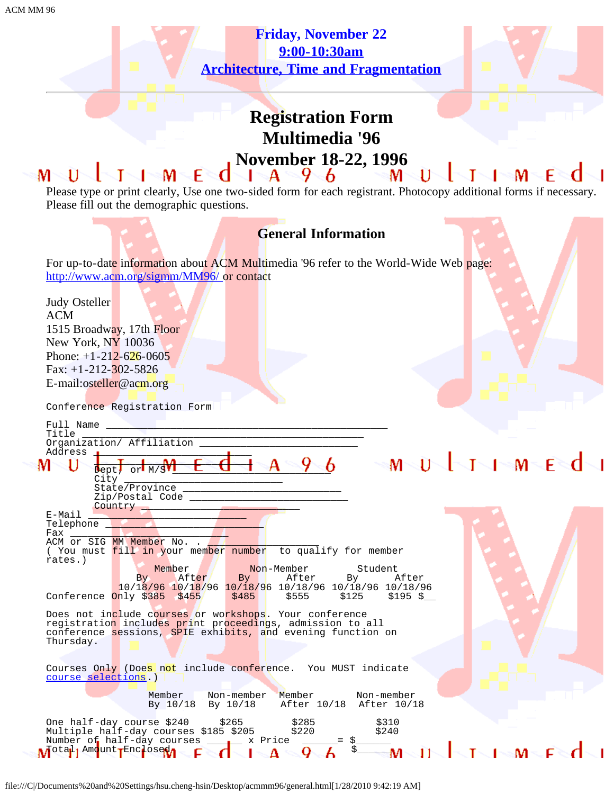**[Friday, November 22](#page-83-0) [9:00-10:30am](#page-83-0) [Architecture, Time and Fragmentation](#page-83-0)**



# **Registration Form Multimedia '96 November 18-22, 1996**

#### 11 м F м м  $\blacksquare$   $\blacksquare$ Please type or print clearly, Use one two-sided form for each registrant. Photocopy additional forms if necessary. Please fill out the demographic questions.



file:///C|/Documents%20and%20Settings/hsu.cheng-hsin/Desktop/acmmm96/general.html[1/28/2010 9:42:19 AM]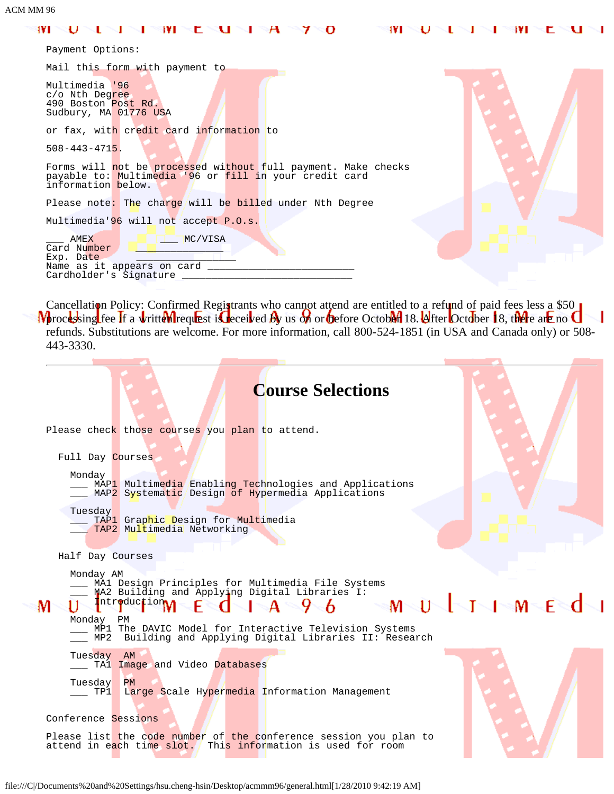#### 1VI U ı **IVI** c u  $\boldsymbol{\mathsf{A}}$ O 1VI I۷I c ਾਪ  $\sim$  1 L ı ⁊ ı J

| Payment Options:                                                                                                                              |  |
|-----------------------------------------------------------------------------------------------------------------------------------------------|--|
| Mail this form with payment to                                                                                                                |  |
| Multimedia '96<br>c/o Nth Degree<br>490 Boston Post Rd.<br>Sudbury, MA 01776 USA                                                              |  |
| or fax, with credit card information to                                                                                                       |  |
| $508 - 443 - 4715$ .                                                                                                                          |  |
| Forms will not be processed without full payment. Make checks<br>payable to: Multimedia '96 or fill in your credit card<br>information below. |  |
| Please note: The charge will be billed under Nth Degree                                                                                       |  |
| Multimedia'96 will not accept P.O.s.                                                                                                          |  |
| AMEX<br>MC/VISA<br>Card Number<br>Exp. Date<br>Name as it appears on card<br>Cardholder's Signature                                           |  |

Cancellation Policy: Confirmed Registrants who cannot attend are entitled to a refund of paid fees less a \$50  $\overline{\phantom{a}}$ processing fee if a writtel request is received by us on or before October 18. After October 18, there are no refunds. Substitutions are welcome. For more information, call 800-524-1851 (in USA and Canada only) or 508- 443-3330.

| <b>Course Selections</b>                                                                                                                                                                                                                                                         |              |
|----------------------------------------------------------------------------------------------------------------------------------------------------------------------------------------------------------------------------------------------------------------------------------|--------------|
| Please check those courses you plan to attend.                                                                                                                                                                                                                                   |              |
| Full Day Courses                                                                                                                                                                                                                                                                 |              |
| Monday<br>MAP1 Multimedia Enabling Technologies and Applications<br>MAP2 Systematic Design of Hypermedia Applications                                                                                                                                                            |              |
| Tuesday<br>TAP1 Graphic Design for Multimedia<br>TAP2 Multimedia Networking                                                                                                                                                                                                      |              |
| Half Day Courses                                                                                                                                                                                                                                                                 |              |
| Monday AM<br>MA1 Design Principles for Multimedia File Systems<br>MA2 Building and Applying Digital Libraries I:<br>Introduction A<br>6.<br>M<br>Monday PM<br>MP1 The DAVIC Model for Interactive Television Systems<br>MP2 Building and Applying Digital Libraries II: Research | SI MULTIMEdi |
| Tuesday AM<br>TA1 Image and Video Databases                                                                                                                                                                                                                                      |              |
| Tuesday<br>PM<br>Large Scale Hypermedia Information Management<br>TP1                                                                                                                                                                                                            |              |
| Conference Sessions                                                                                                                                                                                                                                                              |              |
| Please list the code number of the conference session you plan to<br>attend in each time slot. This information is used for room                                                                                                                                                 |              |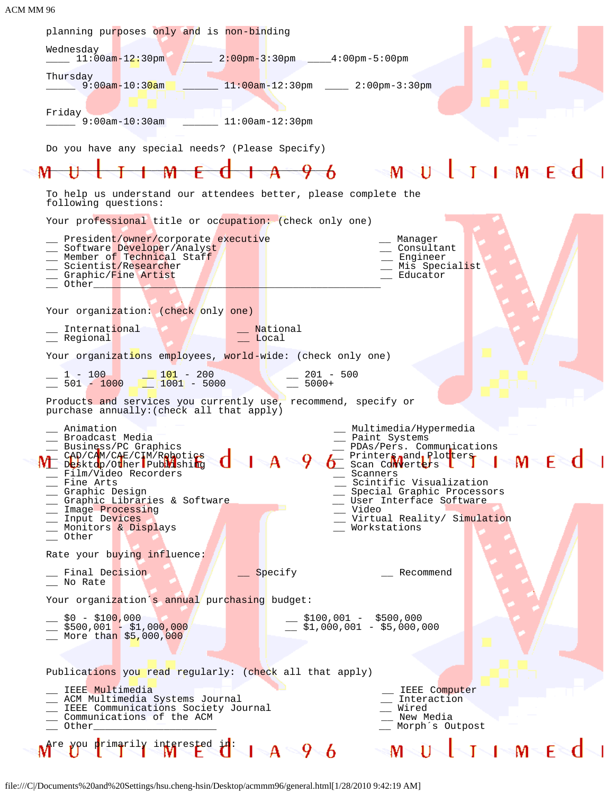| planning purposes only and is non-binding<br>Wednesday<br>11:00am-12:30pm 2:00pm-3:30pm 4:00pm-5:00pm<br>Thursday<br>9:00am-10:3 <mark>0am ________ 11:00am-12:30pm _____ 2:00pm-3:30pm</mark><br>Friday<br>$\frac{1}{2}$ 9:00am-10:30am $\frac{1}{2}$ 11:00am-12:30pm                                                                                                                                                                                                                                                                                                                                                                                                                                                                                                                                                                                                            |  |
|-----------------------------------------------------------------------------------------------------------------------------------------------------------------------------------------------------------------------------------------------------------------------------------------------------------------------------------------------------------------------------------------------------------------------------------------------------------------------------------------------------------------------------------------------------------------------------------------------------------------------------------------------------------------------------------------------------------------------------------------------------------------------------------------------------------------------------------------------------------------------------------|--|
| Do you have any special needs? (Please Specify)<br>$\rightarrow$ multimed                                                                                                                                                                                                                                                                                                                                                                                                                                                                                                                                                                                                                                                                                                                                                                                                         |  |
| To help us understand our attendees better, please complete the                                                                                                                                                                                                                                                                                                                                                                                                                                                                                                                                                                                                                                                                                                                                                                                                                   |  |
| following questions:                                                                                                                                                                                                                                                                                                                                                                                                                                                                                                                                                                                                                                                                                                                                                                                                                                                              |  |
| Your professional title or occupation: (check only one)<br>__ President/owner/corporate executive<br>Manager<br>_ Software Developer/Analyst<br>__ Consultant<br>_ Member of Technical Staff<br>_ Engineer<br>__ Scientist/Researcher<br>_ Mis Specialist<br>__ Graphic/Fine Artist<br>Educator<br>Other the state of the state of the state of the state of the state of the state of the state of the state of the state of the state of the state of the state of the state of the state of the state of the state of the stat                                                                                                                                                                                                                                                                                                                                                 |  |
| Your organization: (check only one)                                                                                                                                                                                                                                                                                                                                                                                                                                                                                                                                                                                                                                                                                                                                                                                                                                               |  |
| International<br>National<br>__ Regional<br>Local Local                                                                                                                                                                                                                                                                                                                                                                                                                                                                                                                                                                                                                                                                                                                                                                                                                           |  |
| Your organizations employees, world-wide: (check only one)                                                                                                                                                                                                                                                                                                                                                                                                                                                                                                                                                                                                                                                                                                                                                                                                                        |  |
| $\frac{1}{201}$ - 100<br>501 - 1000 $\frac{101}{1001}$ - 200<br>5000 - 5000 - 5000 - 5000 - 5000 - 5000 - 5000 - 5000 - 5000 - 5000 - 5000 - 5000 - 5000 - 5000 - 5000 - 5000 - 5000 - 5000 - 5000 - 5000 - 5000 - 5000 - 5000 - 5000 - 500                                                                                                                                                                                                                                                                                                                                                                                                                                                                                                                                                                                                                                       |  |
| Products and services you currently use, recommend, specify or<br>purchase annually: (check all that apply)                                                                                                                                                                                                                                                                                                                                                                                                                                                                                                                                                                                                                                                                                                                                                                       |  |
| Animation<br>Multimedia/Hypermedia<br>Broadcast Media<br>Paint Systems<br>_ Business/PC Graphics<br>__ PDAs/Pers. Communications<br>WE CAD/CAM/CAE/CIM/Reboties<br>Wesktop/OtherPublishing<br><b>L</b> Printers, and, Plotters<br>O Scan Converters L<br>_ Film/Video Recorders<br>Scanners<br>Scintific Visualization<br>Fine Arts<br>Graphic Design<br>Special Graphic Processors<br>__ User Interface Software<br>__ Graphic Libraries & Software<br>Video<br>Image Processing<br>Virtual Reality/ Simulation<br>__ Input Devices<br>Monitors & Displays<br>Workstations<br>Other<br>Rate your buying influence:<br>Final Decision<br>Specify<br>Recommend<br>No Rate<br>Your organization's annual purchasing budget:<br>__ \$0 - \$10 <mark>0,</mark> 000<br>__ \$100,001 - \$500,000<br>$\frac{1}{2}$ \$1,000,001 - \$5,000,000<br>__ \$500,001 - \$1,00 <mark>0,000</mark> |  |
| __ More than \$5,000,000                                                                                                                                                                                                                                                                                                                                                                                                                                                                                                                                                                                                                                                                                                                                                                                                                                                          |  |
| Publications you read regularly: (check all that apply)                                                                                                                                                                                                                                                                                                                                                                                                                                                                                                                                                                                                                                                                                                                                                                                                                           |  |
| _ IEEE Multimedia<br>IEEE Computer<br>__ ACM Multimedia Systems Journal<br>Interaction<br>__ IEEE Communications Society Journal<br>Wired<br>_ Communications of the ACM<br>New Media<br>__ Other<br>Morph's Outpost                                                                                                                                                                                                                                                                                                                                                                                                                                                                                                                                                                                                                                                              |  |
| Are you primarily interested in:<br>√IN™Eे¶∽<br>$A = 96$                                                                                                                                                                                                                                                                                                                                                                                                                                                                                                                                                                                                                                                                                                                                                                                                                          |  |

file:///C|/Documents%20and%20Settings/hsu.cheng-hsin/Desktop/acmmm96/general.html[1/28/2010 9:42:19 AM]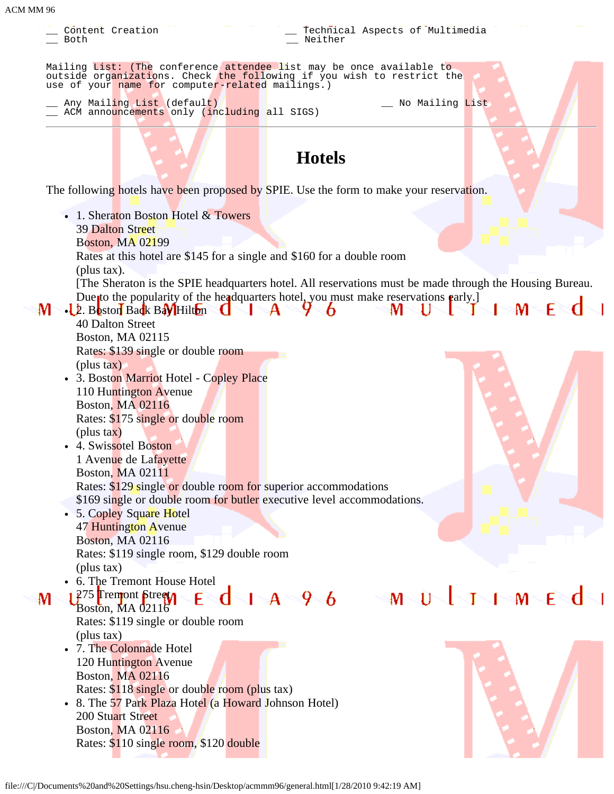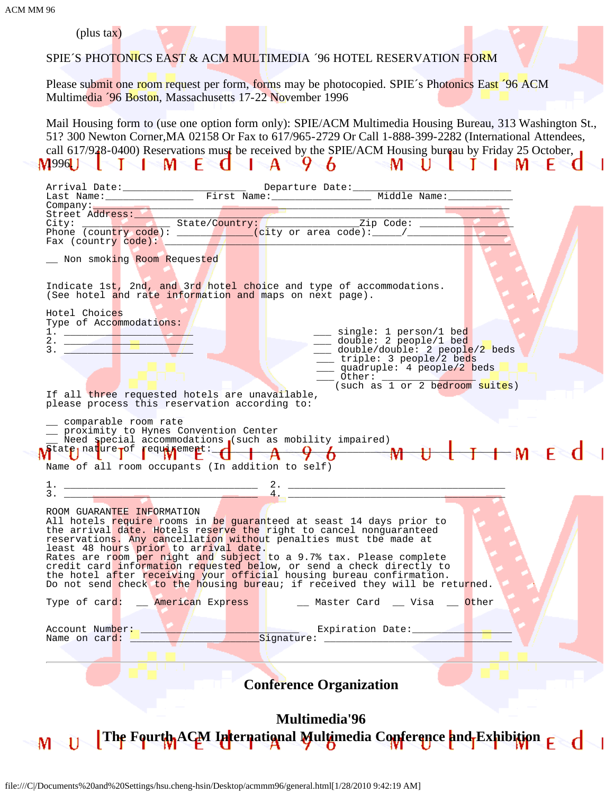| 'M MM 96                                                                                                                                                                                                                                                                                                                                                                                                                                                                                                                                                                                    |
|---------------------------------------------------------------------------------------------------------------------------------------------------------------------------------------------------------------------------------------------------------------------------------------------------------------------------------------------------------------------------------------------------------------------------------------------------------------------------------------------------------------------------------------------------------------------------------------------|
| (plus $\text{tax}$ )<br>SPIE'S PHOTONICS EAST & ACM MULTIMEDIA '96 HOTEL RESERVATION FORM                                                                                                                                                                                                                                                                                                                                                                                                                                                                                                   |
| Please submit one room request per form, forms may be photocopied. SPIE's Photonics East '96 ACM<br>Multimedia '96 Boston, Massachusetts 17-22 November 1996                                                                                                                                                                                                                                                                                                                                                                                                                                |
| Mail Housing form to (use one option form only): SPIE/ACM Multimedia Housing Bureau, 313 Washington St.,<br>51? 300 Newton Corner, MA 02158 Or Fax to 617/965-2729 Or Call 1-888-399-2282 (International Attendees,<br>call 617/928-0400) Reservations must be received by the SPIE/ACM Housing bureau by Friday 25 October,<br>M996U TIMECIA 496 MÜLIME                                                                                                                                                                                                                                    |
|                                                                                                                                                                                                                                                                                                                                                                                                                                                                                                                                                                                             |
| Company:<br>Street Address: State/Country: Zip Code: 2<br>Phone (country code): State/Country: Zip Code: 2<br>Phone (country code): (city or area code): (2)<br>Fax (country code):<br>Non smoking Room Requested                                                                                                                                                                                                                                                                                                                                                                           |
| Indicate 1st, 2nd, and 3rd hotel choice and type of accommodations.<br>(See hotel and rate information and maps on next page).                                                                                                                                                                                                                                                                                                                                                                                                                                                              |
| Hotel Choices<br>Type of Accommodations:<br>$\frac{1}{2}$ $\frac{1}{2}$ $\frac{1}{2}$ $\frac{1}{2}$ $\frac{1}{2}$ $\frac{1}{2}$<br>single: 1 person/1 bed                                                                                                                                                                                                                                                                                                                                                                                                                                   |
| double: 2 people/1 bed<br>double/double: 2 people/2 beds<br>3.<br>triple: 3 people/2 beds<br>quadruple: 4 people/2 beds<br>$\sqrt{0}$ Other:<br>$(such as 1 or 2 bedroom suites)$                                                                                                                                                                                                                                                                                                                                                                                                           |
| If all three requested hotels are unavailable,<br>please process this reservation according to:                                                                                                                                                                                                                                                                                                                                                                                                                                                                                             |
| comparable room rate<br>_ proximity to Hynes Convention Center<br>_ Need apecial accommodations (such as mobility impaired)<br>M <sup>tatp</sup> lnature Tof requirement: 1 A 9 6 M<br>Name of all room occupants (In addition to self)                                                                                                                                                                                                                                                                                                                                                     |
| $\frac{1}{3}$ . $\frac{2}{4}$ .                                                                                                                                                                                                                                                                                                                                                                                                                                                                                                                                                             |
| ROOM GUARANTEE INFORMATION<br>All hotels require rooms in be guaranteed at seast 14 days prior to<br>the arrival date. Hotels reserve the right to cancel nonguaranteed<br>reservations. Any cancellation without penalties must tbe made at<br>least 48 hours prior to arrival date.<br>Rates are room per night and subject to a 9.7% tax. Please complete<br>credit card information requested below, or send a check directly to<br>the hotel after receiving your official housing bureau confirmation.<br>Do not send check to the housing bureau; if received they will be returned. |
| Type of card: __ American Express   __ _ Master Card __ Visa __ Other                                                                                                                                                                                                                                                                                                                                                                                                                                                                                                                       |
| Account Number: Name on card: Number Signature: Expiration Date:                                                                                                                                                                                                                                                                                                                                                                                                                                                                                                                            |
| <b>Conference Organization</b>                                                                                                                                                                                                                                                                                                                                                                                                                                                                                                                                                              |
| <b>Multimedia'96</b>                                                                                                                                                                                                                                                                                                                                                                                                                                                                                                                                                                        |
| M U The Fourth ACM International Multimedia Conference and Exhibition E d                                                                                                                                                                                                                                                                                                                                                                                                                                                                                                                   |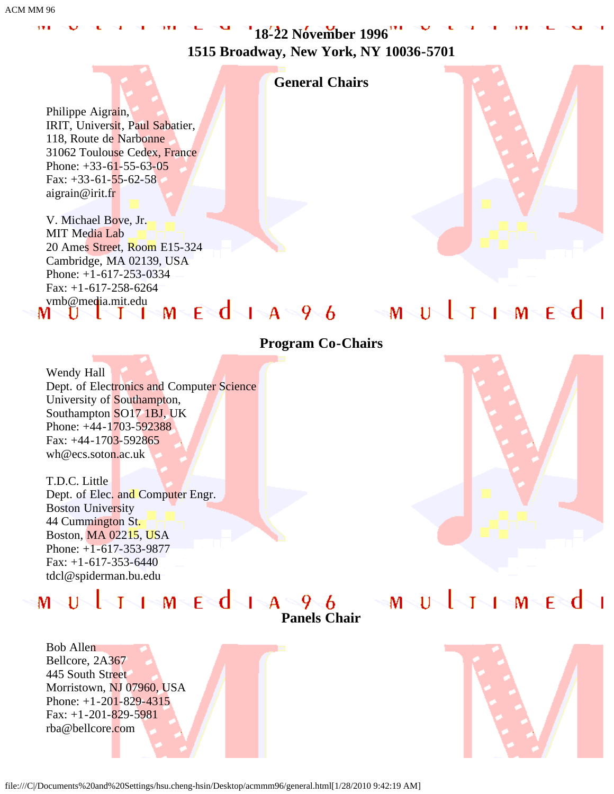ACM MM 96

**18-22 November 1996 1515 Broadway, New York, NY 10036-5701**

### **General Chairs**

Philippe Aigrain, IRIT, Universit, Paul Sabatier, 118, Route de Narbonne 31062 Toulouse Cedex, France Phone: +33-61-55-63-05 Fax:  $+33-61-55-62-58$ aigrain@irit.fr

V. Michael Bove, Jr. MIT Media Lab 20 Ames Street, Room E15-324 Cambridge, MA 02139, USA Phone: +1-617-253-0334 Fax: +1-617-258-6264 wmb@media.mit.edu<br>M U T I M E d I A 9 6



### **Program Co-Chairs**

Wendy Hall Dept. of Electronics and Computer Science University of Southampton, Southampton SO17 1BJ, UK Phone: +44-1703-592388 Fax: +44-1703-592865 wh@ecs.soton.ac.uk

T.D.C. Little Dept. of Elec. and Computer Engr. Boston University 44 Cummington St. Boston, MA 02215, USA Phone: +1-617-353-9877 Fax: +1-617-353-6440 tdcl@spiderman.bu.edu

MUJIMEdi

**Panels Chair**

▐░<del>▁</del>▎░▛░▛░▛▜░▛▜░▛▜░▛▜░▛▜░▛▜░▛▜░▛▜░▛▜░▛▜░▛

Bob Allen Bellcore, 2A367 445 South Street Morristown, NJ 07960, USA Phone: +1-201-829-4315 Fax:  $+1-201-829-5981$ rba@bellcore.com

 $M\leq 11$ 

file:///C|/Documents%20and%20Settings/hsu.cheng-hsin/Desktop/acmmm96/general.html[1/28/2010 9:42:19 AM]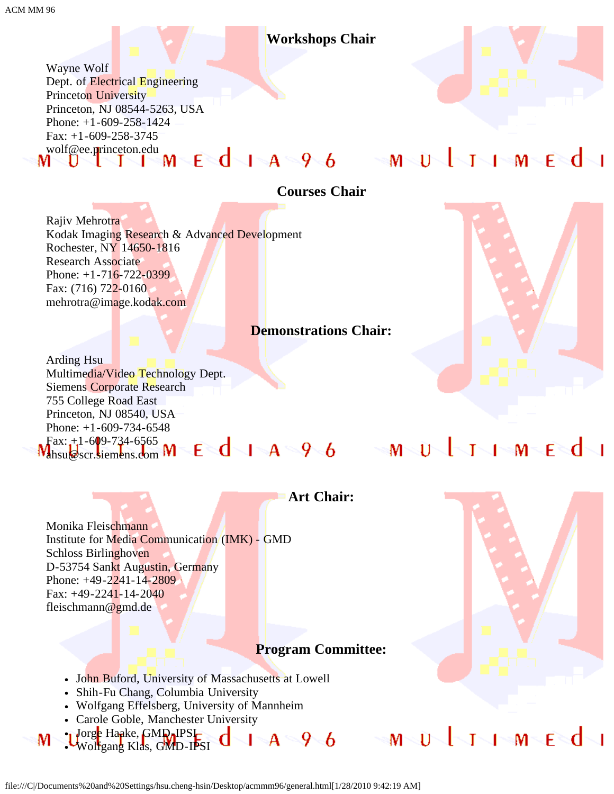### **Workshops Chair**

Wayne Wolf Dept. of Electrical Engineering Princeton University Princeton, NJ 08544-5263, USA Phone: +1-609-258-1424 Fax: +1-609-258-3745 wolf@ee.p<mark>r</mark>inceton.edu<br>MUUITIMEdIA96 MUUINMEd

### **Courses Chair**

Rajiv Mehrotra Kodak Imaging Research & Advanced Development Rochester, NY 14650-1816 Research Associate Phone: +1-716-722-0399 Fax: (716) 722-0160 mehrotra@image.kodak.com

### **Demonstrations Chair:**

Arding Hsu Multimedia/Video Technology Dept. Siemens Corporate Research 755 College Road East Princeton, NJ 08540, USA Phone:  $+1-609-734-6548$ 

 $\text{Fax: } +1 - 609 - 734 - 6565$ ahsu@scr.siemens.com

Monika Fleischmann Institute for Media Communication (IMK) - GMD Schloss Birlinghoven D-53754 Sankt Augustin, Germany Phone: +49-2241-14-2809 Fax: +49-2241-14-2040 fleischmann@gmd.de

### **Art Chair:**

### **Program Committee:**

- John Buford, University of Massachusetts at Lowell
- Shih-Fu Chang, Columbia University
- Wolfgang Effelsberg, University of Mannheim
- 

M

• Carole Goble, Manchester University<br>• Urge Hanke, GMD ISC (ND ISC )<br>• Wolfgang Klas GMD ISC (ND ISC ) Jorg<mark>e</mark> Haake, GM**Q**-IPSI Wolfgang Klas, GMD-IPSI

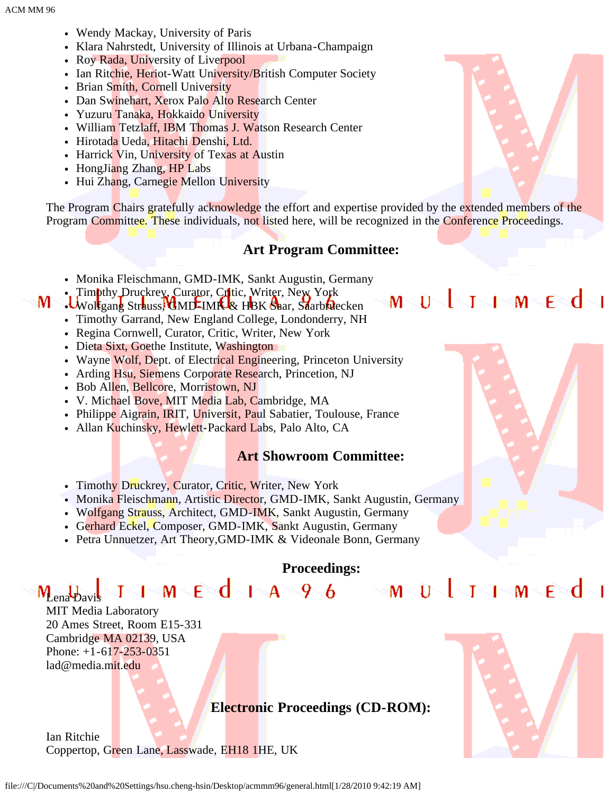ACM MM 96

- Wendy Mackay, University of Paris
- Klara Nahrstedt, University of Illinois at Urbana-Champaign
- Roy Rada, University of Liverpool
- Ian Ritchie, Heriot-Watt University/British Computer Society
- Brian Smith, Cornell University
- Dan Swinehart, Xerox Palo Alto Research Center
- Yuzuru Tanaka, Hokkaido University
- William Tetzlaff, IBM Thomas J. Watson Research Center
- · Hirotada Ueda, Hitachi Denshi, Ltd.
- Harrick Vin, University of Texas at Austin
- HongJiang Zhang, HP Labs
- Hui Zhang, Carnegie Mellon University

The Program Chairs gratefully acknowledge the effort and expertise provided by the extended members of the Program Committee. These individuals, not listed here, will be recognized in the Conference Proceedings.

### **Art Program Committee:**

- Monika Fleischmann, GMD-IMK, Sankt Augustin, Germany
- . Timothy Druckrey, Curator, Critic, Writer, New York

### M-Wolfgang Strauss, GMD-IMK & HBK Saar, Saarbruecken

- Timothy Garrand, New England College, Londonderry, NH
- Regina Cornwell, Curator, Critic, Writer, New York
- Dieta Sixt, Goethe Institute, Washington
- Wayne Wolf, Dept. of Electrical Engineering, Princeton University
- Arding Hsu, Siemens Corporate Research, Princetion, NJ
- Bob Allen, Bellcore, Morristown, NJ
- V. Michael Bove, MIT Media Lab, Cambridge, MA
- Philippe Aigrain, IRIT, Universit, Paul Sabatier, Toulouse, France
- Allan Kuchinsky, Hewlett-Packard Labs, Palo Alto, CA

### **Art Showroom Committee:**

- Timothy Druckrey, Curator, Critic, Writer, New York
- Monika Fleischmann, Artistic Director, GMD-IMK, Sankt Augustin, Germany
- Wolfgang Strauss, Architect, GMD-IMK, Sankt Augustin, Germany
- Gerhard Eckel, Composer, GMD-IMK, Sankt Augustin, Germany
- Petra Unnuetzer, Art Theory,GMD-IMK & Videonale Bonn, Germany

**Proceedings:**

**Electronic Proceedings (CD-ROM):**

 $\mathsf{M}\subseteq\mathsf{C}$  of  $\mathsf{A}\subseteq\mathsf{P}\subseteq\mathsf{C}$  and  $\mathsf{C}\subseteq\mathsf{M}\subseteq\mathsf{C}$  and  $\mathsf{C}\subseteq\mathsf{C}$ M<sub>ena</sub> b<sub>avis</sub> MIT Media Laboratory 20 Ames Street, Room E15-331 Cambridge MA 02139, USA Phone: +1-617-253-0351 lad@media.mit.edu

Ian Ritchie

Coppertop, Green Lane, Lasswade, EH18 1HE, UK





MQUQQIMQMQESQQ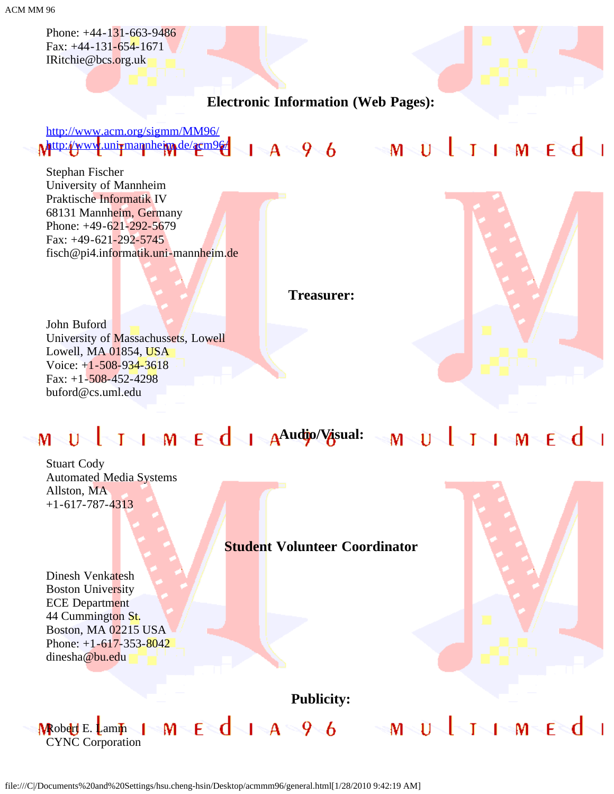ACM MM 96

Phone: +44-131-663-9486 Fax: +44-131-654-1671 IRitchie@bcs.org.uk

**Electronic Information (Web Pages):**

[http://www.acm.org/sigmm/MM96/](javascript:if(confirm() Mattp://www.uni<del>rmannheim.de/acm96/</del> | A 9 6 M U T I M E d

Stephan Fischer University of Mannheim Praktische Informatik IV 68131 Mannheim, Germany Phone: +49-621-292-5679 Fax: +49-621-292-5745 fisch@pi4.informatik.uni-mannheim.de

**Treasurer:**

John Buford University of Massachussets, Lowell Lowell, MA 01854, USA Voice:  $+1-508-934-3618$ Fax:  $+1-508-452-4298$ buford@cs.uml.edu



Stuart Cody Automated Media Systems Allston, MA +1-617-787-4313

### **Student Volunteer Coordinator**

Dinesh Venkatesh Boston University ECE Department 44 Cummington St. Boston, MA 02215 USA Phone:  $+1-617-353-8042$ dinesha@bu.edu



**Publicity:**

MEQIA96 MULINMEQI **MRobert E. Lamm** CYNC Corporation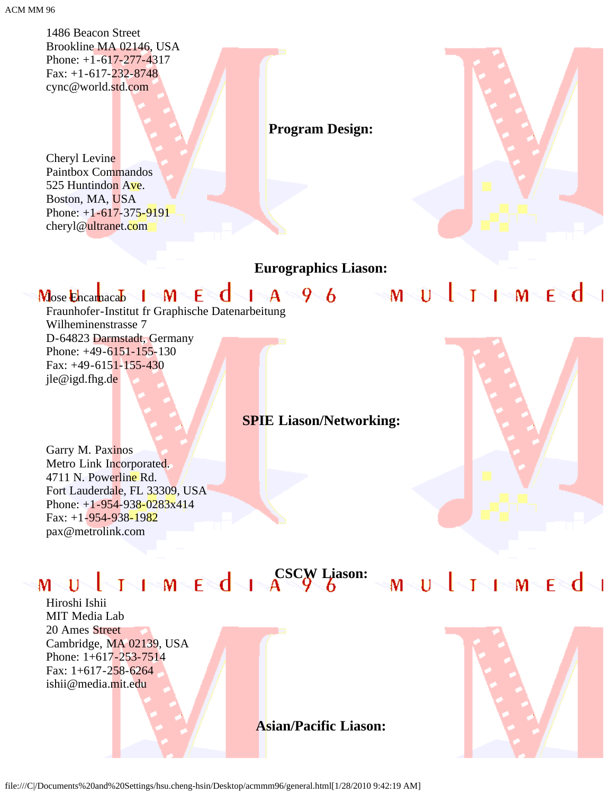1486 Beacon Street Brookline MA 02146, USA Phone: +1-617-277-4317 Fax:  $+1-617-232-8748$ cync@world.std.com

Cheryl Levine Paintbox Commandos 525 Huntindon Ave. Boston, MA, USA Phone: +1-617-375-9191 cheryl@ultranet.com

### **Program Design:**

### **Eurographics Liason:**

### $1-A$  96 mJ timed Mose Encarnacab | M E C

Fraunhofer-Institut fr Graphische Datenarbeitung Wilheminenstrasse 7 D-64823 Darmstadt, Germany Phone: +49-6151-155-130 Fax: +49-6151-155-430 jle@igd.fhg.de



### **SPIE Liason/Networking:**

Garry M. Paxinos Metro Link Incorporated. 4711 N. Powerline Rd. Fort Lauderdale, FL 33309, USA Phone:  $+1-954-938-0283x414$ Fax: +1-954-938-1982 pax@metrolink.com

# $M \cup U$   $1$   $M \in d$   $1$   $A$   $S$   $S$   $L$   $I$   $S$   $M$   $U$   $1$   $1$   $M$   $E$   $d$   $1$

Hiroshi Ishii MIT Media Lab 20 Ames Street Cambridge, MA 02139, USA Phone: 1+617-253-7514 Fax: 1+617-258-6264 ishii@media.mit.edu



**Asian/Pacific Liason:**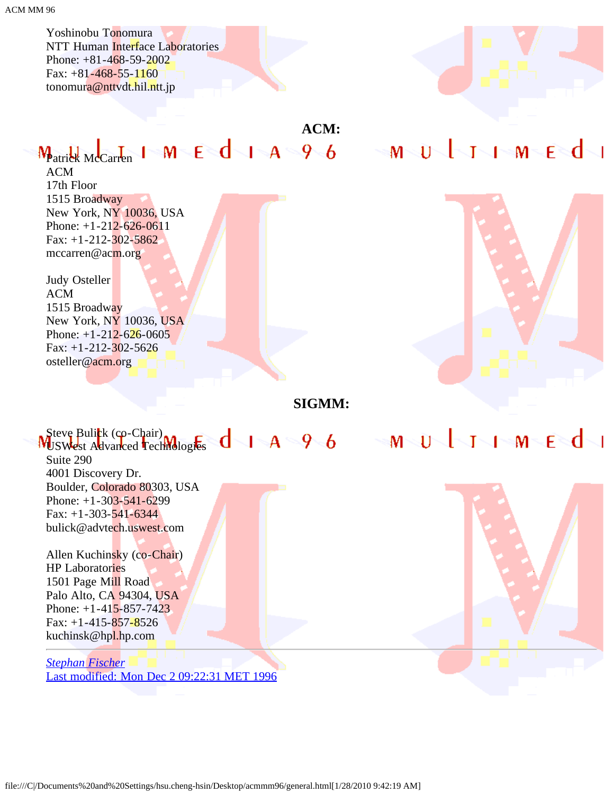Yoshinobu Tonomura NTT Human Interface Laboratories Phone: +81-468-59-2002 Fax:  $+81-468-55-1160$ tonomura@nttvdt.hil.ntt.jp

### **ACM:**

# $M_{\text{particle M}}$  M  $\leq d$  1  $A$  9  $6$  M  $\cup$  1  $1$   $M$   $\in$   $d$

ACM 17th Floor 1515 Broadway New York, NY 10036, USA Phone: +1-212-626-0611 Fax:  $+1-212-302-5862$ mccarren@acm.org

Judy Osteller ACM 1515 Broadway New York, NY 10036, USA Phone:  $+1-212-626-0605$ Fax:  $+1-212-302-5626$ osteller@acm.org



**SIGMM:**



*[Stephan Fischer](javascript:if(confirm()* [Last modified: Mon Dec 2 09:22:31 MET 1996](javascript:if(confirm()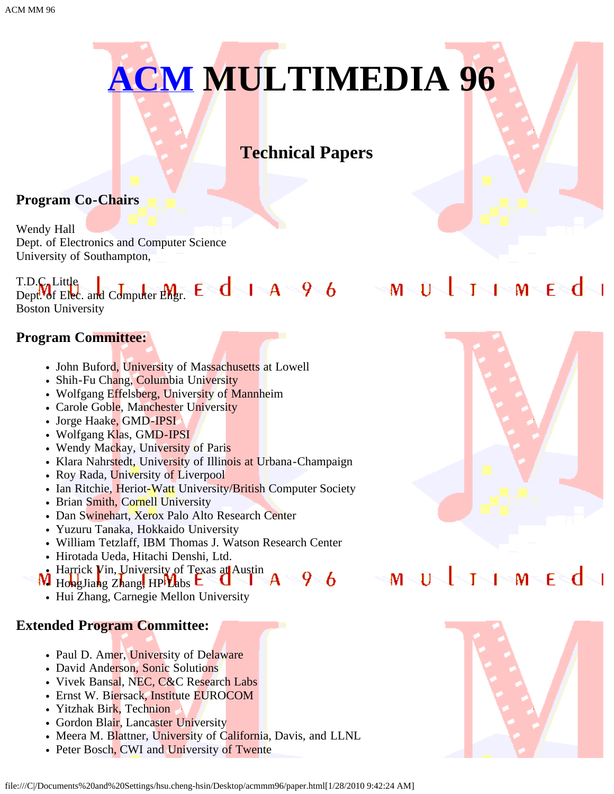# **[ACM](javascript:if(confirm() MULTIMEDIA 96**

### **Technical Papers**

### **Program Co-Chairs**

Wendy Hall Dept. of Electronics and Computer Science University of Southampton,

### T.D.C. Little Dept. of Elec. and Computer Engr. Boston University

### **Program Committee:**

- John Buford, University of Massachusetts at Lowell
- Shih-Fu Chang, Columbia University
- Wolfgang Effelsberg, University of Mannheim
- Carole Goble, Manchester University
- Jorge Haake, GMD-IPSI
- Wolfgang Klas, GMD-IPSI
- Wendy Mackay, University of Paris
- Klara Nahrstedt, University of Illinois at Urbana-Champaign
- Roy Rada, University of Liverpool
- Ian Ritchie, Heriot-Watt University/British Computer Society
- Brian Smith, Cornell University
- Dan Swinehart, Xerox Palo Alto Research Center
- Yuzuru Tanaka, Hokkaido University
- William Tetzlaff, IBM Thomas J. Watson Research Center
- Hirotada Ueda, Hitachi Denshi, Ltd.
- Harrick Vin, University of Texas at Austin
- $9\sqrt{6}$  $W$  HongJiang Zhang, HP $V$ abs  $E$ 
	- Hui Zhang, Carnegie Mellon University

### **Extended Program Committee:**

- Paul D. Amer, University of Delaware
- David Anderson, Sonic Solutions
- Vivek Bansal, NEC, C&C Research Labs
- Ernst W. Biersack, Institute EUROCOM
- Yitzhak Birk, Technion
- Gordon Blair, Lancaster University
- Meera M. Blattner, University of California, Davis, and LLNL
- Peter Bosch, CWI and University of Twente



## MUJIMEd

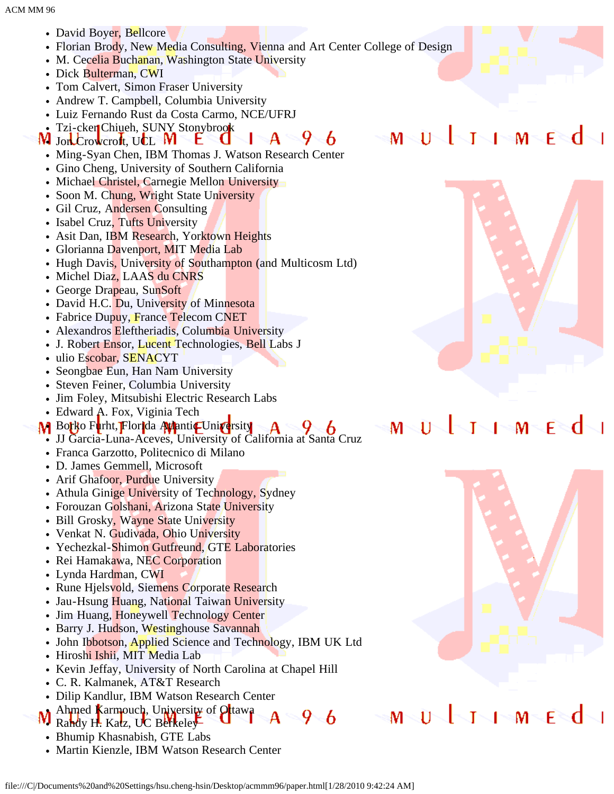- David Boyer, Bellcore
- Florian Brody, New Media Consulting, Vienna and Art Center College of Design
- M. Cecelia Buchanan, Washington State University
- Dick Bulterman, CWI
- Tom Calvert, Simon Fraser University
- Andrew T. Campbell, Columbia University
- Luiz Fernando Rust da Costa Carmo, NCE/UFRJ
- Tzi-cker Chiueh, SUNY Stonybrook
- $9 6$  $\mathbf A$ W Jon Crowcroft, UCL W t.
	- Ming-Syan Chen, IBM Thomas J. Watson Research Center
	- Gino Cheng, University of Southern California
	- Michael Christel, Carnegie Mellon University
	- Soon M. Chung, Wright State University
	- Gil Cruz, Andersen Consulting
	- Isabel Cruz, Tufts University
	- Asit Dan, IBM Research, Yorktown Heights
	- Glorianna Davenport, MIT Media Lab
	- Hugh Davis, University of Southampton (and Multicosm Ltd)
	- Michel Diaz, LAAS du CNRS
	- George Drapeau, SunSoft
	- David H.C. Du, University of Minnesota
	- Fabrice Dupuy, France Telecom CNET
	- Alexandros Eleftheriadis, Columbia University
	- J. Robert Ensor, Lucent Technologies, Bell Labs J
	- ulio Escobar, SENACYT
	- Seongbae Eun, Han Nam University  $\bullet$
	- Steven Feiner, Columbia University
	- Jim Foley, Mitsubishi Electric Research Labs
	- Edward A. Fox, Viginia Tech
- M Borko Furht, Florida Atlantic University
	- JJ Garcia-Luna-Aceves, University of California at Santa Cruz
	- Franca Garzotto, Politecnico di Milano
	- D. James Gemmell, Microsoft
	- Arif Ghafoor, Purdue University
	- Athula Ginige University of Technology, Sydney
	- Forouzan Golshani, Arizona State University
	- Bill Grosky, Wayne State University
	- Venkat N. Gudivada, Ohio University
	- Yechezkal-Shimon Gutfreund, GTE Laboratories
	- Rei Hamakawa, NEC Corporation
	- Lynda Hardman, CWI
	- Rune Hjelsvold, Siemens Corporate Research
	- Jau-Hsung Huang, National Taiwan University
	- Jim Huang, Honeywell Technology Center  $\bullet$
	- Barry J. Hudson, Westinghouse Savannah
	- John Ibbotson, Applied Science and Technology, IBM UK Ltd
	- Hiroshi Ishii, MIT Media Lab
	- Kevin Jeffay, University of North Carolina at Chapel Hill
	- C. R. Kalmanek, AT&T Research
	- Dilip Kandlur, IBM Watson Research Center
- Ahmed Karmouch, University of Otawa  $9-6$ Randy H. Katz, UC Berkeley
- Bhumip Khasnabish, GTE Labs
- Martin Kienzle, IBM Watson Research Center



 $\sqrt{2M}$   $\leq$   $\mathsf{F}$   $\leq$   $\mathsf{C}$ 

T

 $M > U$ 

### $\sqrt{1 - M}$ £≷d Т м 11



### т  $1 - M$ F  $M_{\odot}$ 11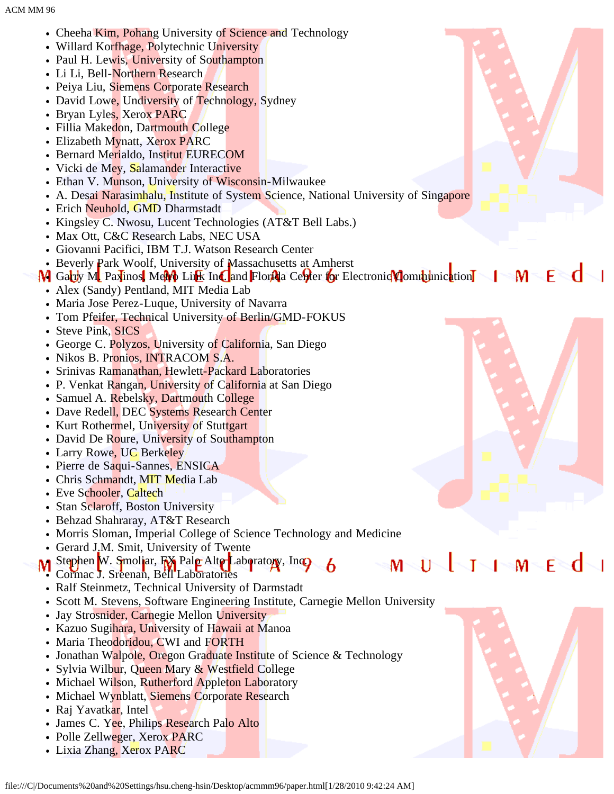- Cheeha Kim, Pohang University of Science and Technology
- Willard Korfhage, Polytechnic University
- Paul H. Lewis, University of Southampton
- Li Li, Bell-Northern Research
- Peiya Liu, Siemens Corporate Research
- David Lowe, Undiversity of Technology, Sydney
- Bryan Lyles, Xerox PARC
- Fillia Makedon, Dartmouth College
- Elizabeth Mynatt, Xerox PARC
- Bernard Merialdo, Institut EURECOM
- Vicki de Mey, Salamander Interactive
- Ethan V. Munson, University of Wisconsin-Milwaukee
- A. Desai Narasimhalu, Institute of System Science, National University of Singapore
- Erich Neuhold, GMD Dharmstadt
- Kingsley C. Nwosu, Lucent Technologies (AT&T Bell Labs.)
- Max Ott, C&C Research Labs, NEC USA
- Giovanni Pacifici, IBM T.J. Watson Research Center
- Beverly Park Woolf, University of Massachusetts at Amherst
- M Garry M Paxinos, MeM Link Inc. and Florida Center for Electronic Communication I M F

M

- Alex (Sandy) Pentland, MIT Media Lab
- Maria Jose Perez-Luque, University of Navarra
- Tom Pfeifer, Technical University of Berlin/GMD-FOKUS
- Steve Pink, SICS
- George C. Polyzos, University of California, San Diego
- Nikos B. Pronios, INTRACOM S.A.
- Srinivas Ramanathan, Hewlett-Packard Laboratories
- P. Venkat Rangan, University of California at San Diego
- Samuel A. Rebelsky, Dartmouth College
- Dave Redell, DEC Systems Research Center
- Kurt Rothermel, University of Stuttgart
- David De Roure, University of Southampton
- Larry Rowe, UC Berkeley
- Pierre de Saqui-Sannes, ENSICA
- Chris Schmandt, MIT Media Lab
- Eve Schooler, Caltech
- Stan Sclaroff, Boston University
- Behzad Shahraray, AT&T Research
- Morris Sloman, Imperial College of Science Technology and Medicine
- Gerard J.M. Smit, University of Twente
- Stephen W. Smoliar, FX Palo Alto Laboratory, Inc. 6 Cormac J. Sreenan, Bell Laboratories
- Ralf Steinmetz, Technical University of Darmstadt
- Scott M. Stevens, Software Engineering Institute, Carnegie Mellon University
- Jay Strosnider, Carnegie Mellon University  $\bullet$
- Kazuo Sugihara, University of Hawaii at Manoa
- Maria Theodoridou, CWI and FORTH
- Jonathan Walpole, Oregon Graduate Institute of Science & Technology
- Sylvia Wilbur, Queen Mary & Westfield College
- Michael Wilson, Rutherford Appleton Laboratory
- Michael Wynblatt, Siemens Corporate Research
- Raj Yavatkar, Intel
- James C. Yee, Philips Research Palo Alto
- Polle Zellweger, Xerox PARC
- Lixia Zhang, Xerox PARC





M

F

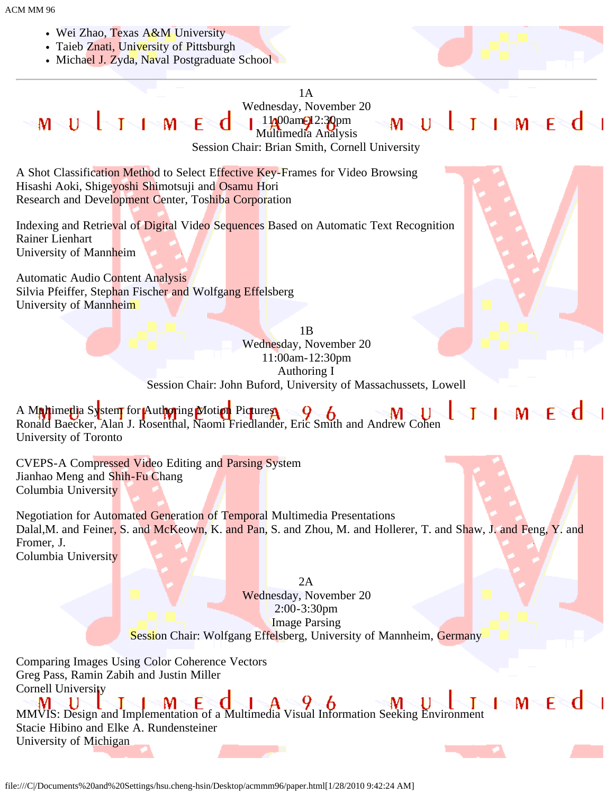- Wei Zhao, Texas A&M University
- Taieb Znati, University of Pittsburgh
- Michael J. Zyda, Naval Postgraduate School



### 1A

Wednesday, November 20 **MULITE** MUJI-1-MEd  $11/00$ am $\bigcirc$ 12:30pm Multimedia Analysis

Session Chair: Brian Smith, Cornell University

A Shot Classification Method to Select Effective Key-Frames for Video Browsing Hisashi Aoki, Shigeyoshi Shimotsuji and Osamu Hori Research and Development Center, Toshiba Corporation

Indexing and Retrieval of Digital Video Sequences Based on Automatic Text Recognition Rainer Lienhart University of Mannheim

Automatic Audio Content Analysis Silvia Pfeiffer, Stephan Fischer and Wolfgang Effelsberg University of Mannheim



 $M \subseteq F \subseteq C$ 

**I** No

1B Wednesday, November 20 11:00am-12:30pm Authoring I Session Chair: John Buford, University of Massachussets, Lowell

**THE MENU** A M**a/t**ime**ti**a System for Authoring Motion Pictures Ronald Baecker, Alan J. Rosenthal, Naomi Friedlander, Eric Smith and Andrew Cohen University of Toronto

CVEPS-A Compressed Video Editing and Parsing System Jianhao Meng and Shih-Fu Chang Columbia University

Negotiation for Automated Generation of Temporal Multimedia Presentations Dalal, M. and Feiner, S. and McKeown, K. and Pan, S. and Zhou, M. and Hollerer, T. and Shaw, J. and Feng, Y. and Fromer, J. Columbia University

> 2A Wednesday, November 20 2:00-3:30pm Image Parsing Session Chair: Wolfgang Effelsberg, University of Mannheim, Germany

Comparing Images Using Color Coherence Vectors Greg Pass, Ramin Zabih and Justin Miller Cornell University

MMVIS: Design and Implementation of a Multimedia Visual Information Seeking Environment Stacie Hibino and Elke A. Rundensteiner University of Michigan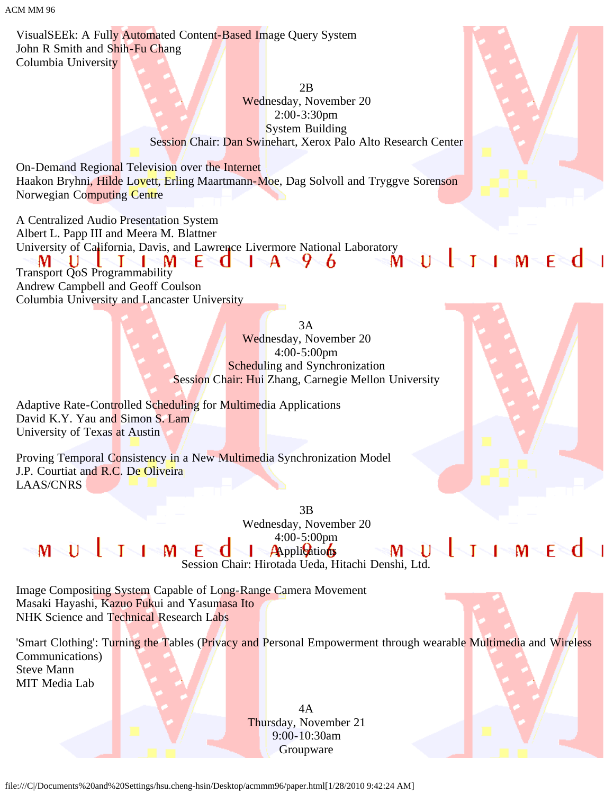ACM MM 96

VisualSEEk: A Fully Automated Content-Based Image Query System John R Smith and Shih-Fu Chang Columbia University

> 2B Wednesday, November 20 2:00-3:30pm System Building Session Chair: Dan Swinehart, Xerox Palo Alto Research Center

On-Demand Regional Television over the Internet Haakon Bryhni, Hilde Lovett, Erling Maartmann-Moe, Dag Solvoll and Tryggve Sorenson Norwegian Computing Centre

A Centralized Audio Presentation System Albert L. Papp III and Meera M. Blattner University of California, Davis, and Lawrence Livermore National Laboratory<br>
MUITIMECIA 96 MUITIMEC U м Transport QoS Programmability Andrew Campbell and Geoff Coulson Columbia University and Lancaster University

> 3A Wednesday, November 20 4:00-5:00pm Scheduling and Synchronization Session Chair: Hui Zhang, Carnegie Mellon University

Adaptive Rate-Controlled Scheduling for Multimedia Applications David K.Y. Yau and Simon S. Lam University of Texas at Austin

Proving Temporal Consistency in a New Multimedia Synchronization Model J.P. Courtiat and R.C. De Oliveira LAAS/CNRS

> 3B Wednesday, November 20 4:00-5:00pm **Applications**

MULTIMEd Session Chair: Hirotada Ueda, Hitachi Denshi, Ltd.

 $\mathsf{M}^-$ 

Image Compositing System Capable of Long-Range Camera Movement Masaki Hayashi, Kazuo Fukui and Yasumasa Ito NHK Science and Technical Research Labs

'Smart Clothing': Turning the Tables (Privacy and Personal Empowerment through wearable Multimedia and Wireless Communications) Steve Mann

MIT Media Lab

4A Thursday, November 21 9:00-10:30am Groupware

file:///C|/Documents%20and%20Settings/hsu.cheng-hsin/Desktop/acmmm96/paper.html[1/28/2010 9:42:24 AM]



ULIHMEdi

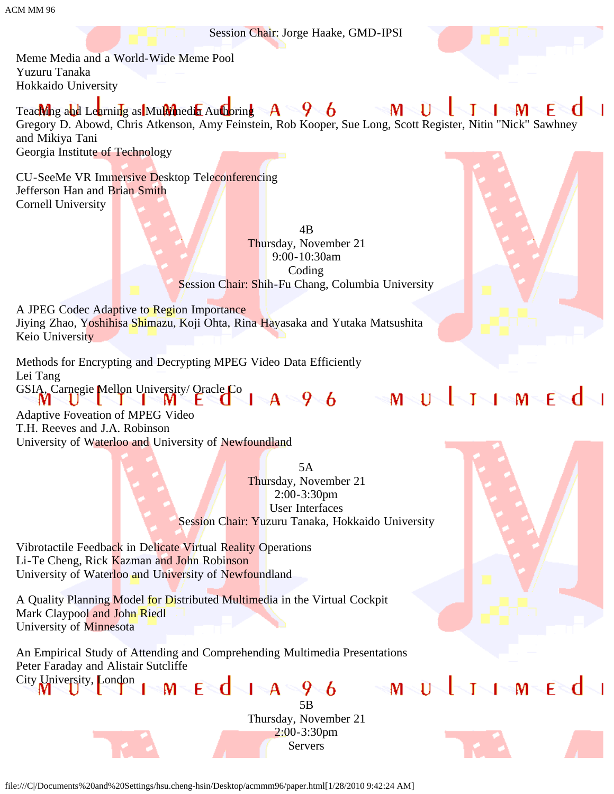Session Chair: Jorge Haake, GMD-IPSI

Meme Media and a World-Wide Meme Pool Yuzuru Tanaka Hokkaido University

 $\mathbf{M}^-$ Teaching and Learning as Multimedia Authoring  $\mathbf{A}$ फ्∽ 6 11 м Gregory D. Abowd, Chris Atkenson, Amy Feinstein, Rob Kooper, Sue Long, Scott Register, Nitin "Nick" Sawhney and Mikiya Tani Georgia Institute of Technology

CU-SeeMe VR Immersive Desktop Teleconferencing Jefferson Han and Brian Smith Cornell University

> 4B Thursday, November 21 9:00-10:30am Coding Session Chair: Shih-Fu Chang, Columbia University

A JPEG Codec Adaptive to Region Importance Jiying Zhao, Yoshihisa Shimazu, Koji Ohta, Rina Hayasaka and Yutaka Matsushita Keio University

Methods for Encrypting and Decrypting MPEG Video Data Efficiently Lei Tang GSIA, Carnegie Mellon University/Oracle Co | A 9 6 M U J I M E d

Adaptive Foveation of MPEG Video T.H. Reeves and J.A. Robinson University of Waterloo and University of Newfoundland

> 5A Thursday, November 21 2:00-3:30pm User Interfaces Session Chair: Yuzuru Tanaka, Hokkaido University

> > 5B Thursday, November 21 2:00-3:30pm Servers

 $M - E$  d  $A - 9$  6

MUJJIMEd

Vibrotactile Feedback in Delicate Virtual Reality Operations Li-Te Cheng, Rick Kazman and John Robinson University of Waterloo and University of Newfoundland

A Quality Planning Model for Distributed Multimedia in the Virtual Cockpit Mark Claypool and John Riedl University of Minnesota

An Empirical Study of Attending and Comprehending Multimedia Presentations Peter Faraday and Alistair Sutcliffe City University, London

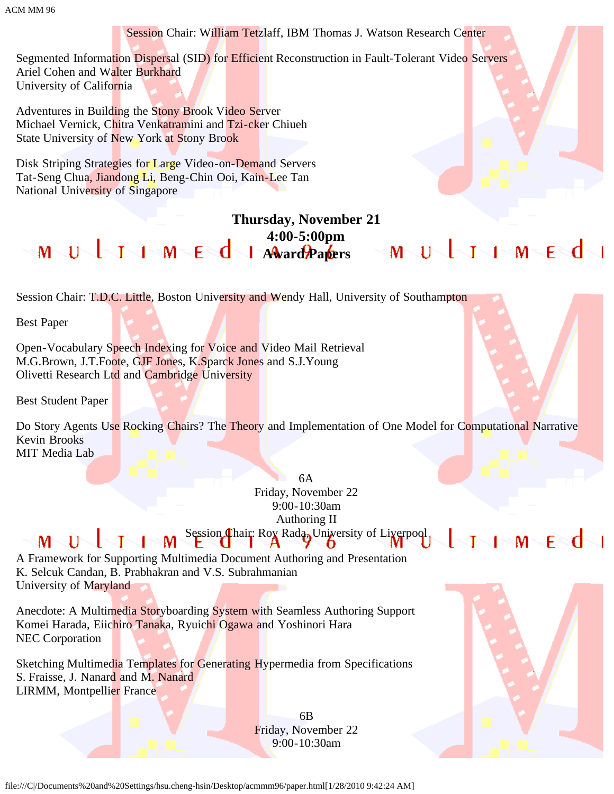Session Chair: William Tetzlaff, IBM Thomas J. Watson Research Center Segmented Information Dispersal (SID) for Efficient Reconstruction in Fault-Tolerant Video Servers Ariel Cohen and Walter Burkhard University of California Adventures in Building the Stony Brook Video Server Michael Vernick, Chitra Venkatramini and Tzi-cker Chiueh State University of New York at Stony Brook Disk Striping Strategies for Large Video-on-Demand Servers Tat-Seng Chua, Jiandong Li, Beng-Chin Ooi, Kain-Lee Tan National University of Singapore **Thursday, November 21 4:00-5:00pm**  $M \cup U$   $1 \cup M \in \mathbb{C}$   $d$   $1$   $A$   $A$   $a$   $a$   $b$   $a$   $b$   $c$   $s$   $M \cup U$   $1 \cup M \in \mathbb{C}$ Session Chair: T.D.C. Little, Boston University and Wendy Hall, University of Southampton Best Paper Open-Vocabulary Speech Indexing for Voice and Video Mail Retrieval M.G.Brown, J.T.Foote, GJF Jones, K.Sparck Jones and S.J.Young Olivetti Research Ltd and Cambridge University Best Student Paper Do Story Agents Use Rocking Chairs? The Theory and Implementation of One Model for Computational Narrative Kevin Brooks MIT Media Lab 6A Friday, November 22 9:00-10:30am Authoring II Session Chair: Roy Rada, University of Liverpool, √l≈M≂F≷d√l  $M \setminus U \setminus J$ Т T M

A Framework for Supporting Multimedia Document Authoring and Presentation K. Selcuk Candan, B. Prabhakran and V.S. Subrahmanian University of Maryland

Anecdote: A Multimedia Storyboarding System with Seamless Authoring Support Komei Harada, Eiichiro Tanaka, Ryuichi Ogawa and Yoshinori Hara NEC Corporation

Sketching Multimedia Templates for Generating Hypermedia from Specifications S. Fraisse, J. Nanard and M. Nanard LIRMM, Montpellier France

> 6B Friday, November 22 9:00-10:30am



file:///C|/Documents%20and%20Settings/hsu.cheng-hsin/Desktop/acmmm96/paper.html[1/28/2010 9:42:24 AM]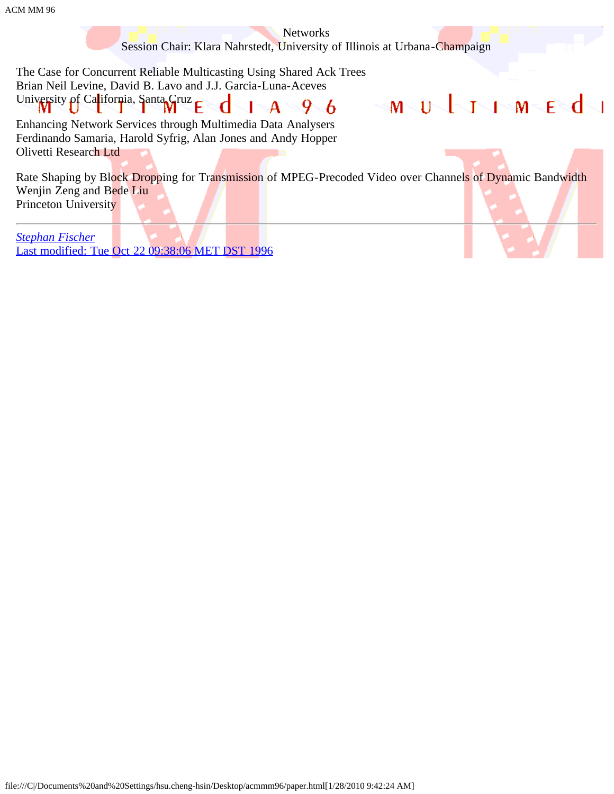Networks

Session Chair: Klara Nahrstedt, University of Illinois at Urbana-Champaign

MNÜNININMNENdNI

The Case for Concurrent Reliable Multicasting Using Shared Ack Trees Brian Neil Levine, David B. Lavo and J.J. Garcia-Luna-Aceves University of California, Santa Gruz  $\mathbf{A} \subseteq$  $9-6$ 

Enhancing Network Services through Multimedia Data Analysers Ferdinando Samaria, Harold Syfrig, Alan Jones and Andy Hopper Olivetti Research Ltd

Rate Shaping by Block Dropping for Transmission of MPEG-Precoded Video over Channels of Dynamic Bandwidth Wenjin Zeng and Bede Liu Princeton University

*[Stephan Fischer](javascript:if(confirm()* [Last modified: Tue Oct 22 09:38:06 MET DST 1996](javascript:if(confirm()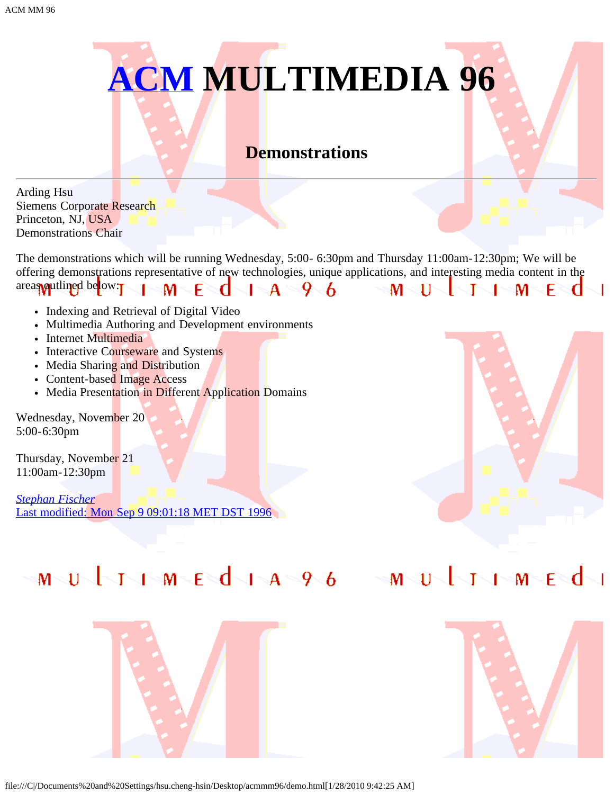

### **Demonstrations**

Arding Hsu Siemens Corporate Research Princeton, NJ, USA Demonstrations Chair

The demonstrations which will be running Wednesday, 5:00- 6:30pm and Thursday 11:00am-12:30pm; We will be offering demonstrations representative of new technologies, unique applications, and interesting media content in the areas **quilined** below:  $\blacksquare$   $\blacksquare$   $\blacksquare$   $\blacksquare$   $\blacksquare$   $\blacksquare$   $\blacksquare$   $\blacksquare$   $\blacksquare$   $\blacksquare$   $\blacksquare$   $\blacksquare$   $\blacksquare$   $\blacksquare$   $\blacksquare$   $\blacksquare$   $\blacksquare$   $\blacksquare$   $\blacksquare$   $\blacksquare$   $\blacksquare$   $\blacksquare$   $\blacksquare$   $\blacksquare$   $\blacksquare$   $\blacksquare$   $\blacksquare$   $\blacksquare$   $\blacksquare$   $\blacksquare$   $\blacksquare$   $\blacks$ M M  $\mathbf{1}$ Т т FR

- Indexing and Retrieval of Digital Video
- Multimedia Authoring and Development environments
- Internet Multimedia
- Interactive Courseware and Systems
- Media Sharing and Distribution
- Content-based Image Access
- Media Presentation in Different Application Domains

Wednesday, November 20 5:00-6:30pm

Thursday, November 21 11:00am-12:30pm

*[Stephan Fischer](javascript:if(confirm()* [Last modified: Mon Sep 9 09:01:18 MET DST 1996](javascript:if(confirm()



# MUUTIMEdia96 MUUTIMEdi



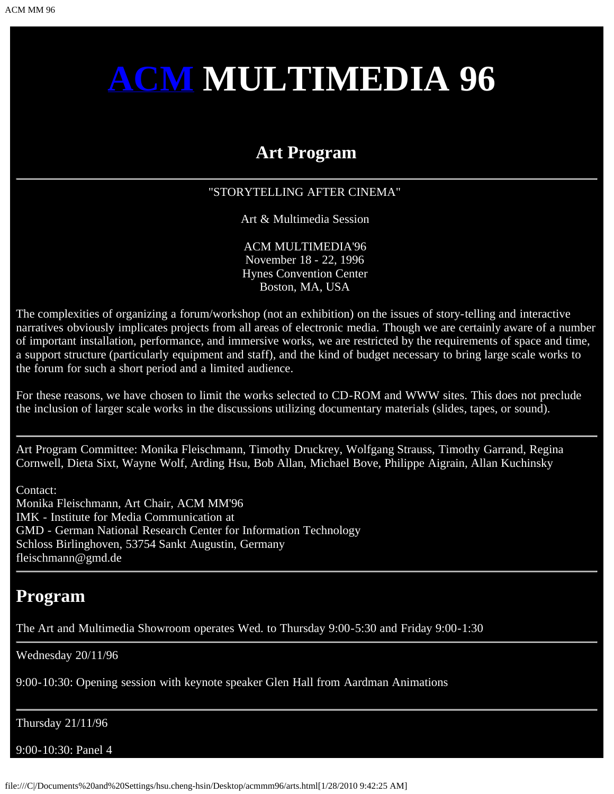# **[ACM](javascript:if(confirm() MULTIMEDIA 96**

### **Art Program**

### "STORYTELLING AFTER CINEMA"

Art & Multimedia Session

ACM MULTIMEDIA'96 November 18 - 22, 1996 Hynes Convention Center Boston, MA, USA

The complexities of organizing a forum/workshop (not an exhibition) on the issues of story-telling and interactive narratives obviously implicates projects from all areas of electronic media. Though we are certainly aware of a number of important installation, performance, and immersive works, we are restricted by the requirements of space and time, a support structure (particularly equipment and staff), and the kind of budget necessary to bring large scale works to the forum for such a short period and a limited audience.

For these reasons, we have chosen to limit the works selected to CD-ROM and WWW sites. This does not preclude the inclusion of larger scale works in the discussions utilizing documentary materials (slides, tapes, or sound).

Art Program Committee: Monika Fleischmann, Timothy Druckrey, Wolfgang Strauss, Timothy Garrand, Regina Cornwell, Dieta Sixt, Wayne Wolf, Arding Hsu, Bob Allan, Michael Bove, Philippe Aigrain, Allan Kuchinsky

Contact: Monika Fleischmann, Art Chair, ACM MM'96 IMK - Institute for Media Communication at GMD - German National Research Center for Information Technology Schloss Birlinghoven, 53754 Sankt Augustin, Germany fleischmann@gmd.de

### **Program**

The Art and Multimedia Showroom operates Wed. to Thursday 9:00-5:30 and Friday 9:00-1:30

Wednesday 20/11/96

9:00-10:30: Opening session with keynote speaker Glen Hall from Aardman Animations

Thursday 21/11/96

9:00-10:30: Panel 4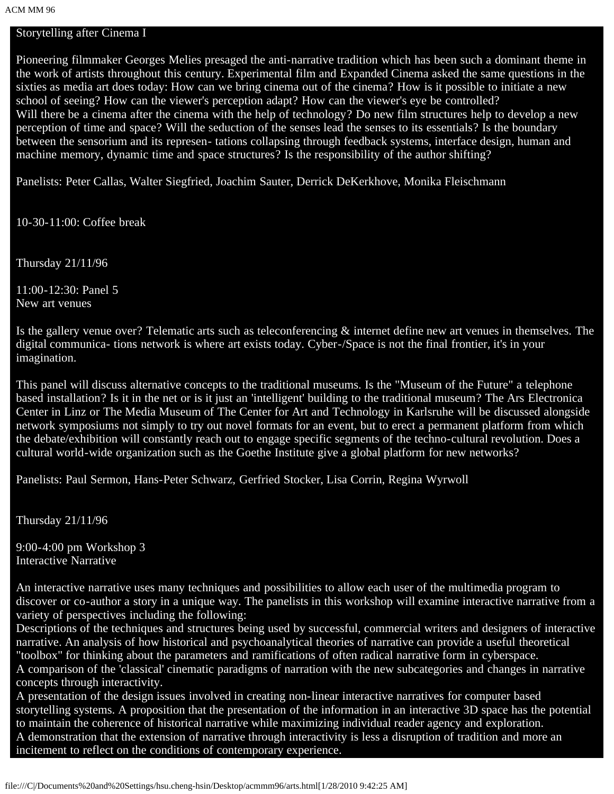### Storytelling after Cinema I

Pioneering filmmaker Georges Melies presaged the anti-narrative tradition which has been such a dominant theme in the work of artists throughout this century. Experimental film and Expanded Cinema asked the same questions in the sixties as media art does today: How can we bring cinema out of the cinema? How is it possible to initiate a new school of seeing? How can the viewer's perception adapt? How can the viewer's eye be controlled? Will there be a cinema after the cinema with the help of technology? Do new film structures help to develop a new perception of time and space? Will the seduction of the senses lead the senses to its essentials? Is the boundary between the sensorium and its represen- tations collapsing through feedback systems, interface design, human and machine memory, dynamic time and space structures? Is the responsibility of the author shifting?

Panelists: Peter Callas, Walter Siegfried, Joachim Sauter, Derrick DeKerkhove, Monika Fleischmann

10-30-11:00: Coffee break

Thursday 21/11/96

11:00-12:30: Panel 5 New art venues

Is the gallery venue over? Telematic arts such as teleconferencing & internet define new art venues in themselves. The digital communica- tions network is where art exists today. Cyber-/Space is not the final frontier, it's in your imagination.

This panel will discuss alternative concepts to the traditional museums. Is the "Museum of the Future" a telephone based installation? Is it in the net or is it just an 'intelligent' building to the traditional museum? The Ars Electronica Center in Linz or The Media Museum of The Center for Art and Technology in Karlsruhe will be discussed alongside network symposiums not simply to try out novel formats for an event, but to erect a permanent platform from which the debate/exhibition will constantly reach out to engage specific segments of the techno-cultural revolution. Does a cultural world-wide organization such as the Goethe Institute give a global platform for new networks?

Panelists: Paul Sermon, Hans-Peter Schwarz, Gerfried Stocker, Lisa Corrin, Regina Wyrwoll

Thursday 21/11/96

9:00-4:00 pm Workshop 3 Interactive Narrative

An interactive narrative uses many techniques and possibilities to allow each user of the multimedia program to discover or co-author a story in a unique way. The panelists in this workshop will examine interactive narrative from a variety of perspectives including the following:

Descriptions of the techniques and structures being used by successful, commercial writers and designers of interactive narrative. An analysis of how historical and psychoanalytical theories of narrative can provide a useful theoretical "toolbox" for thinking about the parameters and ramifications of often radical narrative form in cyberspace. A comparison of the 'classical' cinematic paradigms of narration with the new subcategories and changes in narrative concepts through interactivity.

A presentation of the design issues involved in creating non-linear interactive narratives for computer based storytelling systems. A proposition that the presentation of the information in an interactive 3D space has the potential to maintain the coherence of historical narrative while maximizing individual reader agency and exploration. A demonstration that the extension of narrative through interactivity is less a disruption of tradition and more an incitement to reflect on the conditions of contemporary experience.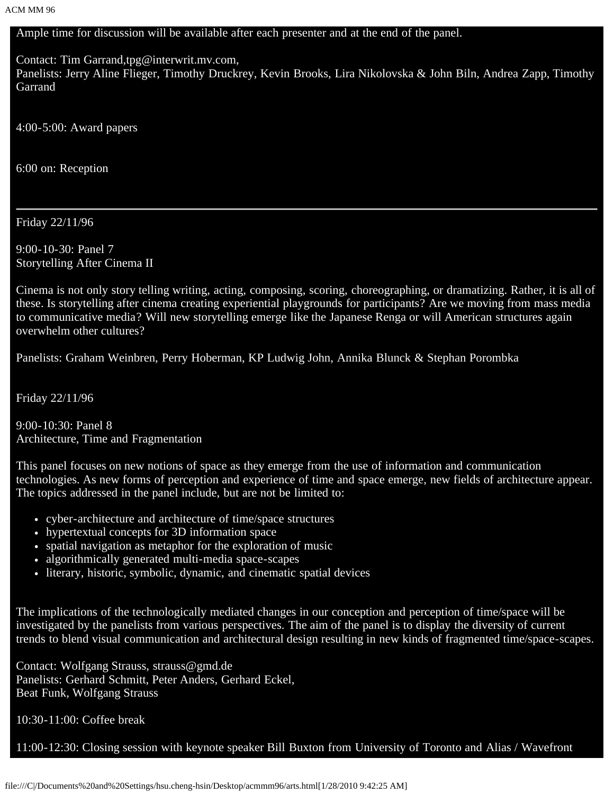Ample time for discussion will be available after each presenter and at the end of the panel.

Contact: Tim Garrand,tpg@interwrit.mv.com,

Panelists: Jerry Aline Flieger, Timothy Druckrey, Kevin Brooks, Lira Nikolovska & John Biln, Andrea Zapp, Timothy Garrand

4:00-5:00: Award papers

6:00 on: Reception

Friday 22/11/96

9:00-10-30: Panel 7 Storytelling After Cinema II

Cinema is not only story telling writing, acting, composing, scoring, choreographing, or dramatizing. Rather, it is all of these. Is storytelling after cinema creating experiential playgrounds for participants? Are we moving from mass media to communicative media? Will new storytelling emerge like the Japanese Renga or will American structures again overwhelm other cultures?

Panelists: Graham Weinbren, Perry Hoberman, KP Ludwig John, Annika Blunck & Stephan Porombka

Friday 22/11/96

9:00-10:30: Panel 8 Architecture, Time and Fragmentation

This panel focuses on new notions of space as they emerge from the use of information and communication technologies. As new forms of perception and experience of time and space emerge, new fields of architecture appear. The topics addressed in the panel include, but are not be limited to:

- cyber-architecture and architecture of time/space structures
- hypertextual concepts for 3D information space
- spatial navigation as metaphor for the exploration of music
- algorithmically generated multi-media space-scapes
- literary, historic, symbolic, dynamic, and cinematic spatial devices

The implications of the technologically mediated changes in our conception and perception of time/space will be investigated by the panelists from various perspectives. The aim of the panel is to display the diversity of current trends to blend visual communication and architectural design resulting in new kinds of fragmented time/space-scapes.

Contact: Wolfgang Strauss, strauss@gmd.de Panelists: Gerhard Schmitt, Peter Anders, Gerhard Eckel, Beat Funk, Wolfgang Strauss

10:30-11:00: Coffee break

11:00-12:30: Closing session with keynote speaker Bill Buxton from University of Toronto and Alias / Wavefront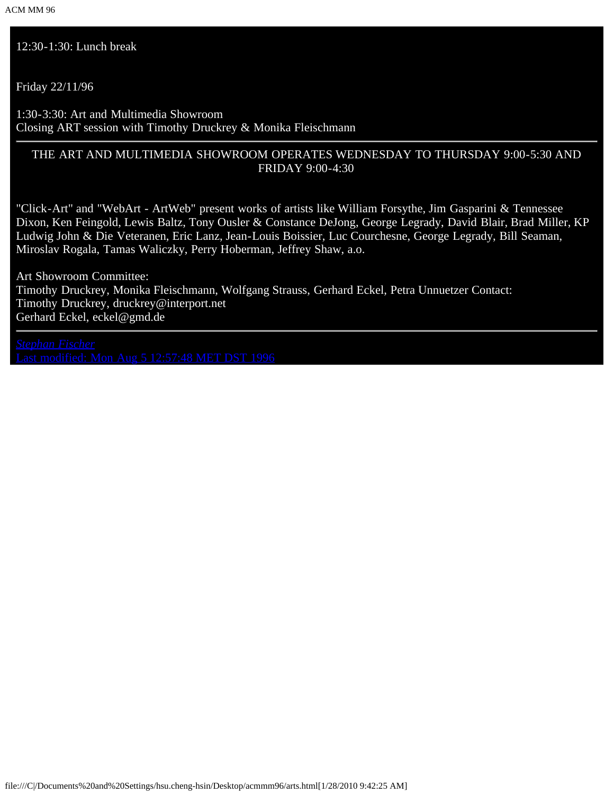12:30-1:30: Lunch break

Friday 22/11/96

1:30-3:30: Art and Multimedia Showroom Closing ART session with Timothy Druckrey & Monika Fleischmann

### THE ART AND MULTIMEDIA SHOWROOM OPERATES WEDNESDAY TO THURSDAY 9:00-5:30 AND FRIDAY 9:00-4:30

"Click-Art" and "WebArt - ArtWeb" present works of artists like William Forsythe, Jim Gasparini & Tennessee Dixon, Ken Feingold, Lewis Baltz, Tony Ousler & Constance DeJong, George Legrady, David Blair, Brad Miller, KP Ludwig John & Die Veteranen, Eric Lanz, Jean-Louis Boissier, Luc Courchesne, George Legrady, Bill Seaman, Miroslav Rogala, Tamas Waliczky, Perry Hoberman, Jeffrey Shaw, a.o.

Art Showroom Committee: Timothy Druckrey, Monika Fleischmann, Wolfgang Strauss, Gerhard Eckel, Petra Unnuetzer Contact: Timothy Druckrey, druckrey@interport.net Gerhard Eckel, eckel@gmd.de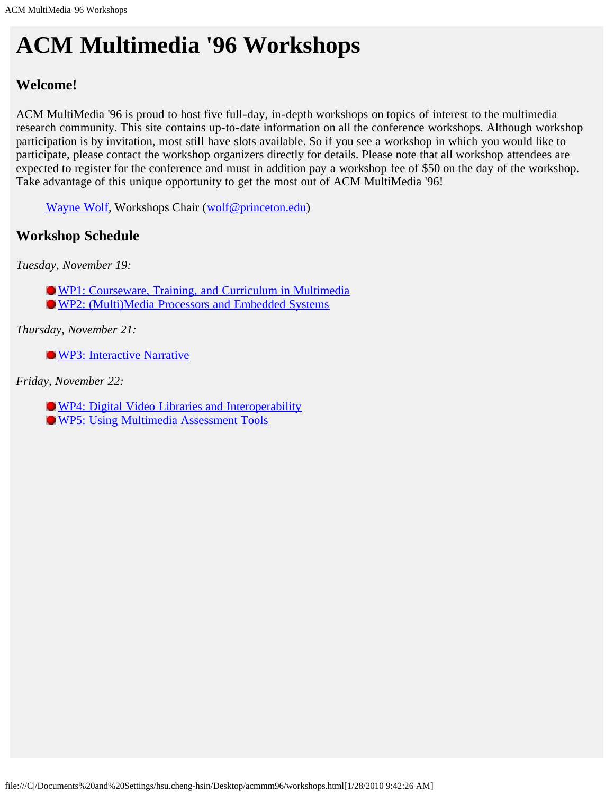# **ACM Multimedia '96 Workshops**

### **Welcome!**

ACM MultiMedia '96 is proud to host five full-day, in-depth workshops on topics of interest to the multimedia research community. This site contains up-to-date information on all the conference workshops. Although workshop participation is by invitation, most still have slots available. So if you see a workshop in which you would like to participate, please contact the workshop organizers directly for details. Please note that all workshop attendees are expected to register for the conference and must in addition pay a workshop fee of \$50 on the day of the workshop. Take advantage of this unique opportunity to get the most out of ACM MultiMedia '96!

[Wayne Wolf](javascript:if(confirm(), Workshops Chair ([wolf@princeton.edu\)](mailto: wolf@princeton.edu)

### **Workshop Schedule**

*Tuesday, November 19:*

[WP1: Courseware, Training, and Curriculum in Multimedia](javascript:if(confirm()

[WP2: \(Multi\)Media Processors and Embedded Systems](#page-87-0)

*Thursday, November 21:*

**[WP3: Interactive Narrative](javascript:if(confirm()** 

*Friday, November 22:*

**[WP4: Digital Video Libraries and Interoperability](javascript:if(confirm()** 

[WP5: Using Multimedia Assessment Tools](#page-88-0)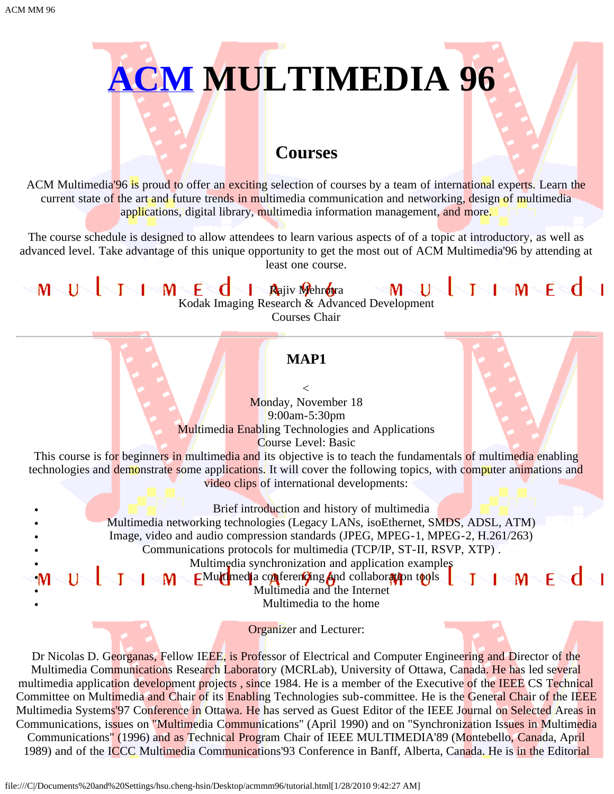

### **Courses**

ACM Multimedia<sup>'96</sup> is proud to offer an exciting selection of courses by a team of international experts. Learn the current state of the art and future trends in multimedia communication and networking, design of multimedia applications, digital library, multimedia information management, and more.

The course schedule is designed to allow attendees to learn various aspects of of a topic at introductory, as well as advanced level. Take advantage of this unique opportunity to get the most out of ACM Multimedia'96 by attending at least one course.

### $\blacksquare$   $\blacksquare$   $\blacksquare$   $\blacksquare$   $\blacksquare$   $\blacksquare$   $\blacksquare$   $\blacksquare$   $\blacksquare$   $\blacksquare$   $\blacksquare$   $\blacksquare$   $\blacksquare$   $\blacksquare$   $\blacksquare$   $\blacksquare$   $\blacksquare$   $\blacksquare$   $\blacksquare$   $\blacksquare$   $\blacksquare$   $\blacksquare$   $\blacksquare$   $\blacksquare$   $\blacksquare$   $\blacksquare$   $\blacksquare$   $\blacksquare$   $\blacksquare$   $\blacksquare$   $\blacksquare$   $\blacks$ Rajiv Mehrotra Kodak Imaging Research & Advanced Development Courses Chair

**MAP1**

 $\lt$ Monday, November 18 9:00am-5:30pm Multimedia Enabling Technologies and Applications Course Level: Basic

This course is for beginners in multimedia and its objective is to teach the fundamentals of multimedia enabling technologies and demonstrate some applications. It will cover the following topics, with computer animations and video clips of international developments:

Brief introduction and history of multimedia

Multimedia networking technologies (Legacy LANs, isoEthernet, SMDS, ADSL, ATM)

Image, video and audio compression standards (JPEG, MPEG-1, MPEG-2, H.261/263)

Communications protocols for multimedia (TCP/IP, ST-II, RSVP, XTP) .

Multimedia synchronization and application examples

 $M - F - C$ Mu**lti**media co**n**ferencing and collaboration tools  $M^-$ 

Multimedia and the Internet

Multimedia to the home

Organizer and Lecturer:

Dr Nicolas D. Georganas, Fellow IEEE, is Professor of Electrical and Computer Engineering and Director of the Multimedia Communications Research Laboratory (MCRLab), University of Ottawa, Canada. He has led several multimedia application development projects, since 1984. He is a member of the Executive of the IEEE CS Technical Committee on Multimedia and Chair of its Enabling Technologies sub-committee. He is the General Chair of the IEEE Multimedia Systems'97 Conference in Ottawa. He has served as Guest Editor of the IEEE Journal on Selected Areas in Communications, issues on "Multimedia Communications" (April 1990) and on "Synchronization Issues in Multimedia Communications" (1996) and as Technical Program Chair of IEEE MULTIMEDIA'89 (Montebello, Canada, April 1989) and of the ICCC Multimedia Communications'93 Conference in Banff, Alberta, Canada. He is in the Editorial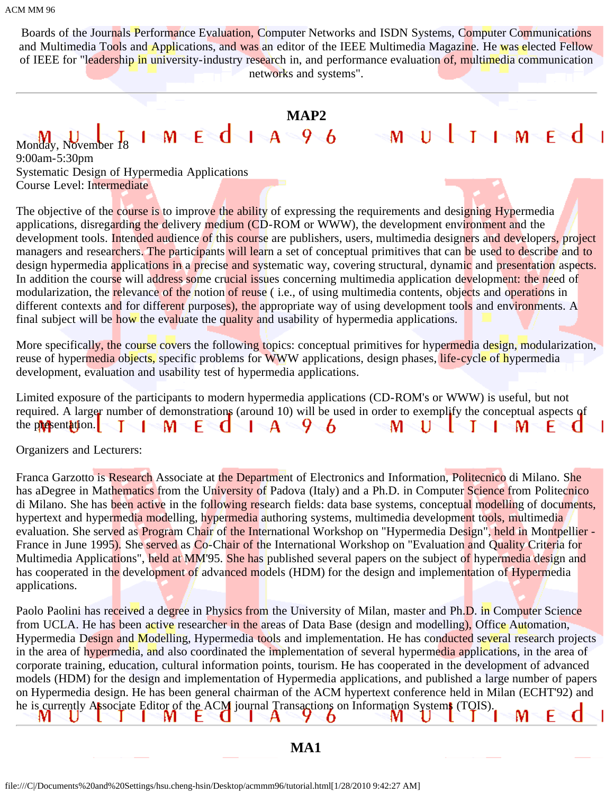Boards of the Journals Performance Evaluation, Computer Networks and ISDN Systems, Computer Communications and Multimedia Tools and Applications, and was an editor of the IEEE Multimedia Magazine. He was elected Fellow of IEEE for "leadership in university-industry research in, and performance evaluation of, multimedia communication networks and systems".

### **MAP2**

MULIIMEd

### $M-E$ dia $A=9.6$ Monday, November 18

9:00am-5:30pm Systematic Design of Hypermedia Applications Course Level: Intermediate

The objective of the course is to improve the ability of expressing the requirements and designing Hypermedia applications, disregarding the delivery medium (CD-ROM or WWW), the development environment and the development tools. Intended audience of this course are publishers, users, multimedia designers and developers, project managers and researchers. The participants will learn a set of conceptual primitives that can be used to describe and to design hypermedia applications in a precise and systematic way, covering structural, dynamic and presentation aspects. In addition the course will address some crucial issues concerning multimedia application development: the need of modularization, the relevance of the notion of reuse (i.e., of using multimedia contents, objects and operations in different contexts and for different purposes), the appropriate way of using development tools and environments. A final subject will be how the evaluate the quality and usability of hypermedia applications.

More specifically, the course covers the following topics: conceptual primitives for hypermedia design, modularization, reuse of hypermedia objects, specific problems for WWW applications, design phases, life-cycle of hypermedia development, evaluation and usability test of hypermedia applications.

| Limited exposure of the participants to modern hypermedia applications (CD-ROM's or WWW) is useful, but not          |                                                                                                                |
|----------------------------------------------------------------------------------------------------------------------|----------------------------------------------------------------------------------------------------------------|
| required. A larger number of demonstrations (around 10) will be used in order to exemplify the conceptual aspects of |                                                                                                                |
| the propertation. $\begin{bmatrix} 1 & M & E & A & A & B \end{bmatrix}$                                              | $\mathbb{C}$ M $\setminus$ U $\setminus$ I $\setminus$ I $\setminus$ M $\setminus$ E $\setminus$ G $\setminus$ |

Organizers and Lecturers:

Franca Garzotto is Research Associate at the Department of Electronics and Information, Politecnico di Milano. She has aDegree in Mathematics from the University of Padova (Italy) and a Ph.D. in Computer Science from Politecnico di Milano. She has been active in the following research fields: data base systems, conceptual modelling of documents, hypertext and hypermedia modelling, hypermedia authoring systems, multimedia development tools, multimedia evaluation. She served as Program Chair of the International Workshop on "Hypermedia Design", held in Montpellier -France in June 1995). She served as Co-Chair of the International Workshop on "Evaluation and Quality Criteria for Multimedia Applications", held at MM'95. She has published several papers on the subject of hypermedia design and has cooperated in the development of advanced models (HDM) for the design and implementation of Hypermedia applications.

Paolo Paolini has received a degree in Physics from the University of Milan, master and Ph.D. in Computer Science from UCLA. He has been active researcher in the areas of Data Base (design and modelling), Office Automation, Hypermedia Design and Modelling, Hypermedia tools and implementation. He has conducted several research projects in the area of hypermedia, and also coordinated the implementation of several hypermedia applications, in the area of corporate training, education, cultural information points, tourism. He has cooperated in the development of advanced models (HDM) for the design and implementation of Hypermedia applications, and published a large number of papers on Hypermedia design. He has been general chairman of the ACM hypertext conference held in Milan (ECHT'92) and he is currently Associate Editor of the ACM journal Transactions on Information Systems (TOIS). M

### **MA1**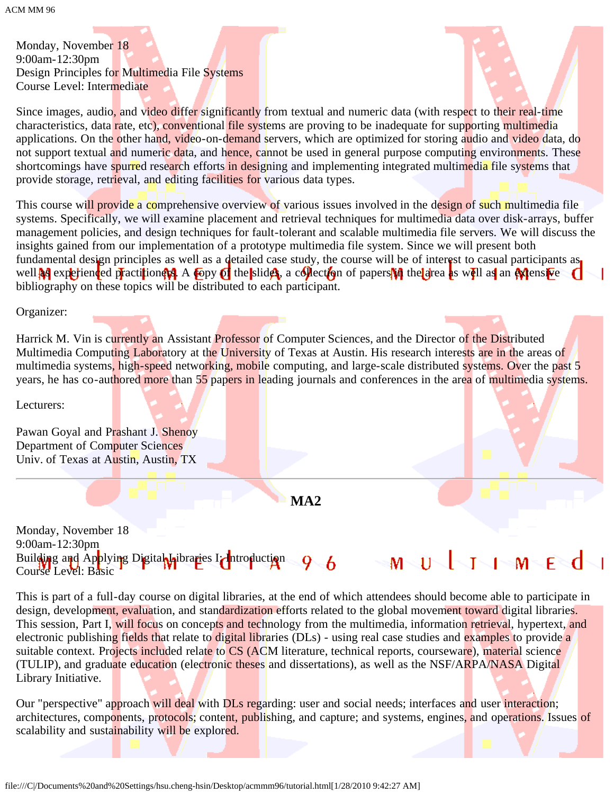ACM MM 96

Monday, November 18 9:00am-12:30pm Design Principles for Multimedia File Systems Course Level: Intermediate

Since images, audio, and video differ significantly from textual and numeric data (with respect to their real-time characteristics, data rate, etc), conventional file systems are proving to be inadequate for supporting multimedia applications. On the other hand, video-on-demand servers, which are optimized for storing audio and video data, do not support textual and numeric data, and hence, cannot be used in general purpose computing environments. These shortcomings have spurred research efforts in designing and implementing integrated multimedia file systems that provide storage, retrieval, and editing facilities for various data types.

This course will provide a comprehensive overview of various issues involved in the design of such multimedia file systems. Specifically, we will examine placement and retrieval techniques for multimedia data over disk-arrays, buffer management policies, and design techniques for fault-tolerant and scalable multimedia file servers. We will discuss the insights gained from our implementation of a prototype multimedia file system. Since we will present both fundamental design principles as well as a detailed case study, the course will be of interest to casual participants as well as experienced practitioners. A copy of the slides, a collection of papers in the area as well as an extensive bibliography on these topics will be distributed to each participant.

Organizer:

Harrick M. Vin is currently an Assistant Professor of Computer Sciences, and the Director of the Distributed Multimedia Computing Laboratory at the University of Texas at Austin. His research interests are in the areas of multimedia systems, high-speed networking, mobile computing, and large-scale distributed systems. Over the past 5 years, he has co-authored more than 55 papers in leading journals and conferences in the area of multimedia systems.

Lecturers:

Pawan Goyal and Prashant J. Shenoy Department of Computer Sciences Univ. of Texas at Austin, Austin, TX

**MA2**

Monday, November 18 9:00am-12:30pm Building and Applying Digital Libraries I: Introduction 96  $1-M-F$  $\overline{11}$ M Course Level: Basic

This is part of a full-day course on digital libraries, at the end of which attendees should become able to participate in design, development, evaluation, and standardization efforts related to the global movement toward digital libraries. This session, Part I, will focus on concepts and technology from the multimedia, information retrieval, hypertext, and electronic publishing fields that relate to digital libraries (DLs) - using real case studies and examples to provide a suitable context. Projects included relate to CS (ACM literature, technical reports, courseware), material science (TULIP), and graduate education (electronic theses and dissertations), as well as the NSF/ARPA/NASA Digital Library Initiative.

Our "perspective" approach will deal with DLs regarding: user and social needs; interfaces and user interaction; architectures, components, protocols; content, publishing, and capture; and systems, engines, and operations. Issues of scalability and sustainability will be explored.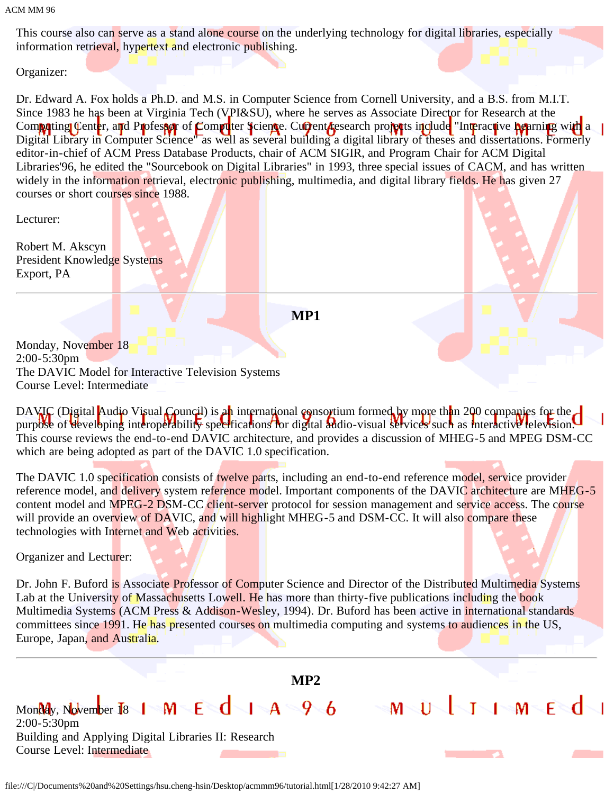ACM MM 96

This course also can serve as a stand alone course on the underlying technology for digital libraries, especially information retrieval, hypertext and electronic publishing.

Organizer:

Dr. Edward A. Fox holds a Ph.D. and M.S. in Computer Science from Cornell University, and a B.S. from M.I.T. Since 1983 he has been at Virginia Tech (VPI&SU), where he serves as Associate Director for Research at the Computing Center, and Professor of Computer Science. Current research projects include "Interactive Learning with a Digital Library in Computer Science" as well as several building a digital library of theses and dissertations. Formerly editor-in-chief of ACM Press Database Products, chair of ACM SIGIR, and Program Chair for ACM Digital Libraries'96, he edited the "Sourcebook on Digital Libraries" in 1993, three special issues of CACM, and has written widely in the information retrieval, electronic publishing, multimedia, and digital library fields. He has given 27 courses or short courses since 1988.

Lecturer:

Robert M. Akscyn President Knowledge Systems Export, PA

**MP1**

Monday, November 18 2:00-5:30pm The DAVIC Model for Interactive Television Systems Course Level: Intermediate

DAVIC (Digital Audio Visual Council) is an international consortium formed by more than 200 companies for the purpose of developing interoperability specifications for digital audio-visual services such as interactive television. This course reviews the end-to-end DAVIC architecture, and provides a discussion of MHEG-5 and MPEG DSM-CC which are being adopted as part of the DAVIC 1.0 specification.

The DAVIC 1.0 specification consists of twelve parts, including an end-to-end reference model, service provider reference model, and delivery system reference model. Important components of the DAVIC architecture are MHEG-5 content model and MPEG-2 DSM-CC client-server protocol for session management and service access. The course will provide an overview of DAVIC, and will highlight MHEG-5 and DSM-CC. It will also compare these technologies with Internet and Web activities.

Organizer and Lecturer:

Dr. John F. Buford is Associate Professor of Computer Science and Director of the Distributed Multimedia Systems Lab at the University of Massachusetts Lowell. He has more than thirty-five publications including the book Multimedia Systems (ACM Press & Addison-Wesley, 1994). Dr. Buford has been active in international standards committees since 1991. He has presented courses on multimedia computing and systems to audiences in the US, Europe, Japan, and Australia.

**MP2**

MULTIMEd

Monday, November 18 1 M E  $d$  1 A  $96$ 2:00-5:30pm Building and Applying Digital Libraries II: Research Course Level: Intermediate

file:///C|/Documents%20and%20Settings/hsu.cheng-hsin/Desktop/acmmm96/tutorial.html[1/28/2010 9:42:27 AM]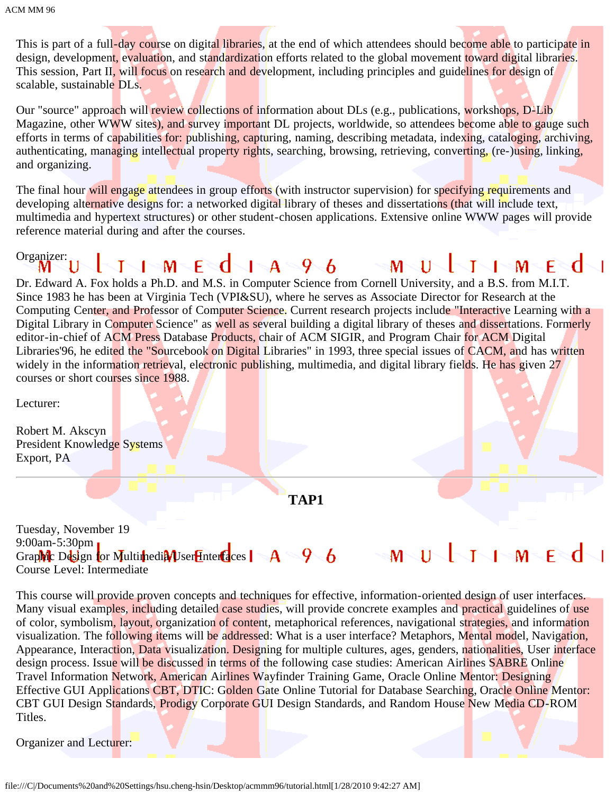This is part of a full-day course on digital libraries, at the end of which attendees should become able to participate in design, development, evaluation, and standardization efforts related to the global movement toward digital libraries. This session, Part II, will focus on research and development, including principles and guidelines for design of scalable, sustainable DLs.

Our "source" approach will review collections of information about DLs (e.g., publications, workshops, D-Lib Magazine, other WWW sites), and survey important DL projects, worldwide, so attendees become able to gauge such efforts in terms of capabilities for: publishing, capturing, naming, describing metadata, indexing, cataloging, archiving, authenticating, managing intellectual property rights, searching, browsing, retrieving, converting, (re-)using, linking, and organizing.

The final hour will engage attendees in group efforts (with instructor supervision) for specifying requirements and developing alternative designs for: a networked digital library of theses and dissertations (that will include text, multimedia and hypertext structures) or other student-chosen applications. Extensive online WWW pages will provide reference material during and after the courses.

### Organizer:<br>M<sup>11</sup>  $1 \, M - E \, d - 1 - A \, 9 - 6$   $M - U$  $\blacksquare$   $\blacksquare$   $\blacksquare$   $\blacksquare$   $\blacksquare$   $\blacksquare$   $\blacksquare$   $\blacksquare$   $\blacksquare$   $\blacksquare$   $\blacksquare$   $\blacksquare$   $\blacksquare$   $\blacksquare$   $\blacksquare$   $\blacksquare$   $\blacksquare$   $\blacksquare$   $\blacksquare$   $\blacksquare$   $\blacksquare$   $\blacksquare$   $\blacksquare$   $\blacksquare$   $\blacksquare$   $\blacksquare$   $\blacksquare$   $\blacksquare$   $\blacksquare$   $\blacksquare$   $\blacksquare$   $\blacks$ Т

Dr. Edward A. Fox holds a Ph.D. and M.S. in Computer Science from Cornell University, and a B.S. from M.I.T. Since 1983 he has been at Virginia Tech (VPI&SU), where he serves as Associate Director for Research at the Computing Center, and Professor of Computer Science. Current research projects include "Interactive Learning with a Digital Library in Computer Science" as well as several building a digital library of theses and dissertations. Formerly editor-in-chief of ACM Press Database Products, chair of ACM SIGIR, and Program Chair for ACM Digital Libraries'96, he edited the "Sourcebook on Digital Libraries" in 1993, three special issues of CACM, and has written widely in the information retrieval, electronic publishing, multimedia, and digital library fields. He has given 27 courses or short courses since 1988.

Lecturer:

Robert M. Akscyn President Knowledge Systems Export, PA

**TAP1**

Tuesday, November 19 9:00am-5:30pm  $I \cup M$   $F \setminus C$ Graphic Design for Multimedia User Interfaces |  $A - 96$  $M^{\sim}$  $\Gamma$ Course Level: Intermediate

This course will provide proven concepts and techniques for effective, information-oriented design of user interfaces. Many visual examples, including detailed case studies, will provide concrete examples and practical guidelines of use of color, symbolism, layout, organization of content, metaphorical references, navigational strategies, and information visualization. The following items will be addressed: What is a user interface? Metaphors, Mental model, Navigation, Appearance, Interaction, Data visualization. Designing for multiple cultures, ages, genders, nationalities, User interface design process. Issue will be discussed in terms of the following case studies: American Airlines SABRE Online Travel Information Network, American Airlines Wayfinder Training Game, Oracle Online Mentor: Designing Effective GUI Applications CBT, DTIC: Golden Gate Online Tutorial for Database Searching, Oracle Online Mentor: CBT GUI Design Standards, Prodigy Corporate GUI Design Standards, and Random House New Media CD-ROM Titles.

Organizer and Lecturer: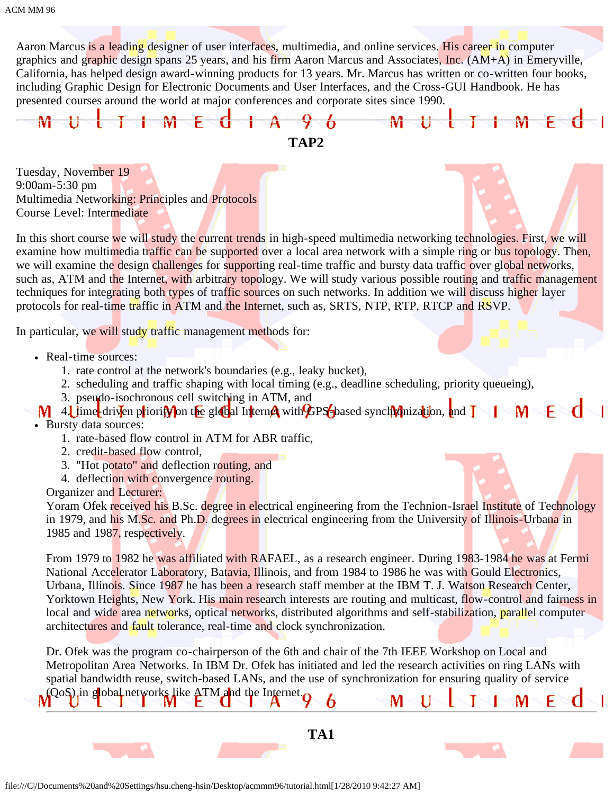Aaron Marcus is a leading designer of user interfaces, multimedia, and online services. His career in computer graphics and graphic design spans 25 years, and his firm Aaron Marcus and Associates, Inc. (AM+A) in Emeryville, California, has helped design award-winning products for 13 years. Mr. Marcus has written or co-written four books, including Graphic Design for Electronic Documents and User Interfaces, and the Cross-GUI Handbook. He has presented courses around the world at major conferences and corporate sites since 1990.



Tuesday, November 19 9:00am-5:30 pm Multimedia Networking: Principles and Protocols Course Level: Intermediate

In this short course we will study the current trends in high-speed multimedia networking technologies. First, we will examine how multimedia traffic can be supported over a local area network with a simple ring or bus topology. Then, we will examine the design challenges for supporting real-time traffic and bursty data traffic over global networks, such as, ATM and the Internet, with arbitrary topology. We will study various possible routing and traffic management techniques for integrating both types of traffic sources on such networks. In addition we will discuss higher layer protocols for real-time traffic in ATM and the Internet, such as, SRTS, NTP, RTP, RTCP and RSVP.

In particular, we will study traffic management methods for:

- Real-time sources:
	- 1. rate control at the network's boundaries (e.g., leaky bucket),
	- 2. scheduling and traffic shaping with local timing (e.g., deadline scheduling, priority queueing),
	- 3. pseudo-isochronous cell switching in ATM, and
- $\mathbf{M}$  4. time-driven priority on the global Internet with GPS-based synchronization, and  $\mathbf{I}$ M – F₹
- Bursty data sources:
	- 1. rate-based flow control in ATM for ABR traffic,
	- 2. credit-based flow control,
	- 3. "Hot potato" and deflection routing, and
	- 4. deflection with convergence routing.

Organizer and Lecturer:

Yoram Ofek received his B.Sc. degree in electrical engineering from the Technion-Israel Institute of Technology in 1979, and his M.Sc. and Ph.D. degrees in electrical engineering from the University of Illinois-Urbana in 1985 and 1987, respectively.

From 1979 to 1982 he was affiliated with RAFAEL, as a research engineer. During 1983-1984 he was at Fermi National Accelerator Laboratory, Batavia, Illinois, and from 1984 to 1986 he was with Gould Electronics, Urbana, Illinois. Since 1987 he has been a research staff member at the IBM T. J. Watson Research Center, Yorktown Heights, New York. His main research interests are routing and multicast, flow-control and fairness in local and wide area networks, optical networks, distributed algorithms and self-stabilization, parallel computer architectures and fault tolerance, real-time and clock synchronization.

Dr. Ofek was the program co-chairperson of the 6th and chair of the 7th IEEE Workshop on Local and Metropolitan Area Networks. In IBM Dr. Ofek has initiated and led the research activities on ring LANs with spatial bandwidth reuse, switch-based LANs, and the use of synchronization for ensuring quality of service (QoS) in global networks like ATM and the Internet. M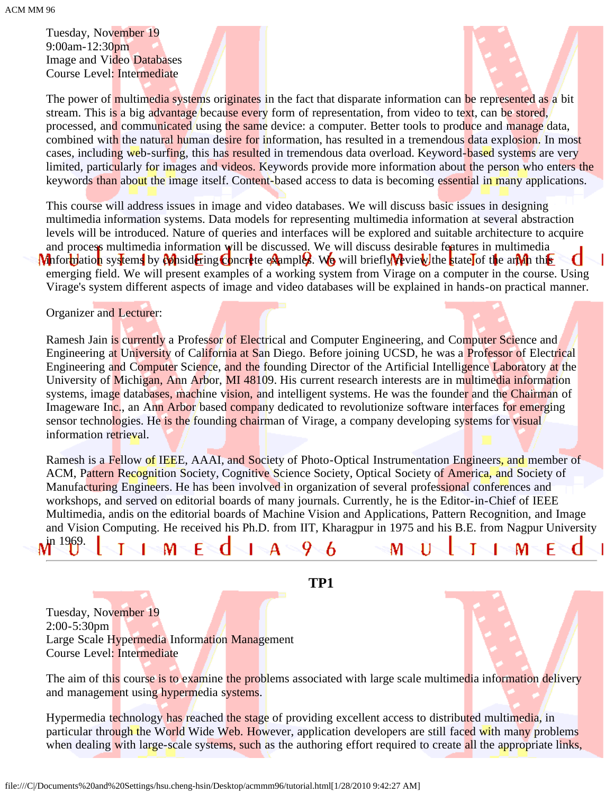Tuesday, November 19 9:00am-12:30pm Image and Video Databases Course Level: Intermediate



M

The power of multimedia systems originates in the fact that disparate information can be represented as a bit stream. This is a big advantage because every form of representation, from video to text, can be stored, processed, and communicated using the same device: a computer. Better tools to produce and manage data, combined with the natural human desire for information, has resulted in a tremendous data explosion. In most cases, including web-surfing, this has resulted in tremendous data overload. Keyword-based systems are very limited, particularly for images and videos. Keywords provide more information about the person who enters the keywords than about the image itself. Content-based access to data is becoming essential in many applications.

This course will address issues in image and video databases. We will discuss basic issues in designing multimedia information systems. Data models for representing multimedia information at several abstraction levels will be introduced. Nature of queries and interfaces will be explored and suitable architecture to acquire and process multimedia information will be discussed. We will discuss desirable features in multimedia **M** information systems by *M* is identify concrete examples. We will briefly review the state of the art in this emerging field. We will present examples of a working system from Virage on a computer in the course. Using Virage's system different aspects of image and video databases will be explained in hands-on practical manner.

Organizer and Lecturer:

Ramesh Jain is currently a Professor of Electrical and Computer Engineering, and Computer Science and Engineering at University of California at San Diego. Before joining UCSD, he was a Professor of Electrical Engineering and Computer Science, and the founding Director of the Artificial Intelligence Laboratory at the University of Michigan, Ann Arbor, MI 48109. His current research interests are in multimedia information systems, image databases, machine vision, and intelligent systems. He was the founder and the Chairman of Imageware Inc., an Ann Arbor based company dedicated to revolutionize software interfaces for emerging sensor technologies. He is the founding chairman of Virage, a company developing systems for visual information retrieval.

Ramesh is a Fellow of IEEE, AAAI, and Society of Photo-Optical Instrumentation Engineers, and member of ACM, Pattern Recognition Society, Cognitive Science Society, Optical Society of America, and Society of Manufacturing Engineers. He has been involved in organization of several professional conferences and workshops, and served on editorial boards of many journals. Currently, he is the Editor-in-Chief of IEEE Multimedia, andis on the editorial boards of Machine Vision and Applications, Pattern Recognition, and Image and Vision Computing. He received his Ph.D. from IIT, Kharagpur in 1975 and his B.E. from Nagpur University n 1969.

**TP1**

6

M

Q

Tuesday, November 19 2:00-5:30pm Large Scale Hypermedia Information Management Course Level: Intermediate

м

F

The aim of this course is to examine the problems associated with large scale multimedia information delivery and management using hypermedia systems.

Hypermedia technology has reached the stage of providing excellent access to distributed multimedia, in particular through the World Wide Web. However, application developers are still faced with many problems when dealing with large-scale systems, such as the authoring effort required to create all the appropriate links,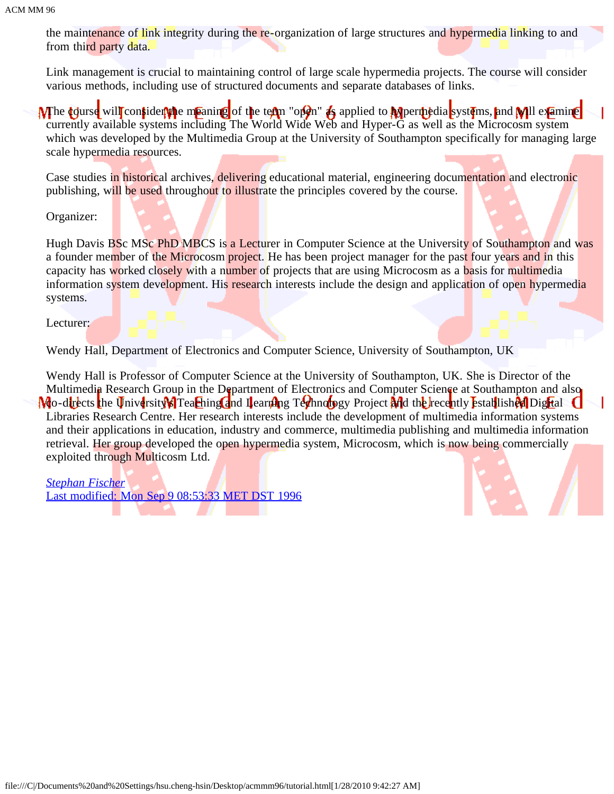the maintenance of link integrity during the re-organization of large structures and hypermedia linking to and from third party data.

Link management is crucial to maintaining control of large scale hypermedia projects. The course will consider various methods, including use of structured documents and separate databases of links.

**M** the **d**edurse will consider the meaning of the term "open" as applied to **M** permedia systems, and **W** ill examine currently available systems including The World Wide Web and Hyper-G as well as the Microcosm system which was developed by the Multimedia Group at the University of Southampton specifically for managing large scale hypermedia resources.

Case studies in historical archives, delivering educational material, engineering documentation and electronic publishing, will be used throughout to illustrate the principles covered by the course.

Organizer:

Hugh Davis BSc MSc PhD MBCS is a Lecturer in Computer Science at the University of Southampton and was a founder member of the Microcosm project. He has been project manager for the past four years and in this capacity has worked closely with a number of projects that are using Microcosm as a basis for multimedia information system development. His research interests include the design and application of open hypermedia systems.

Lecturer:

Wendy Hall, Department of Electronics and Computer Science, University of Southampton, UK

Wendy Hall is Professor of Computer Science at the University of Southampton, UK. She is Director of the Multimedia Research Group in the Department of Electronics and Computer Science at Southampton and also Mo-directs the University's Teaching and Learning Technology Project and the recently established Digital Libraries Research Centre. Her research interests include the development of multimedia information systems and their applications in education, industry and commerce, multimedia publishing and multimedia information retrieval. Her group developed the open hypermedia system, Microcosm, which is now being commercially exploited through Multicosm Ltd.

*[Stephan Fischer](javascript:if(confirm()* [Last modified: Mon Sep 9 08:53:33 MET DST 1996](javascript:if(confirm()

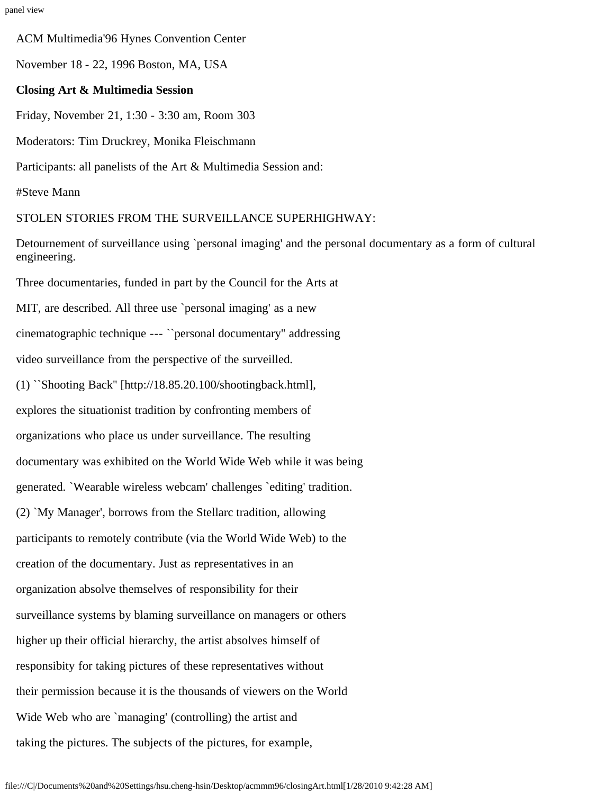ACM Multimedia'96 Hynes Convention Center

November 18 - 22, 1996 Boston, MA, USA

### **Closing Art & Multimedia Session**

Friday, November 21, 1:30 - 3:30 am, Room 303

Moderators: Tim Druckrey, Monika Fleischmann

Participants: all panelists of the Art & Multimedia Session and:

#Steve Mann

### STOLEN STORIES FROM THE SURVEILLANCE SUPERHIGHWAY:

Detournement of surveillance using `personal imaging' and the personal documentary as a form of cultural engineering.

Three documentaries, funded in part by the Council for the Arts at MIT, are described. All three use `personal imaging' as a new cinematographic technique --- ``personal documentary'' addressing video surveillance from the perspective of the surveilled. (1) ``Shooting Back'' [http://18.85.20.100/shootingback.html], explores the situationist tradition by confronting members of organizations who place us under surveillance. The resulting documentary was exhibited on the World Wide Web while it was being generated. `Wearable wireless webcam' challenges `editing' tradition. (2) `My Manager', borrows from the Stellarc tradition, allowing participants to remotely contribute (via the World Wide Web) to the creation of the documentary. Just as representatives in an organization absolve themselves of responsibility for their surveillance systems by blaming surveillance on managers or others higher up their official hierarchy, the artist absolves himself of responsibity for taking pictures of these representatives without their permission because it is the thousands of viewers on the World Wide Web who are `managing' (controlling) the artist and taking the pictures. The subjects of the pictures, for example,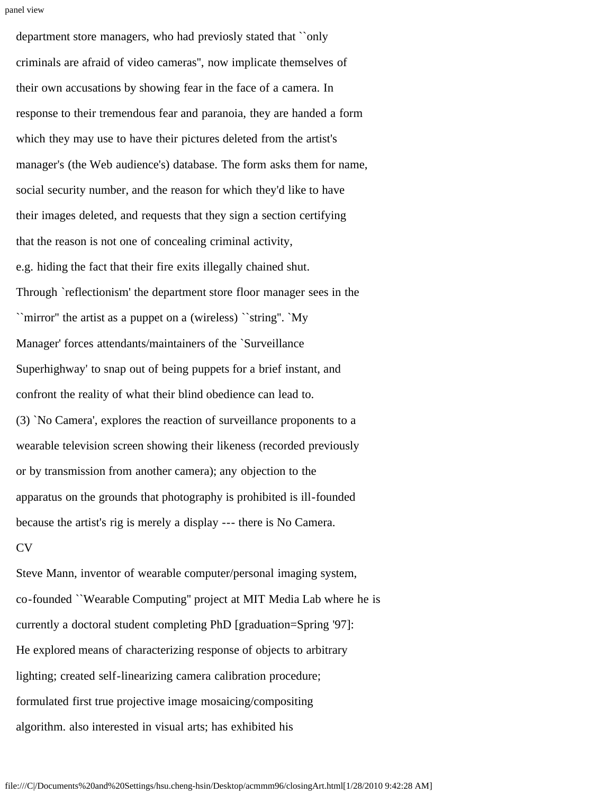```
panel view
```
department store managers, who had previosly stated that ``only criminals are afraid of video cameras'', now implicate themselves of their own accusations by showing fear in the face of a camera. In response to their tremendous fear and paranoia, they are handed a form which they may use to have their pictures deleted from the artist's manager's (the Web audience's) database. The form asks them for name, social security number, and the reason for which they'd like to have their images deleted, and requests that they sign a section certifying that the reason is not one of concealing criminal activity, e.g. hiding the fact that their fire exits illegally chained shut. Through `reflectionism' the department store floor manager sees in the ``mirror'' the artist as a puppet on a (wireless) ``string''. `My Manager' forces attendants/maintainers of the `Surveillance Superhighway' to snap out of being puppets for a brief instant, and confront the reality of what their blind obedience can lead to. (3) `No Camera', explores the reaction of surveillance proponents to a wearable television screen showing their likeness (recorded previously or by transmission from another camera); any objection to the apparatus on the grounds that photography is prohibited is ill-founded because the artist's rig is merely a display --- there is No Camera. CV

Steve Mann, inventor of wearable computer/personal imaging system, co-founded ``Wearable Computing'' project at MIT Media Lab where he is currently a doctoral student completing PhD [graduation=Spring '97]: He explored means of characterizing response of objects to arbitrary lighting; created self-linearizing camera calibration procedure; formulated first true projective image mosaicing/compositing algorithm. also interested in visual arts; has exhibited his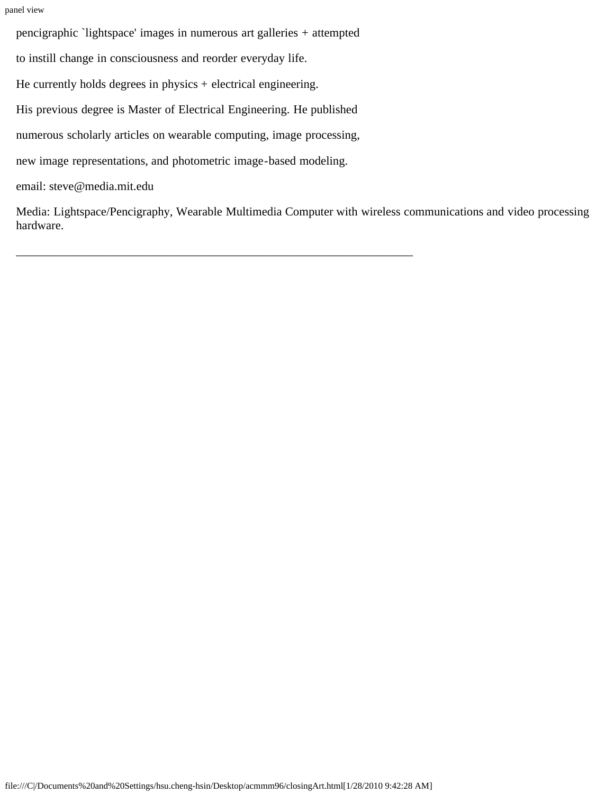panel view

pencigraphic `lightspace' images in numerous art galleries + attempted

to instill change in consciousness and reorder everyday life.

He currently holds degrees in physics + electrical engineering.

His previous degree is Master of Electrical Engineering. He published

numerous scholarly articles on wearable computing, image processing,

\_\_\_\_\_\_\_\_\_\_\_\_\_\_\_\_\_\_\_\_\_\_\_\_\_\_\_\_\_\_\_\_\_\_\_\_\_\_\_\_\_\_\_\_\_\_\_\_\_\_\_\_\_\_\_\_\_\_\_\_\_\_\_\_\_\_

new image representations, and photometric image-based modeling.

email: steve@media.mit.edu

Media: Lightspace/Pencigraphy, Wearable Multimedia Computer with wireless communications and video processing hardware.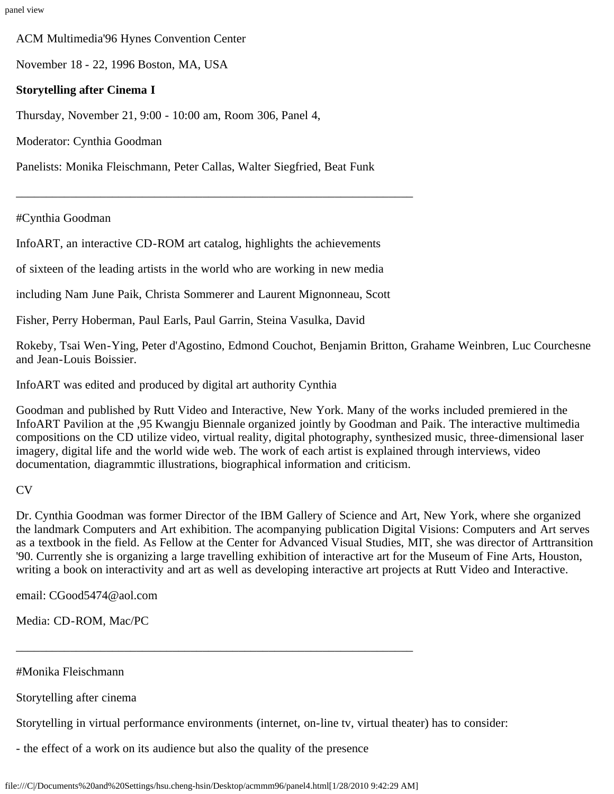panel view

ACM Multimedia'96 Hynes Convention Center

November 18 - 22, 1996 Boston, MA, USA

### **Storytelling after Cinema I**

Thursday, November 21, 9:00 - 10:00 am, Room 306, Panel 4,

Moderator: Cynthia Goodman

Panelists: Monika Fleischmann, Peter Callas, Walter Siegfried, Beat Funk

\_\_\_\_\_\_\_\_\_\_\_\_\_\_\_\_\_\_\_\_\_\_\_\_\_\_\_\_\_\_\_\_\_\_\_\_\_\_\_\_\_\_\_\_\_\_\_\_\_\_\_\_\_\_\_\_\_\_\_\_\_\_\_\_\_\_

#Cynthia Goodman

InfoART, an interactive CD-ROM art catalog, highlights the achievements

of sixteen of the leading artists in the world who are working in new media

including Nam June Paik, Christa Sommerer and Laurent Mignonneau, Scott

Fisher, Perry Hoberman, Paul Earls, Paul Garrin, Steina Vasulka, David

Rokeby, Tsai Wen-Ying, Peter d'Agostino, Edmond Couchot, Benjamin Britton, Grahame Weinbren, Luc Courchesne and Jean-Louis Boissier.

InfoART was edited and produced by digital art authority Cynthia

Goodman and published by Rutt Video and Interactive, New York. Many of the works included premiered in the InfoART Pavilion at the ,95 Kwangju Biennale organized jointly by Goodman and Paik. The interactive multimedia compositions on the CD utilize video, virtual reality, digital photography, synthesized music, three-dimensional laser imagery, digital life and the world wide web. The work of each artist is explained through interviews, video documentation, diagrammtic illustrations, biographical information and criticism.

### CV

Dr. Cynthia Goodman was former Director of the IBM Gallery of Science and Art, New York, where she organized the landmark Computers and Art exhibition. The acompanying publication Digital Visions: Computers and Art serves as a textbook in the field. As Fellow at the Center for Advanced Visual Studies, MIT, she was director of Arttransition '90. Currently she is organizing a large travelling exhibition of interactive art for the Museum of Fine Arts, Houston, writing a book on interactivity and art as well as developing interactive art projects at Rutt Video and Interactive.

email: CGood5474@aol.com

Media: CD-ROM, Mac/PC

#Monika Fleischmann

Storytelling after cinema

Storytelling in virtual performance environments (internet, on-line tv, virtual theater) has to consider:

- the effect of a work on its audience but also the quality of the presence

\_\_\_\_\_\_\_\_\_\_\_\_\_\_\_\_\_\_\_\_\_\_\_\_\_\_\_\_\_\_\_\_\_\_\_\_\_\_\_\_\_\_\_\_\_\_\_\_\_\_\_\_\_\_\_\_\_\_\_\_\_\_\_\_\_\_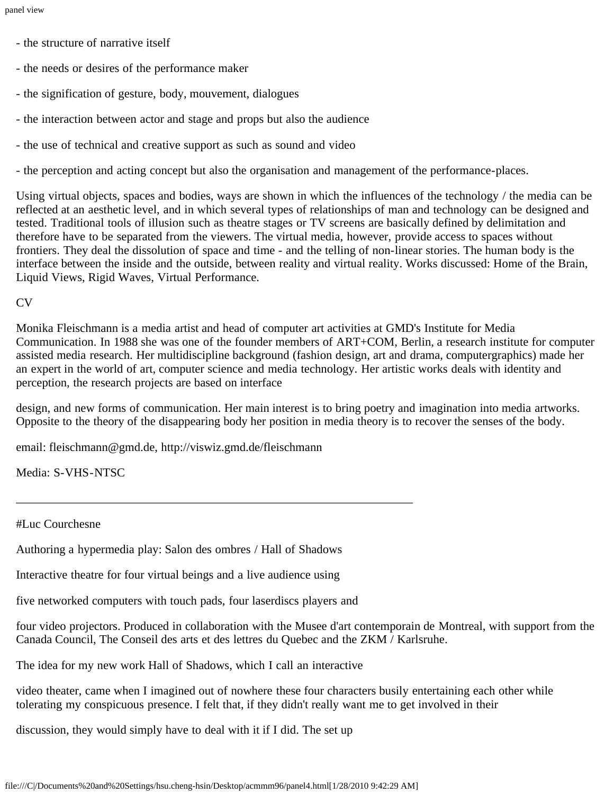- the structure of narrative itself
- the needs or desires of the performance maker
- the signification of gesture, body, mouvement, dialogues
- the interaction between actor and stage and props but also the audience
- the use of technical and creative support as such as sound and video
- the perception and acting concept but also the organisation and management of the performance-places.

Using virtual objects, spaces and bodies, ways are shown in which the influences of the technology / the media can be reflected at an aesthetic level, and in which several types of relationships of man and technology can be designed and tested. Traditional tools of illusion such as theatre stages or TV screens are basically defined by delimitation and therefore have to be separated from the viewers. The virtual media, however, provide access to spaces without frontiers. They deal the dissolution of space and time - and the telling of non-linear stories. The human body is the interface between the inside and the outside, between reality and virtual reality. Works discussed: Home of the Brain, Liquid Views, Rigid Waves, Virtual Performance.

CV

Monika Fleischmann is a media artist and head of computer art activities at GMD's Institute for Media Communication. In 1988 she was one of the founder members of ART+COM, Berlin, a research institute for computer assisted media research. Her multidiscipline background (fashion design, art and drama, computergraphics) made her an expert in the world of art, computer science and media technology. Her artistic works deals with identity and perception, the research projects are based on interface

design, and new forms of communication. Her main interest is to bring poetry and imagination into media artworks. Opposite to the theory of the disappearing body her position in media theory is to recover the senses of the body.

email: fleischmann@gmd.de, http://viswiz.gmd.de/fleischmann

Media: S-VHS-NTSC

#Luc Courchesne

Authoring a hypermedia play: Salon des ombres / Hall of Shadows

\_\_\_\_\_\_\_\_\_\_\_\_\_\_\_\_\_\_\_\_\_\_\_\_\_\_\_\_\_\_\_\_\_\_\_\_\_\_\_\_\_\_\_\_\_\_\_\_\_\_\_\_\_\_\_\_\_\_\_\_\_\_\_\_\_\_

Interactive theatre for four virtual beings and a live audience using

five networked computers with touch pads, four laserdiscs players and

four video projectors. Produced in collaboration with the Musee d'art contemporain de Montreal, with support from the Canada Council, The Conseil des arts et des lettres du Quebec and the ZKM / Karlsruhe.

The idea for my new work Hall of Shadows, which I call an interactive

video theater, came when I imagined out of nowhere these four characters busily entertaining each other while tolerating my conspicuous presence. I felt that, if they didn't really want me to get involved in their

discussion, they would simply have to deal with it if I did. The set up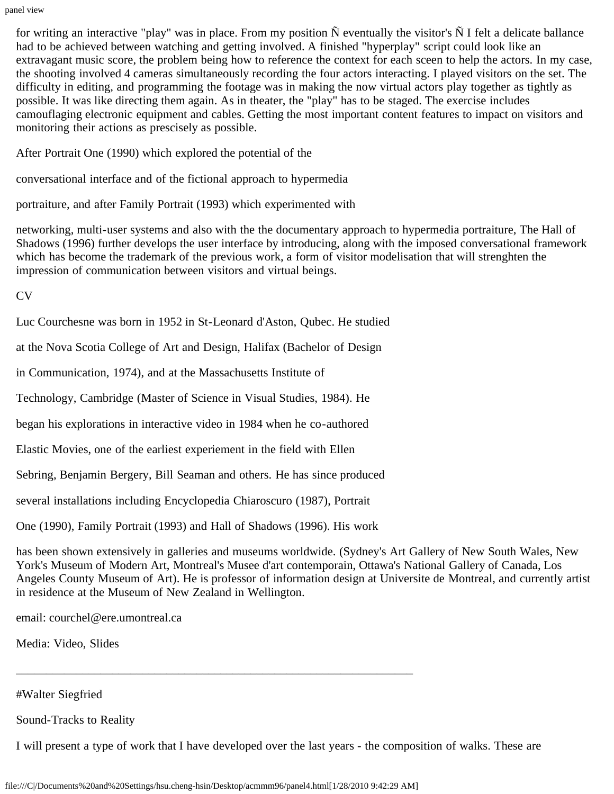panel view

for writing an interactive "play" was in place. From my position  $\tilde{N}$  eventually the visitor's  $\tilde{N}$  I felt a delicate ballance had to be achieved between watching and getting involved. A finished "hyperplay" script could look like an extravagant music score, the problem being how to reference the context for each sceen to help the actors. In my case, the shooting involved 4 cameras simultaneously recording the four actors interacting. I played visitors on the set. The difficulty in editing, and programming the footage was in making the now virtual actors play together as tightly as possible. It was like directing them again. As in theater, the "play" has to be staged. The exercise includes camouflaging electronic equipment and cables. Getting the most important content features to impact on visitors and monitoring their actions as prescisely as possible.

After Portrait One (1990) which explored the potential of the

conversational interface and of the fictional approach to hypermedia

portraiture, and after Family Portrait (1993) which experimented with

networking, multi-user systems and also with the the documentary approach to hypermedia portraiture, The Hall of Shadows (1996) further develops the user interface by introducing, along with the imposed conversational framework which has become the trademark of the previous work, a form of visitor modelisation that will strenghten the impression of communication between visitors and virtual beings.

CV

Luc Courchesne was born in 1952 in St-Leonard d'Aston, Qubec. He studied

at the Nova Scotia College of Art and Design, Halifax (Bachelor of Design

in Communication, 1974), and at the Massachusetts Institute of

Technology, Cambridge (Master of Science in Visual Studies, 1984). He

began his explorations in interactive video in 1984 when he co-authored

Elastic Movies, one of the earliest experiement in the field with Ellen

Sebring, Benjamin Bergery, Bill Seaman and others. He has since produced

several installations including Encyclopedia Chiaroscuro (1987), Portrait

One (1990), Family Portrait (1993) and Hall of Shadows (1996). His work

has been shown extensively in galleries and museums worldwide. (Sydney's Art Gallery of New South Wales, New York's Museum of Modern Art, Montreal's Musee d'art contemporain, Ottawa's National Gallery of Canada, Los Angeles County Museum of Art). He is professor of information design at Universite de Montreal, and currently artist in residence at the Museum of New Zealand in Wellington.

email: courchel@ere.umontreal.ca

Media: Video, Slides

#Walter Siegfried

Sound-Tracks to Reality

I will present a type of work that I have developed over the last years - the composition of walks. These are

\_\_\_\_\_\_\_\_\_\_\_\_\_\_\_\_\_\_\_\_\_\_\_\_\_\_\_\_\_\_\_\_\_\_\_\_\_\_\_\_\_\_\_\_\_\_\_\_\_\_\_\_\_\_\_\_\_\_\_\_\_\_\_\_\_\_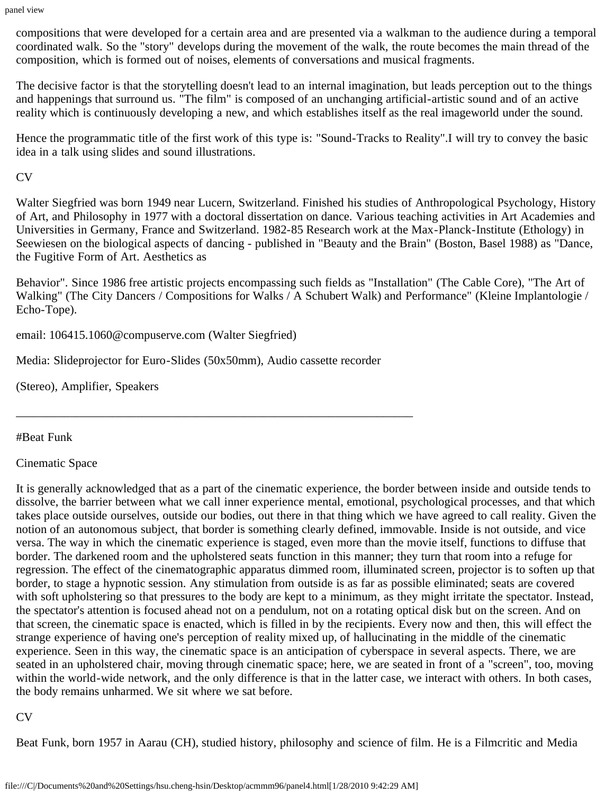compositions that were developed for a certain area and are presented via a walkman to the audience during a temporal coordinated walk. So the "story" develops during the movement of the walk, the route becomes the main thread of the composition, which is formed out of noises, elements of conversations and musical fragments.

The decisive factor is that the storytelling doesn't lead to an internal imagination, but leads perception out to the things and happenings that surround us. "The film" is composed of an unchanging artificial-artistic sound and of an active reality which is continuously developing a new, and which establishes itself as the real imageworld under the sound.

Hence the programmatic title of the first work of this type is: "Sound-Tracks to Reality".I will try to convey the basic idea in a talk using slides and sound illustrations.

CV

Walter Siegfried was born 1949 near Lucern, Switzerland. Finished his studies of Anthropological Psychology, History of Art, and Philosophy in 1977 with a doctoral dissertation on dance. Various teaching activities in Art Academies and Universities in Germany, France and Switzerland. 1982-85 Research work at the Max-Planck-Institute (Ethology) in Seewiesen on the biological aspects of dancing - published in "Beauty and the Brain" (Boston, Basel 1988) as "Dance, the Fugitive Form of Art. Aesthetics as

Behavior". Since 1986 free artistic projects encompassing such fields as "Installation" (The Cable Core), "The Art of Walking" (The City Dancers / Compositions for Walks / A Schubert Walk) and Performance" (Kleine Implantologie / Echo-Tope).

email: 106415.1060@compuserve.com (Walter Siegfried)

Media: Slideprojector for Euro-Slides (50x50mm), Audio cassette recorder

\_\_\_\_\_\_\_\_\_\_\_\_\_\_\_\_\_\_\_\_\_\_\_\_\_\_\_\_\_\_\_\_\_\_\_\_\_\_\_\_\_\_\_\_\_\_\_\_\_\_\_\_\_\_\_\_\_\_\_\_\_\_\_\_\_\_

(Stereo), Amplifier, Speakers

#Beat Funk

Cinematic Space

It is generally acknowledged that as a part of the cinematic experience, the border between inside and outside tends to dissolve, the barrier between what we call inner experience mental, emotional, psychological processes, and that which takes place outside ourselves, outside our bodies, out there in that thing which we have agreed to call reality. Given the notion of an autonomous subject, that border is something clearly defined, immovable. Inside is not outside, and vice versa. The way in which the cinematic experience is staged, even more than the movie itself, functions to diffuse that border. The darkened room and the upholstered seats function in this manner; they turn that room into a refuge for regression. The effect of the cinematographic apparatus dimmed room, illuminated screen, projector is to soften up that border, to stage a hypnotic session. Any stimulation from outside is as far as possible eliminated; seats are covered with soft upholstering so that pressures to the body are kept to a minimum, as they might irritate the spectator. Instead, the spectator's attention is focused ahead not on a pendulum, not on a rotating optical disk but on the screen. And on that screen, the cinematic space is enacted, which is filled in by the recipients. Every now and then, this will effect the strange experience of having one's perception of reality mixed up, of hallucinating in the middle of the cinematic experience. Seen in this way, the cinematic space is an anticipation of cyberspace in several aspects. There, we are seated in an upholstered chair, moving through cinematic space; here, we are seated in front of a "screen", too, moving within the world-wide network, and the only difference is that in the latter case, we interact with others. In both cases, the body remains unharmed. We sit where we sat before.

CV

Beat Funk, born 1957 in Aarau (CH), studied history, philosophy and science of film. He is a Filmcritic and Media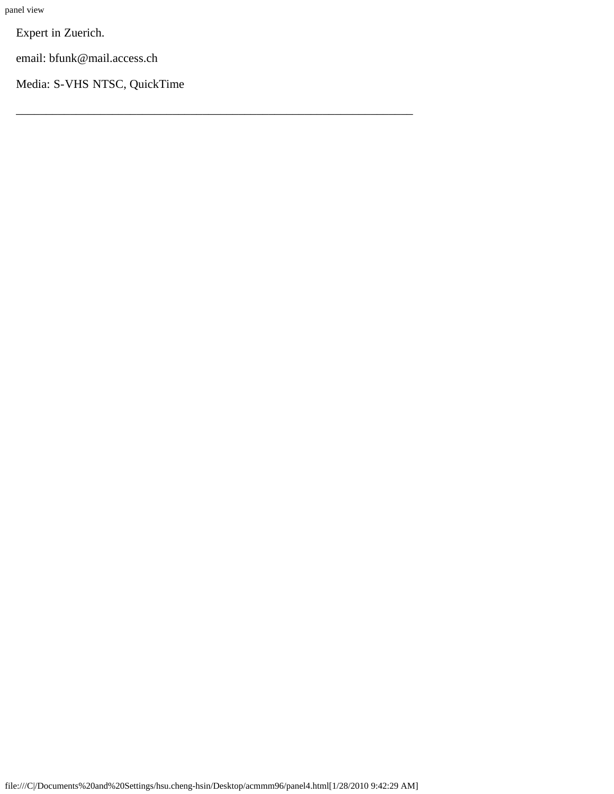Expert in Zuerich.

email: bfunk@mail.access.ch

Media: S-VHS NTSC, QuickTime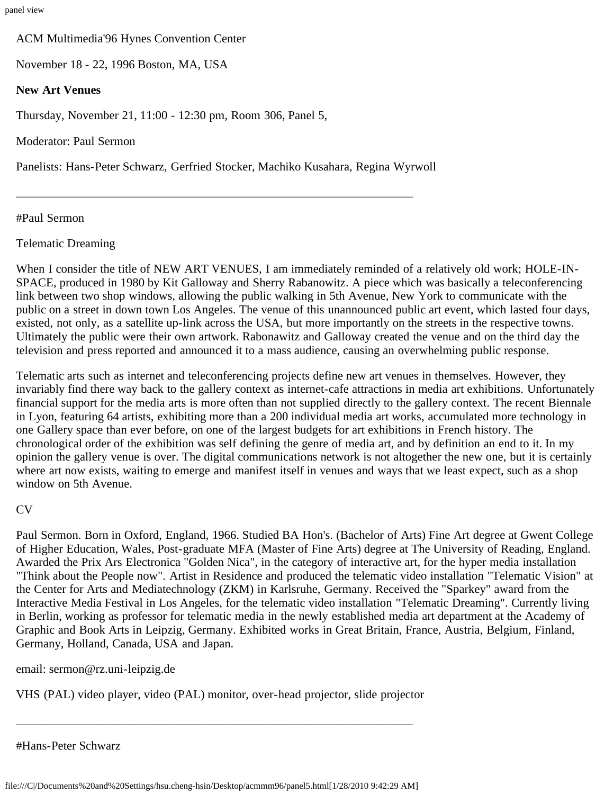ACM Multimedia'96 Hynes Convention Center

November 18 - 22, 1996 Boston, MA, USA

## **New Art Venues**

Thursday, November 21, 11:00 - 12:30 pm, Room 306, Panel 5,

Moderator: Paul Sermon

Panelists: Hans-Peter Schwarz, Gerfried Stocker, Machiko Kusahara, Regina Wyrwoll

\_\_\_\_\_\_\_\_\_\_\_\_\_\_\_\_\_\_\_\_\_\_\_\_\_\_\_\_\_\_\_\_\_\_\_\_\_\_\_\_\_\_\_\_\_\_\_\_\_\_\_\_\_\_\_\_\_\_\_\_\_\_\_\_\_\_

## #Paul Sermon

## Telematic Dreaming

When I consider the title of NEW ART VENUES, I am immediately reminded of a relatively old work; HOLE-IN-SPACE, produced in 1980 by Kit Galloway and Sherry Rabanowitz. A piece which was basically a teleconferencing link between two shop windows, allowing the public walking in 5th Avenue, New York to communicate with the public on a street in down town Los Angeles. The venue of this unannounced public art event, which lasted four days, existed, not only, as a satellite up-link across the USA, but more importantly on the streets in the respective towns. Ultimately the public were their own artwork. Rabonawitz and Galloway created the venue and on the third day the television and press reported and announced it to a mass audience, causing an overwhelming public response.

Telematic arts such as internet and teleconferencing projects define new art venues in themselves. However, they invariably find there way back to the gallery context as internet-cafe attractions in media art exhibitions. Unfortunately financial support for the media arts is more often than not supplied directly to the gallery context. The recent Biennale in Lyon, featuring 64 artists, exhibiting more than a 200 individual media art works, accumulated more technology in one Gallery space than ever before, on one of the largest budgets for art exhibitions in French history. The chronological order of the exhibition was self defining the genre of media art, and by definition an end to it. In my opinion the gallery venue is over. The digital communications network is not altogether the new one, but it is certainly where art now exists, waiting to emerge and manifest itself in venues and ways that we least expect, such as a shop window on 5th Avenue.

#### CV

Paul Sermon. Born in Oxford, England, 1966. Studied BA Hon's. (Bachelor of Arts) Fine Art degree at Gwent College of Higher Education, Wales, Post-graduate MFA (Master of Fine Arts) degree at The University of Reading, England. Awarded the Prix Ars Electronica "Golden Nica", in the category of interactive art, for the hyper media installation "Think about the People now". Artist in Residence and produced the telematic video installation "Telematic Vision" at the Center for Arts and Mediatechnology (ZKM) in Karlsruhe, Germany. Received the "Sparkey" award from the Interactive Media Festival in Los Angeles, for the telematic video installation "Telematic Dreaming". Currently living in Berlin, working as professor for telematic media in the newly established media art department at the Academy of Graphic and Book Arts in Leipzig, Germany. Exhibited works in Great Britain, France, Austria, Belgium, Finland, Germany, Holland, Canada, USA and Japan.

email: sermon@rz.uni-leipzig.de

VHS (PAL) video player, video (PAL) monitor, over-head projector, slide projector

\_\_\_\_\_\_\_\_\_\_\_\_\_\_\_\_\_\_\_\_\_\_\_\_\_\_\_\_\_\_\_\_\_\_\_\_\_\_\_\_\_\_\_\_\_\_\_\_\_\_\_\_\_\_\_\_\_\_\_\_\_\_\_\_\_\_

#Hans-Peter Schwarz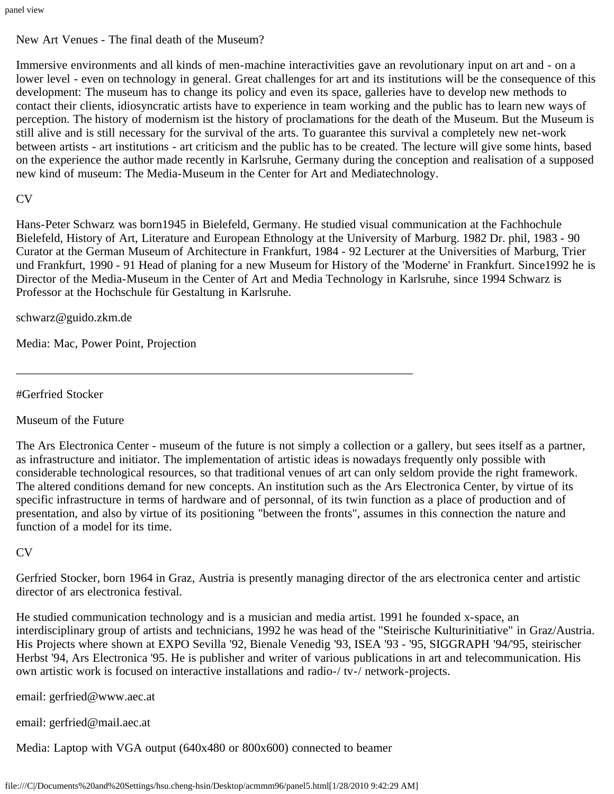New Art Venues - The final death of the Museum?

Immersive environments and all kinds of men-machine interactivities gave an revolutionary input on art and - on a lower level - even on technology in general. Great challenges for art and its institutions will be the consequence of this development: The museum has to change its policy and even its space, galleries have to develop new methods to contact their clients, idiosyncratic artists have to experience in team working and the public has to learn new ways of perception. The history of modernism ist the history of proclamations for the death of the Museum. But the Museum is still alive and is still necessary for the survival of the arts. To guarantee this survival a completely new net-work between artists - art institutions - art criticism and the public has to be created. The lecture will give some hints, based on the experience the author made recently in Karlsruhe, Germany during the conception and realisation of a supposed new kind of museum: The Media-Museum in the Center for Art and Mediatechnology.

#### CV

Hans-Peter Schwarz was born1945 in Bielefeld, Germany. He studied visual communication at the Fachhochule Bielefeld, History of Art, Literature and European Ethnology at the University of Marburg. 1982 Dr. phil, 1983 - 90 Curator at the German Museum of Architecture in Frankfurt, 1984 - 92 Lecturer at the Universities of Marburg, Trier und Frankfurt, 1990 - 91 Head of planing for a new Museum for History of the 'Moderne' in Frankfurt. Since1992 he is Director of the Media-Museum in the Center of Art and Media Technology in Karlsruhe, since 1994 Schwarz is Professor at the Hochschule für Gestaltung in Karlsruhe.

schwarz@guido.zkm.de

Media: Mac, Power Point, Projection

#Gerfried Stocker

Museum of the Future

The Ars Electronica Center - museum of the future is not simply a collection or a gallery, but sees itself as a partner, as infrastructure and initiator. The implementation of artistic ideas is nowadays frequently only possible with considerable technological resources, so that traditional venues of art can only seldom provide the right framework. The altered conditions demand for new concepts. An institution such as the Ars Electronica Center, by virtue of its specific infrastructure in terms of hardware and of personnal, of its twin function as a place of production and of presentation, and also by virtue of its positioning "between the fronts", assumes in this connection the nature and function of a model for its time.

CV

Gerfried Stocker, born 1964 in Graz, Austria is presently managing director of the ars electronica center and artistic director of ars electronica festival.

He studied communication technology and is a musician and media artist. 1991 he founded x-space, an interdisciplinary group of artists and technicians, 1992 he was head of the "Steirische Kulturinitiative" in Graz/Austria. His Projects where shown at EXPO Sevilla '92, Bienale Venedig '93, ISEA '93 - '95, SIGGRAPH '94/'95, steirischer Herbst '94, Ars Electronica '95. He is publisher and writer of various publications in art and telecommunication. His own artistic work is focused on interactive installations and radio-/ tv-/ network-projects.

email: gerfried@www.aec.at

email: gerfried@mail.aec.at

Media: Laptop with VGA output (640x480 or 800x600) connected to beamer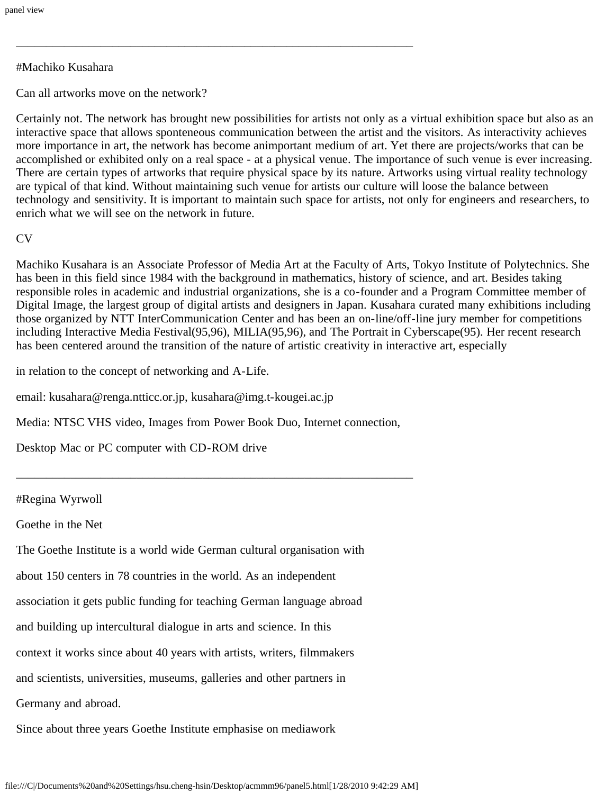#### #Machiko Kusahara

Can all artworks move on the network?

Certainly not. The network has brought new possibilities for artists not only as a virtual exhibition space but also as an interactive space that allows sponteneous communication between the artist and the visitors. As interactivity achieves more importance in art, the network has become animportant medium of art. Yet there are projects/works that can be accomplished or exhibited only on a real space - at a physical venue. The importance of such venue is ever increasing. There are certain types of artworks that require physical space by its nature. Artworks using virtual reality technology are typical of that kind. Without maintaining such venue for artists our culture will loose the balance between technology and sensitivity. It is important to maintain such space for artists, not only for engineers and researchers, to enrich what we will see on the network in future.

#### $CV$

Machiko Kusahara is an Associate Professor of Media Art at the Faculty of Arts, Tokyo Institute of Polytechnics. She has been in this field since 1984 with the background in mathematics, history of science, and art. Besides taking responsible roles in academic and industrial organizations, she is a co-founder and a Program Committee member of Digital Image, the largest group of digital artists and designers in Japan. Kusahara curated many exhibitions including those organized by NTT InterCommunication Center and has been an on-line/off-line jury member for competitions including Interactive Media Festival(95,96), MILIA(95,96), and The Portrait in Cyberscape(95). Her recent research has been centered around the transition of the nature of artistic creativity in interactive art, especially

in relation to the concept of networking and A-Life.

email: kusahara@renga.ntticc.or.jp, kusahara@img.t-kougei.ac.jp

Media: NTSC VHS video, Images from Power Book Duo, Internet connection,

\_\_\_\_\_\_\_\_\_\_\_\_\_\_\_\_\_\_\_\_\_\_\_\_\_\_\_\_\_\_\_\_\_\_\_\_\_\_\_\_\_\_\_\_\_\_\_\_\_\_\_\_\_\_\_\_\_\_\_\_\_\_\_\_\_\_

\_\_\_\_\_\_\_\_\_\_\_\_\_\_\_\_\_\_\_\_\_\_\_\_\_\_\_\_\_\_\_\_\_\_\_\_\_\_\_\_\_\_\_\_\_\_\_\_\_\_\_\_\_\_\_\_\_\_\_\_\_\_\_\_\_\_

Desktop Mac or PC computer with CD-ROM drive

#### #Regina Wyrwoll

Goethe in the Net

The Goethe Institute is a world wide German cultural organisation with

about 150 centers in 78 countries in the world. As an independent

association it gets public funding for teaching German language abroad

and building up intercultural dialogue in arts and science. In this

context it works since about 40 years with artists, writers, filmmakers

and scientists, universities, museums, galleries and other partners in

Germany and abroad.

Since about three years Goethe Institute emphasise on mediawork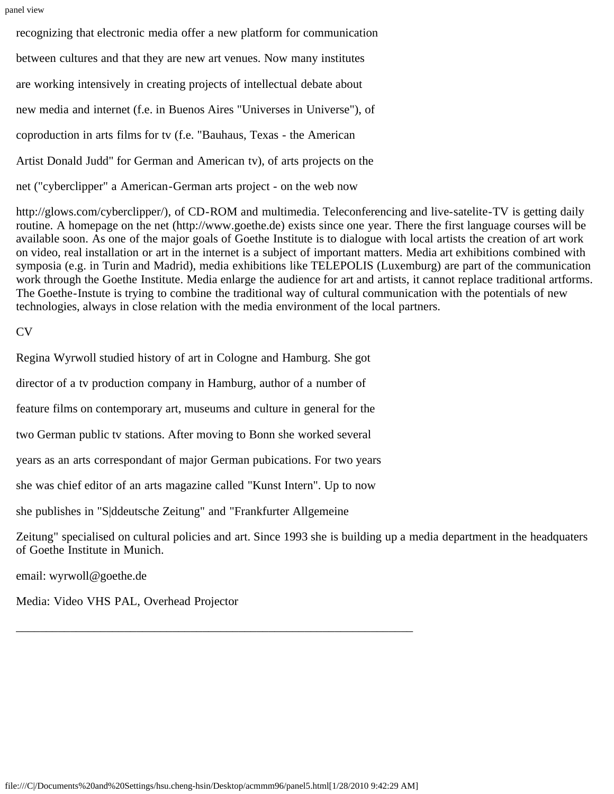recognizing that electronic media offer a new platform for communication between cultures and that they are new art venues. Now many institutes are working intensively in creating projects of intellectual debate about new media and internet (f.e. in Buenos Aires "Universes in Universe"), of coproduction in arts films for tv (f.e. "Bauhaus, Texas - the American Artist Donald Judd" for German and American tv), of arts projects on the net ("cyberclipper" a American-German arts project - on the web now

http://glows.com/cyberclipper/), of CD-ROM and multimedia. Teleconferencing and live-satelite-TV is getting daily routine. A homepage on the net (http://www.goethe.de) exists since one year. There the first language courses will be available soon. As one of the major goals of Goethe Institute is to dialogue with local artists the creation of art work on video, real installation or art in the internet is a subject of important matters. Media art exhibitions combined with symposia (e.g. in Turin and Madrid), media exhibitions like TELEPOLIS (Luxemburg) are part of the communication work through the Goethe Institute. Media enlarge the audience for art and artists, it cannot replace traditional artforms. The Goethe-Instute is trying to combine the traditional way of cultural communication with the potentials of new technologies, always in close relation with the media environment of the local partners.

CV

Regina Wyrwoll studied history of art in Cologne and Hamburg. She got director of a tv production company in Hamburg, author of a number of feature films on contemporary art, museums and culture in general for the two German public tv stations. After moving to Bonn she worked several years as an arts correspondant of major German pubications. For two years she was chief editor of an arts magazine called "Kunst Intern". Up to now she publishes in "S|ddeutsche Zeitung" and "Frankfurter Allgemeine Zeitung" specialised on cultural policies and art. Since 1993 she is building up a media department in the headquaters of Goethe Institute in Munich.

email: wyrwoll@goethe.de

Media: Video VHS PAL, Overhead Projector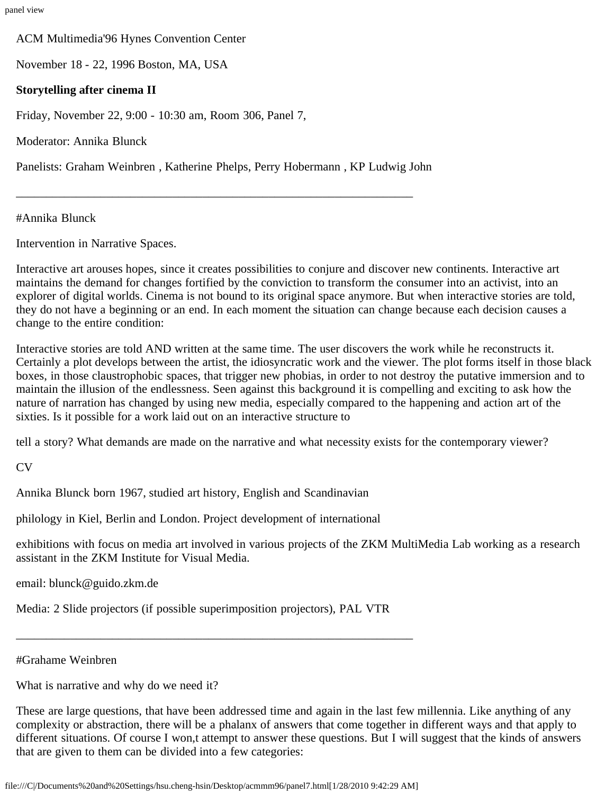ACM Multimedia'96 Hynes Convention Center

November 18 - 22, 1996 Boston, MA, USA

#### **Storytelling after cinema II**

Friday, November 22, 9:00 - 10:30 am, Room 306, Panel 7,

Moderator: Annika Blunck

Panelists: Graham Weinbren , Katherine Phelps, Perry Hobermann , KP Ludwig John

\_\_\_\_\_\_\_\_\_\_\_\_\_\_\_\_\_\_\_\_\_\_\_\_\_\_\_\_\_\_\_\_\_\_\_\_\_\_\_\_\_\_\_\_\_\_\_\_\_\_\_\_\_\_\_\_\_\_\_\_\_\_\_\_\_\_

#Annika Blunck

Intervention in Narrative Spaces.

Interactive art arouses hopes, since it creates possibilities to conjure and discover new continents. Interactive art maintains the demand for changes fortified by the conviction to transform the consumer into an activist, into an explorer of digital worlds. Cinema is not bound to its original space anymore. But when interactive stories are told, they do not have a beginning or an end. In each moment the situation can change because each decision causes a change to the entire condition:

Interactive stories are told AND written at the same time. The user discovers the work while he reconstructs it. Certainly a plot develops between the artist, the idiosyncratic work and the viewer. The plot forms itself in those black boxes, in those claustrophobic spaces, that trigger new phobias, in order to not destroy the putative immersion and to maintain the illusion of the endlessness. Seen against this background it is compelling and exciting to ask how the nature of narration has changed by using new media, especially compared to the happening and action art of the sixties. Is it possible for a work laid out on an interactive structure to

tell a story? What demands are made on the narrative and what necessity exists for the contemporary viewer?

CV

Annika Blunck born 1967, studied art history, English and Scandinavian

philology in Kiel, Berlin and London. Project development of international

exhibitions with focus on media art involved in various projects of the ZKM MultiMedia Lab working as a research assistant in the ZKM Institute for Visual Media.

email: blunck@guido.zkm.de

Media: 2 Slide projectors (if possible superimposition projectors), PAL VTR

\_\_\_\_\_\_\_\_\_\_\_\_\_\_\_\_\_\_\_\_\_\_\_\_\_\_\_\_\_\_\_\_\_\_\_\_\_\_\_\_\_\_\_\_\_\_\_\_\_\_\_\_\_\_\_\_\_\_\_\_\_\_\_\_\_\_

#### #Grahame Weinbren

What is narrative and why do we need it?

These are large questions, that have been addressed time and again in the last few millennia. Like anything of any complexity or abstraction, there will be a phalanx of answers that come together in different ways and that apply to different situations. Of course I won,t attempt to answer these questions. But I will suggest that the kinds of answers that are given to them can be divided into a few categories: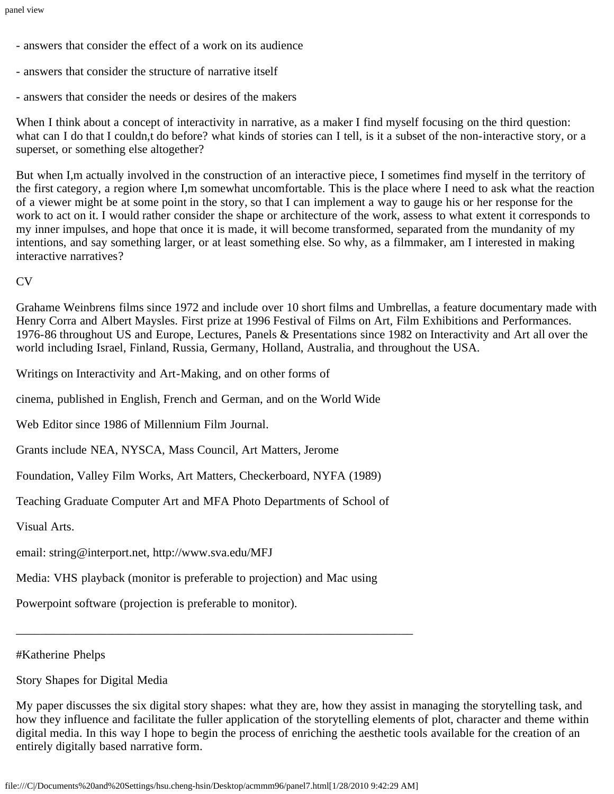- answers that consider the effect of a work on its audience
- answers that consider the structure of narrative itself
- answers that consider the needs or desires of the makers

When I think about a concept of interactivity in narrative, as a maker I find myself focusing on the third question: what can I do that I couldn,t do before? what kinds of stories can I tell, is it a subset of the non-interactive story, or a superset, or something else altogether?

But when I,m actually involved in the construction of an interactive piece, I sometimes find myself in the territory of the first category, a region where I,m somewhat uncomfortable. This is the place where I need to ask what the reaction of a viewer might be at some point in the story, so that I can implement a way to gauge his or her response for the work to act on it. I would rather consider the shape or architecture of the work, assess to what extent it corresponds to my inner impulses, and hope that once it is made, it will become transformed, separated from the mundanity of my intentions, and say something larger, or at least something else. So why, as a filmmaker, am I interested in making interactive narratives?

CV

Grahame Weinbrens films since 1972 and include over 10 short films and Umbrellas, a feature documentary made with Henry Corra and Albert Maysles. First prize at 1996 Festival of Films on Art, Film Exhibitions and Performances. 1976-86 throughout US and Europe, Lectures, Panels & Presentations since 1982 on Interactivity and Art all over the world including Israel, Finland, Russia, Germany, Holland, Australia, and throughout the USA.

Writings on Interactivity and Art-Making, and on other forms of

cinema, published in English, French and German, and on the World Wide

Web Editor since 1986 of Millennium Film Journal.

Grants include NEA, NYSCA, Mass Council, Art Matters, Jerome

Foundation, Valley Film Works, Art Matters, Checkerboard, NYFA (1989)

Teaching Graduate Computer Art and MFA Photo Departments of School of

Visual Arts.

email: string@interport.net, http://www.sva.edu/MFJ

Media: VHS playback (monitor is preferable to projection) and Mac using

\_\_\_\_\_\_\_\_\_\_\_\_\_\_\_\_\_\_\_\_\_\_\_\_\_\_\_\_\_\_\_\_\_\_\_\_\_\_\_\_\_\_\_\_\_\_\_\_\_\_\_\_\_\_\_\_\_\_\_\_\_\_\_\_\_\_

Powerpoint software (projection is preferable to monitor).

#Katherine Phelps

Story Shapes for Digital Media

My paper discusses the six digital story shapes: what they are, how they assist in managing the storytelling task, and how they influence and facilitate the fuller application of the storytelling elements of plot, character and theme within digital media. In this way I hope to begin the process of enriching the aesthetic tools available for the creation of an entirely digitally based narrative form.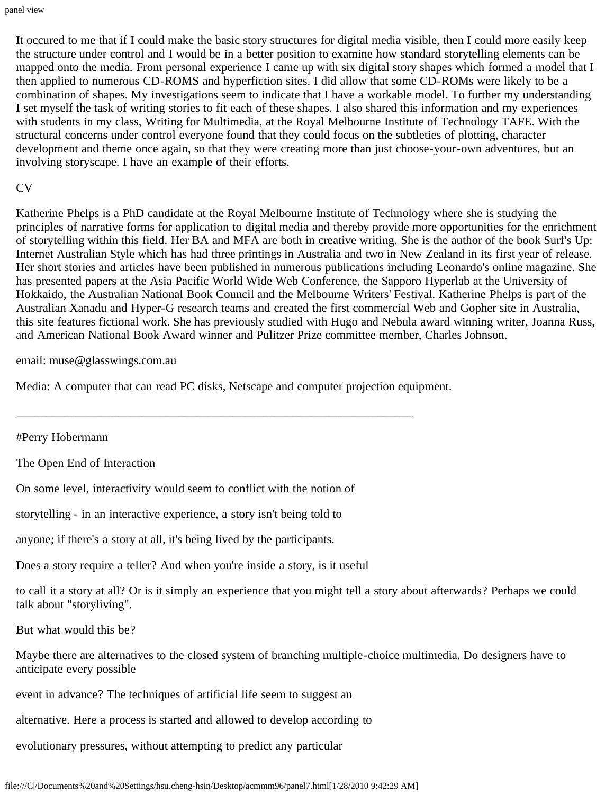It occured to me that if I could make the basic story structures for digital media visible, then I could more easily keep the structure under control and I would be in a better position to examine how standard storytelling elements can be mapped onto the media. From personal experience I came up with six digital story shapes which formed a model that I then applied to numerous CD-ROMS and hyperfiction sites. I did allow that some CD-ROMs were likely to be a combination of shapes. My investigations seem to indicate that I have a workable model. To further my understanding I set myself the task of writing stories to fit each of these shapes. I also shared this information and my experiences with students in my class, Writing for Multimedia, at the Royal Melbourne Institute of Technology TAFE. With the structural concerns under control everyone found that they could focus on the subtleties of plotting, character development and theme once again, so that they were creating more than just choose-your-own adventures, but an involving storyscape. I have an example of their efforts.

#### CV

Katherine Phelps is a PhD candidate at the Royal Melbourne Institute of Technology where she is studying the principles of narrative forms for application to digital media and thereby provide more opportunities for the enrichment of storytelling within this field. Her BA and MFA are both in creative writing. She is the author of the book Surf's Up: Internet Australian Style which has had three printings in Australia and two in New Zealand in its first year of release. Her short stories and articles have been published in numerous publications including Leonardo's online magazine. She has presented papers at the Asia Pacific World Wide Web Conference, the Sapporo Hyperlab at the University of Hokkaido, the Australian National Book Council and the Melbourne Writers' Festival. Katherine Phelps is part of the Australian Xanadu and Hyper-G research teams and created the first commercial Web and Gopher site in Australia, this site features fictional work. She has previously studied with Hugo and Nebula award winning writer, Joanna Russ, and American National Book Award winner and Pulitzer Prize committee member, Charles Johnson.

email: muse@glasswings.com.au

Media: A computer that can read PC disks, Netscape and computer projection equipment.

\_\_\_\_\_\_\_\_\_\_\_\_\_\_\_\_\_\_\_\_\_\_\_\_\_\_\_\_\_\_\_\_\_\_\_\_\_\_\_\_\_\_\_\_\_\_\_\_\_\_\_\_\_\_\_\_\_\_\_\_\_\_\_\_\_\_

#Perry Hobermann

The Open End of Interaction

On some level, interactivity would seem to conflict with the notion of

storytelling - in an interactive experience, a story isn't being told to

anyone; if there's a story at all, it's being lived by the participants.

Does a story require a teller? And when you're inside a story, is it useful

to call it a story at all? Or is it simply an experience that you might tell a story about afterwards? Perhaps we could talk about "storyliving".

But what would this be?

Maybe there are alternatives to the closed system of branching multiple-choice multimedia. Do designers have to anticipate every possible

event in advance? The techniques of artificial life seem to suggest an

alternative. Here a process is started and allowed to develop according to

evolutionary pressures, without attempting to predict any particular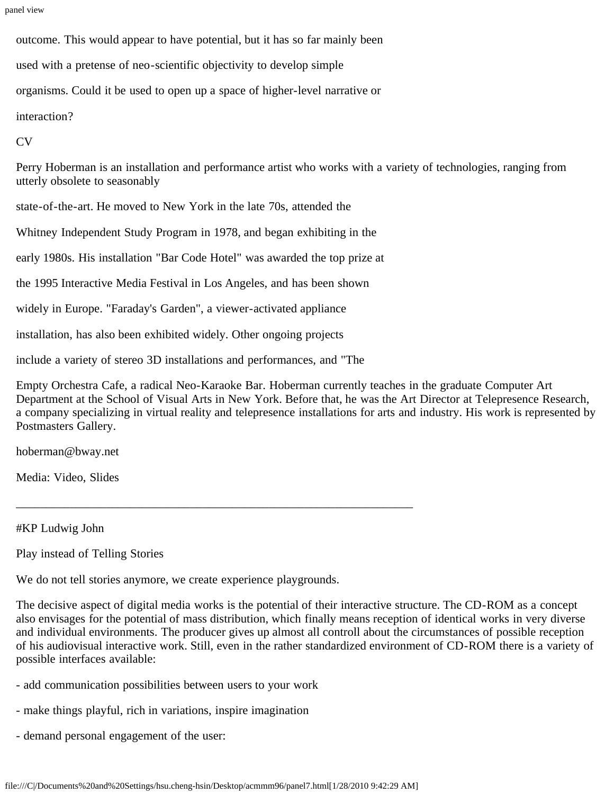outcome. This would appear to have potential, but it has so far mainly been

used with a pretense of neo-scientific objectivity to develop simple

organisms. Could it be used to open up a space of higher-level narrative or

interaction?

CV

Perry Hoberman is an installation and performance artist who works with a variety of technologies, ranging from utterly obsolete to seasonably

state-of-the-art. He moved to New York in the late 70s, attended the

Whitney Independent Study Program in 1978, and began exhibiting in the

early 1980s. His installation "Bar Code Hotel" was awarded the top prize at

the 1995 Interactive Media Festival in Los Angeles, and has been shown

widely in Europe. "Faraday's Garden", a viewer-activated appliance

installation, has also been exhibited widely. Other ongoing projects

include a variety of stereo 3D installations and performances, and "The

Empty Orchestra Cafe, a radical Neo-Karaoke Bar. Hoberman currently teaches in the graduate Computer Art Department at the School of Visual Arts in New York. Before that, he was the Art Director at Telepresence Research, a company specializing in virtual reality and telepresence installations for arts and industry. His work is represented by Postmasters Gallery.

hoberman@bway.net

Media: Video, Slides

#KP Ludwig John

Play instead of Telling Stories

We do not tell stories anymore, we create experience playgrounds.

\_\_\_\_\_\_\_\_\_\_\_\_\_\_\_\_\_\_\_\_\_\_\_\_\_\_\_\_\_\_\_\_\_\_\_\_\_\_\_\_\_\_\_\_\_\_\_\_\_\_\_\_\_\_\_\_\_\_\_\_\_\_\_\_\_\_

The decisive aspect of digital media works is the potential of their interactive structure. The CD-ROM as a concept also envisages for the potential of mass distribution, which finally means reception of identical works in very diverse and individual environments. The producer gives up almost all controll about the circumstances of possible reception of his audiovisual interactive work. Still, even in the rather standardized environment of CD-ROM there is a variety of possible interfaces available:

- add communication possibilities between users to your work
- make things playful, rich in variations, inspire imagination
- demand personal engagement of the user: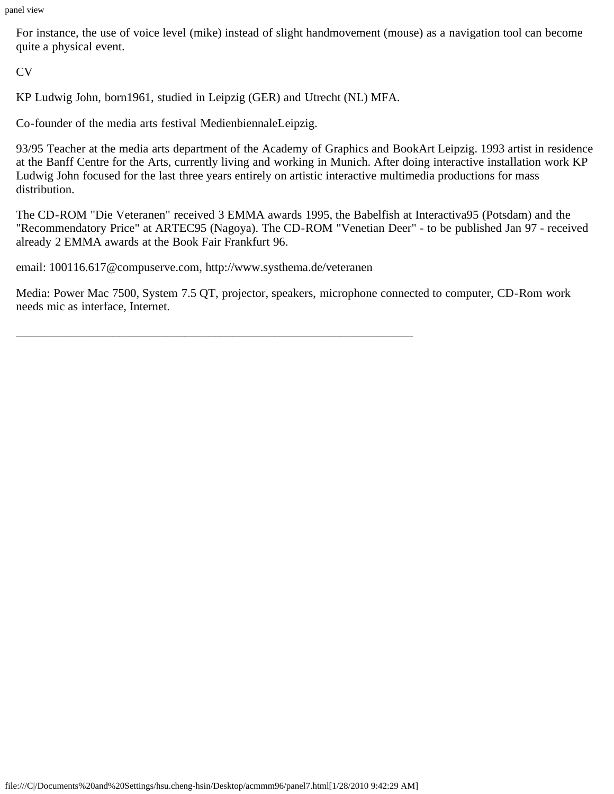For instance, the use of voice level (mike) instead of slight handmovement (mouse) as a navigation tool can become quite a physical event.

CV

KP Ludwig John, born1961, studied in Leipzig (GER) and Utrecht (NL) MFA.

Co-founder of the media arts festival MedienbiennaleLeipzig.

93/95 Teacher at the media arts department of the Academy of Graphics and BookArt Leipzig. 1993 artist in residence at the Banff Centre for the Arts, currently living and working in Munich. After doing interactive installation work KP Ludwig John focused for the last three years entirely on artistic interactive multimedia productions for mass distribution.

The CD-ROM "Die Veteranen" received 3 EMMA awards 1995, the Babelfish at Interactiva95 (Potsdam) and the "Recommendatory Price" at ARTEC95 (Nagoya). The CD-ROM "Venetian Deer" - to be published Jan 97 - received already 2 EMMA awards at the Book Fair Frankfurt 96.

email: 100116.617@compuserve.com, http://www.systhema.de/veteranen

\_\_\_\_\_\_\_\_\_\_\_\_\_\_\_\_\_\_\_\_\_\_\_\_\_\_\_\_\_\_\_\_\_\_\_\_\_\_\_\_\_\_\_\_\_\_\_\_\_\_\_\_\_\_\_\_\_\_\_\_\_\_\_\_\_\_

Media: Power Mac 7500, System 7.5 QT, projector, speakers, microphone connected to computer, CD-Rom work needs mic as interface, Internet.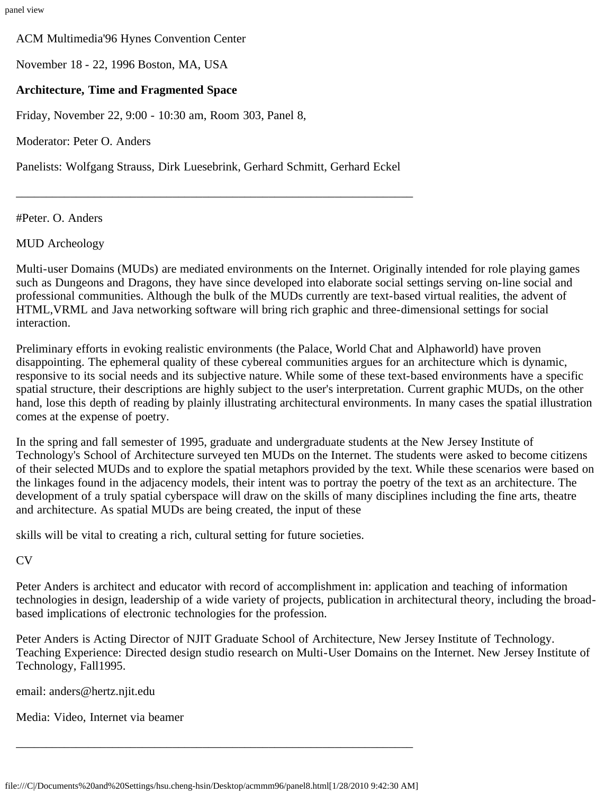ACM Multimedia'96 Hynes Convention Center

November 18 - 22, 1996 Boston, MA, USA

#### **Architecture, Time and Fragmented Space**

Friday, November 22, 9:00 - 10:30 am, Room 303, Panel 8,

Moderator: Peter O. Anders

Panelists: Wolfgang Strauss, Dirk Luesebrink, Gerhard Schmitt, Gerhard Eckel

\_\_\_\_\_\_\_\_\_\_\_\_\_\_\_\_\_\_\_\_\_\_\_\_\_\_\_\_\_\_\_\_\_\_\_\_\_\_\_\_\_\_\_\_\_\_\_\_\_\_\_\_\_\_\_\_\_\_\_\_\_\_\_\_\_\_

#Peter. O. Anders

MUD Archeology

Multi-user Domains (MUDs) are mediated environments on the Internet. Originally intended for role playing games such as Dungeons and Dragons, they have since developed into elaborate social settings serving on-line social and professional communities. Although the bulk of the MUDs currently are text-based virtual realities, the advent of HTML,VRML and Java networking software will bring rich graphic and three-dimensional settings for social interaction.

Preliminary efforts in evoking realistic environments (the Palace, World Chat and Alphaworld) have proven disappointing. The ephemeral quality of these cybereal communities argues for an architecture which is dynamic, responsive to its social needs and its subjective nature. While some of these text-based environments have a specific spatial structure, their descriptions are highly subject to the user's interpretation. Current graphic MUDs, on the other hand, lose this depth of reading by plainly illustrating architectural environments. In many cases the spatial illustration comes at the expense of poetry.

In the spring and fall semester of 1995, graduate and undergraduate students at the New Jersey Institute of Technology's School of Architecture surveyed ten MUDs on the Internet. The students were asked to become citizens of their selected MUDs and to explore the spatial metaphors provided by the text. While these scenarios were based on the linkages found in the adjacency models, their intent was to portray the poetry of the text as an architecture. The development of a truly spatial cyberspace will draw on the skills of many disciplines including the fine arts, theatre and architecture. As spatial MUDs are being created, the input of these

skills will be vital to creating a rich, cultural setting for future societies.

 $CV$ 

Peter Anders is architect and educator with record of accomplishment in: application and teaching of information technologies in design, leadership of a wide variety of projects, publication in architectural theory, including the broadbased implications of electronic technologies for the profession.

Peter Anders is Acting Director of NJIT Graduate School of Architecture, New Jersey Institute of Technology. Teaching Experience: Directed design studio research on Multi-User Domains on the Internet. New Jersey Institute of Technology, Fall1995.

email: anders@hertz.njit.edu

Media: Video, Internet via beamer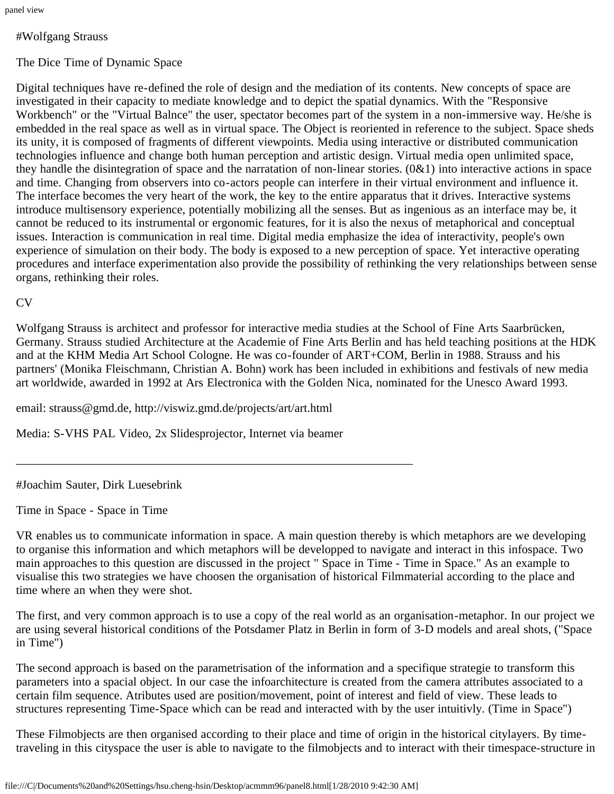# #Wolfgang Strauss

# The Dice Time of Dynamic Space

Digital techniques have re-defined the role of design and the mediation of its contents. New concepts of space are investigated in their capacity to mediate knowledge and to depict the spatial dynamics. With the "Responsive Workbench" or the "Virtual Balnce" the user, spectator becomes part of the system in a non-immersive way. He/she is embedded in the real space as well as in virtual space. The Object is reoriented in reference to the subject. Space sheds its unity, it is composed of fragments of different viewpoints. Media using interactive or distributed communication technologies influence and change both human perception and artistic design. Virtual media open unlimited space, they handle the disintegration of space and the narratation of non-linear stories.  $(0&1)$  into interactive actions in space and time. Changing from observers into co-actors people can interfere in their virtual environment and influence it. The interface becomes the very heart of the work, the key to the entire apparatus that it drives. Interactive systems introduce multisensory experience, potentially mobilizing all the senses. But as ingenious as an interface may be, it cannot be reduced to its instrumental or ergonomic features, for it is also the nexus of metaphorical and conceptual issues. Interaction is communication in real time. Digital media emphasize the idea of interactivity, people's own experience of simulation on their body. The body is exposed to a new perception of space. Yet interactive operating procedures and interface experimentation also provide the possibility of rethinking the very relationships between sense organs, rethinking their roles.

## CV

Wolfgang Strauss is architect and professor for interactive media studies at the School of Fine Arts Saarbrücken, Germany. Strauss studied Architecture at the Academie of Fine Arts Berlin and has held teaching positions at the HDK and at the KHM Media Art School Cologne. He was co-founder of ART+COM, Berlin in 1988. Strauss and his partners' (Monika Fleischmann, Christian A. Bohn) work has been included in exhibitions and festivals of new media art worldwide, awarded in 1992 at Ars Electronica with the Golden Nica, nominated for the Unesco Award 1993.

email: strauss@gmd.de, http://viswiz.gmd.de/projects/art/art.html

Media: S-VHS PAL Video, 2x Slidesprojector, Internet via beamer

\_\_\_\_\_\_\_\_\_\_\_\_\_\_\_\_\_\_\_\_\_\_\_\_\_\_\_\_\_\_\_\_\_\_\_\_\_\_\_\_\_\_\_\_\_\_\_\_\_\_\_\_\_\_\_\_\_\_\_\_\_\_\_\_\_\_

## #Joachim Sauter, Dirk Luesebrink

Time in Space - Space in Time

VR enables us to communicate information in space. A main question thereby is which metaphors are we developing to organise this information and which metaphors will be developped to navigate and interact in this infospace. Two main approaches to this question are discussed in the project " Space in Time - Time in Space." As an example to visualise this two strategies we have choosen the organisation of historical Filmmaterial according to the place and time where an when they were shot.

The first, and very common approach is to use a copy of the real world as an organisation-metaphor. In our project we are using several historical conditions of the Potsdamer Platz in Berlin in form of 3-D models and areal shots, ("Space in Time")

The second approach is based on the parametrisation of the information and a specifique strategie to transform this parameters into a spacial object. In our case the infoarchitecture is created from the camera attributes associated to a certain film sequence. Atributes used are position/movement, point of interest and field of view. These leads to structures representing Time-Space which can be read and interacted with by the user intuitivly. (Time in Space")

These Filmobjects are then organised according to their place and time of origin in the historical citylayers. By timetraveling in this cityspace the user is able to navigate to the filmobjects and to interact with their timespace-structure in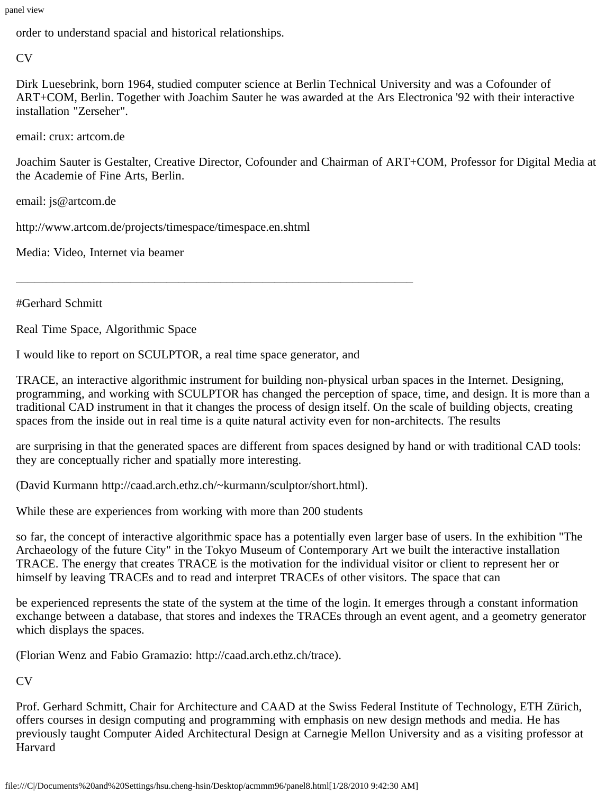order to understand spacial and historical relationships.

CV

Dirk Luesebrink, born 1964, studied computer science at Berlin Technical University and was a Cofounder of ART+COM, Berlin. Together with Joachim Sauter he was awarded at the Ars Electronica '92 with their interactive installation "Zerseher".

email: crux: artcom.de

Joachim Sauter is Gestalter, Creative Director, Cofounder and Chairman of ART+COM, Professor for Digital Media at the Academie of Fine Arts, Berlin.

email: js@artcom.de

http://www.artcom.de/projects/timespace/timespace.en.shtml

Media: Video, Internet via beamer

#Gerhard Schmitt

Real Time Space, Algorithmic Space

I would like to report on SCULPTOR, a real time space generator, and

\_\_\_\_\_\_\_\_\_\_\_\_\_\_\_\_\_\_\_\_\_\_\_\_\_\_\_\_\_\_\_\_\_\_\_\_\_\_\_\_\_\_\_\_\_\_\_\_\_\_\_\_\_\_\_\_\_\_\_\_\_\_\_\_\_\_

TRACE, an interactive algorithmic instrument for building non-physical urban spaces in the Internet. Designing, programming, and working with SCULPTOR has changed the perception of space, time, and design. It is more than a traditional CAD instrument in that it changes the process of design itself. On the scale of building objects, creating spaces from the inside out in real time is a quite natural activity even for non-architects. The results

are surprising in that the generated spaces are different from spaces designed by hand or with traditional CAD tools: they are conceptually richer and spatially more interesting.

(David Kurmann http://caad.arch.ethz.ch/~kurmann/sculptor/short.html).

While these are experiences from working with more than 200 students

so far, the concept of interactive algorithmic space has a potentially even larger base of users. In the exhibition "The Archaeology of the future City" in the Tokyo Museum of Contemporary Art we built the interactive installation TRACE. The energy that creates TRACE is the motivation for the individual visitor or client to represent her or himself by leaving TRACEs and to read and interpret TRACEs of other visitors. The space that can

be experienced represents the state of the system at the time of the login. It emerges through a constant information exchange between a database, that stores and indexes the TRACEs through an event agent, and a geometry generator which displays the spaces.

(Florian Wenz and Fabio Gramazio: http://caad.arch.ethz.ch/trace).

 $CV$ 

Prof. Gerhard Schmitt, Chair for Architecture and CAAD at the Swiss Federal Institute of Technology, ETH Zürich, offers courses in design computing and programming with emphasis on new design methods and media. He has previously taught Computer Aided Architectural Design at Carnegie Mellon University and as a visiting professor at **Harvard**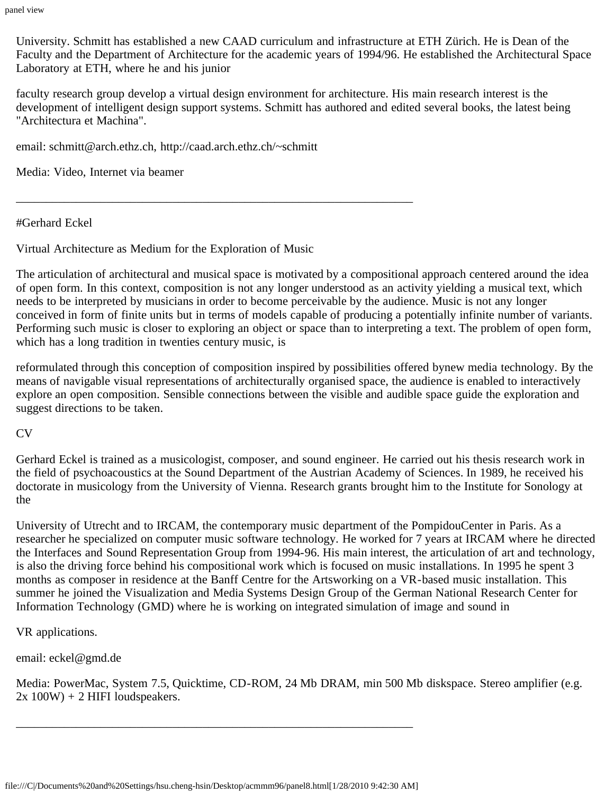University. Schmitt has established a new CAAD curriculum and infrastructure at ETH Zürich. He is Dean of the Faculty and the Department of Architecture for the academic years of 1994/96. He established the Architectural Space Laboratory at ETH, where he and his junior

faculty research group develop a virtual design environment for architecture. His main research interest is the development of intelligent design support systems. Schmitt has authored and edited several books, the latest being "Architectura et Machina".

email: schmitt@arch.ethz.ch, http://caad.arch.ethz.ch/~schmitt

\_\_\_\_\_\_\_\_\_\_\_\_\_\_\_\_\_\_\_\_\_\_\_\_\_\_\_\_\_\_\_\_\_\_\_\_\_\_\_\_\_\_\_\_\_\_\_\_\_\_\_\_\_\_\_\_\_\_\_\_\_\_\_\_\_\_

Media: Video, Internet via beamer

#Gerhard Eckel

Virtual Architecture as Medium for the Exploration of Music

The articulation of architectural and musical space is motivated by a compositional approach centered around the idea of open form. In this context, composition is not any longer understood as an activity yielding a musical text, which needs to be interpreted by musicians in order to become perceivable by the audience. Music is not any longer conceived in form of finite units but in terms of models capable of producing a potentially infinite number of variants. Performing such music is closer to exploring an object or space than to interpreting a text. The problem of open form, which has a long tradition in twenties century music, is

reformulated through this conception of composition inspired by possibilities offered bynew media technology. By the means of navigable visual representations of architecturally organised space, the audience is enabled to interactively explore an open composition. Sensible connections between the visible and audible space guide the exploration and suggest directions to be taken.

CV

Gerhard Eckel is trained as a musicologist, composer, and sound engineer. He carried out his thesis research work in the field of psychoacoustics at the Sound Department of the Austrian Academy of Sciences. In 1989, he received his doctorate in musicology from the University of Vienna. Research grants brought him to the Institute for Sonology at the

University of Utrecht and to IRCAM, the contemporary music department of the PompidouCenter in Paris. As a researcher he specialized on computer music software technology. He worked for 7 years at IRCAM where he directed the Interfaces and Sound Representation Group from 1994-96. His main interest, the articulation of art and technology, is also the driving force behind his compositional work which is focused on music installations. In 1995 he spent 3 months as composer in residence at the Banff Centre for the Artsworking on a VR-based music installation. This summer he joined the Visualization and Media Systems Design Group of the German National Research Center for Information Technology (GMD) where he is working on integrated simulation of image and sound in

VR applications.

email: eckel@gmd.de

Media: PowerMac, System 7.5, Quicktime, CD-ROM, 24 Mb DRAM, min 500 Mb diskspace. Stereo amplifier (e.g.  $2x 100W$  + 2 HIFI loudspeakers.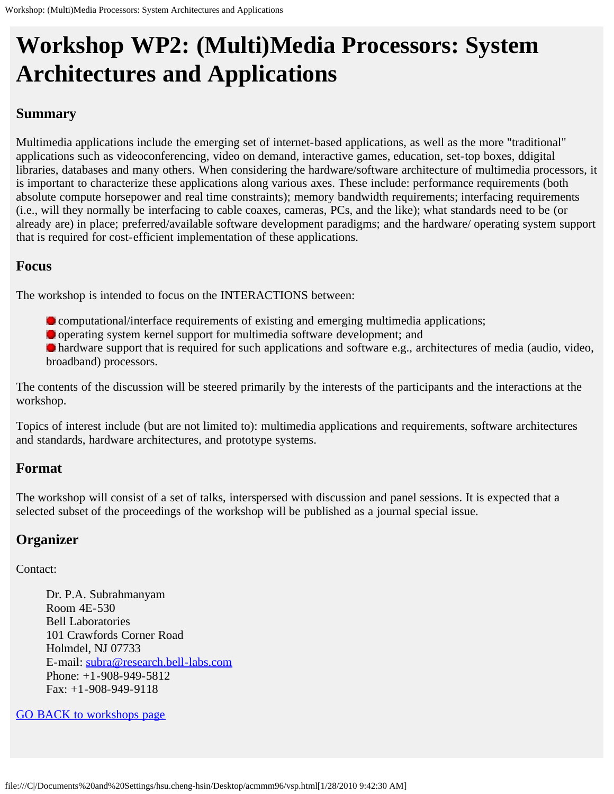# **Workshop WP2: (Multi)Media Processors: System Architectures and Applications**

# **Summary**

Multimedia applications include the emerging set of internet-based applications, as well as the more "traditional" applications such as videoconferencing, video on demand, interactive games, education, set-top boxes, ddigital libraries, databases and many others. When considering the hardware/software architecture of multimedia processors, it is important to characterize these applications along various axes. These include: performance requirements (both absolute compute horsepower and real time constraints); memory bandwidth requirements; interfacing requirements (i.e., will they normally be interfacing to cable coaxes, cameras, PCs, and the like); what standards need to be (or already are) in place; preferred/available software development paradigms; and the hardware/ operating system support that is required for cost-efficient implementation of these applications.

## **Focus**

The workshop is intended to focus on the INTERACTIONS between:

- computational/interface requirements of existing and emerging multimedia applications;
- operating system kernel support for multimedia software development; and

 hardware support that is required for such applications and software e.g., architectures of media (audio, video, broadband) processors.

The contents of the discussion will be steered primarily by the interests of the participants and the interactions at the workshop.

Topics of interest include (but are not limited to): multimedia applications and requirements, software architectures and standards, hardware architectures, and prototype systems.

# **Format**

The workshop will consist of a set of talks, interspersed with discussion and panel sessions. It is expected that a selected subset of the proceedings of the workshop will be published as a journal special issue.

# **Organizer**

Contact:

Dr. P.A. Subrahmanyam Room 4E-530 Bell Laboratories 101 Crawfords Corner Road Holmdel, NJ 07733 E-mail: [subra@research.bell-labs.com](mailto: subra@research.bell-labs.com) Phone: +1-908-949-5812 Fax: +1-908-949-9118

## [GO BACK to workshops page](#page-57-0)